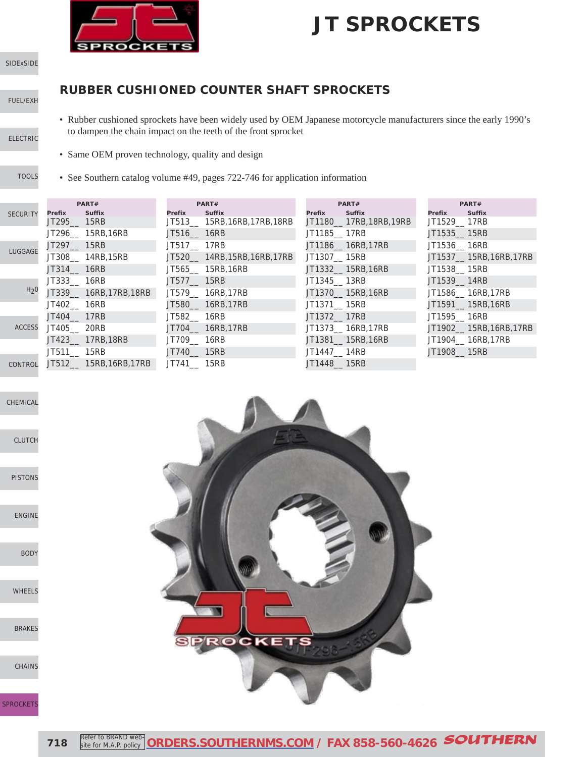

[SIDExSIDE](http://www.southernms.com/wp-content/uploads/2015/08/01_UTV.pdf)

[FUEL/EXH](http://www.southernms.com/wp-content/uploads/2015/08/02_fuel_exh.pdf)

#### **RUBBER CUSHIONED COUNTER SHAFT SPROCKETS**

- [ELECTRIC](http://www.southernms.com/wp-content/uploads/2015/08/03_electrical.pdf)
- 
- [TOOLS](http://www.southernms.com/wp-content/uploads/2015/08/04_tools.pdf)
- Same OEM proven technology, quality and design

to dampen the chain impact on the teeth of the front sprocket

• See Southern catalog volume #49, pages 722-746 for application information

|                  |               | PART#                  |              | PART#                        |             | PART#                    | PART#         |                         |  |
|------------------|---------------|------------------------|--------------|------------------------------|-------------|--------------------------|---------------|-------------------------|--|
| <b>SECURITY</b>  | Prefix        | <b>Suffix</b>          | Prefix       | <b>Suffix</b>                | Prefix      | <b>Suffix</b>            | Prefix        | <b>Suffix</b>           |  |
|                  | JT295___ 15RB |                        |              | JT513 15RB, 16RB, 17RB, 18RB |             | JT1180 __ 17RB,18RB,19RB | JT1529__ 17RB |                         |  |
|                  |               | JT296 15RB, 16RB       | JT516 16RB   |                              | JT1185 17RB |                          | JT1535 15RB   |                         |  |
| LUGGAGE          | JT297___ 15RB |                        | JT517 17RB   |                              |             | JT1186 16RB,17RB         | JT1536 16RB   |                         |  |
|                  |               | JT308 14RB,15RB        |              | JT520 14RB, 15RB, 16RB, 17RB | JT1307 15RB |                          |               | JT1537 15RB, 16RB, 17RB |  |
|                  | JT314 16RB    |                        |              | JT565 15RB,16RB              |             | JT1332_15RB,16RB         | JT1538_15RB   |                         |  |
|                  | JT333 16RB    |                        | JT577 15RB   |                              | JT1345 13RB |                          | JT1539 14RB   |                         |  |
| H <sub>2</sub> 0 |               | JT339__ 16RB,17RB,18RB |              | JT579 16RB,17RB              |             | JT1370 15RB,16RB         |               | JT1586 __ 16RB,17RB     |  |
|                  | JT402 16RB    |                        |              | JT580__ 16RB,17RB            | JT1371 15RB |                          |               | JT1591 15RB,16RB        |  |
|                  | JT404 17RB    |                        | JT582__ 16RB |                              | JT1372 17RB |                          | JT1595 16RB   |                         |  |
| <b>ACCESS</b>    | JT405 20RB    |                        |              | JT704 16RB,17RB              |             | JT1373 16RB,17RB         |               | JT1902__ 15RB,16RB,17RB |  |
|                  |               | JT423 17RB,18RB        | JT709__ 16RB |                              |             | JT1381 15RB,16RB         |               | JT1904_ 16RB,17RB       |  |
|                  | JT511 15RB    |                        | JT740__ 15RB |                              | JT1447 14RB |                          | JT1908 15RB   |                         |  |
| CONTROL          |               | JT512 15RB,16RB,17RB   | JT741 15RB   |                              | JT1448 15RB |                          |               |                         |  |

• Rubber cushioned sprockets have been widely used by OEM Japanese motorcycle manufacturers since the early 1990's

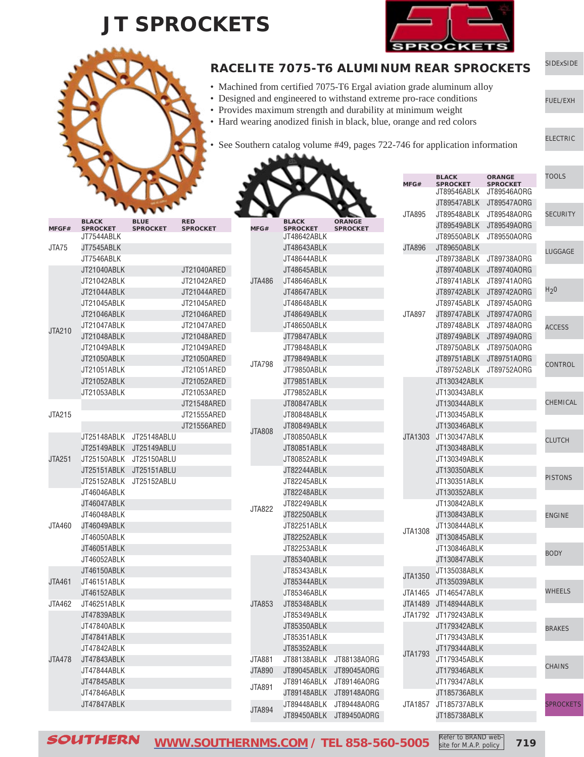

[ELECTRIC](http://www.southernms.com/wp-content/uploads/2015/08/03_electrical.pdf)

[FUEL/EXH](http://www.southernms.com/wp-content/uploads/2015/08/02_fuel_exh.pdf)



#### [SIDExSIDE](http://www.southernms.com/wp-content/uploads/2015/08/01_UTV.pdf) **RACELITE 7075-T6 ALUMINUM REAR SPROCKETS**

- Machined from certified 7075-T6 Ergal aviation grade aluminum alloy
- Designed and engineered to withstand extreme pro-race conditions • Provides maximum strength and durability at minimum weight
- Hard wearing anodized finish in black, blue, orange and red colors

See Southern catalog volume #49, pages 722-746 for application information

|               |                                 |                                |                               |               |                                 |                                  | MFG#           | <b>BLACK</b><br><b>SPROCKET</b><br>JT89546ABLK | <b>ORANGE</b><br><b>SPROCKET</b><br>JT89546A0RG | <b>TOOLS</b>     |
|---------------|---------------------------------|--------------------------------|-------------------------------|---------------|---------------------------------|----------------------------------|----------------|------------------------------------------------|-------------------------------------------------|------------------|
|               |                                 |                                |                               |               |                                 |                                  |                |                                                | JT89547ABLK JT89547AORG                         |                  |
|               |                                 |                                |                               |               |                                 |                                  | <b>JTA895</b>  |                                                | JT89548ABLK JT89548AORG                         | <b>SECURITY</b>  |
| MFGF#         | <b>BLACK</b><br><b>SPROCKET</b> | <b>BLUE</b><br><b>SPROCKET</b> | <b>RED</b><br><b>SPROCKET</b> | MFG#          | <b>BLACK</b><br><b>SPROCKET</b> | <b>ORANGE</b><br><b>SPROCKET</b> |                |                                                | JT89549ABLK JT89549AORG                         |                  |
|               | JT7544ABLK                      |                                |                               |               | JT48642ABLK                     |                                  |                | JT89550ABLK                                    | JT89550AORG                                     |                  |
| JTA75         | JT7545ABLK                      |                                |                               |               | JT48643ABLK                     |                                  | JTA896         | JT89650ABLK                                    |                                                 | LUGGAGE          |
|               | JT7546ABLK                      |                                |                               |               | JT48644ABLK                     |                                  |                |                                                | JT89738ABLK JT89738AORG                         |                  |
|               | JT21040ABLK                     |                                | JT21040ARED                   |               | JT48645ABLK                     |                                  |                |                                                | JT89740ABLK JT89740AORG                         |                  |
|               | JT21042ABLK                     |                                | JT21042ARED                   | JTA486        | JT48646ABLK                     |                                  |                |                                                | JT89741ABLK JT89741AORG                         |                  |
|               | JT21044ABLK                     |                                | JT21044ARED                   |               | JT48647ABLK                     |                                  |                |                                                | JT89742ABLK JT89742AORG                         | H <sub>2</sub> 0 |
|               | JT21045ABLK                     |                                | JT21045ARED                   |               | JT48648ABLK                     |                                  |                |                                                | JT89745ABLK JT89745A0RG                         |                  |
|               | JT21046ABLK                     |                                | JT21046ARED                   |               | JT48649ABLK                     |                                  | <b>JTA897</b>  |                                                | JT89747ABLK JT89747AORG                         |                  |
|               | JT21047ABLK                     |                                | JT21047ARED                   |               | JT48650ABLK                     |                                  |                |                                                | JT89748ABLK JT89748AORG                         | <b>ACCESS</b>    |
| JTA210        | JT21048ABLK                     |                                | JT21048ARED                   |               | JT79847ABLK                     |                                  |                |                                                | JT89749ABLK JT89749AORG                         |                  |
|               | JT21049ABLK                     |                                | JT21049ARED                   |               | JT79848ABLK                     |                                  |                |                                                | JT89750ABLK JT89750AORG                         |                  |
|               | JT21050ABLK                     |                                | JT21050ARED                   |               | JT79849ABLK                     |                                  |                |                                                | JT89751ABLK JT89751AORG                         |                  |
|               | JT21051ABLK                     |                                | JT21051ARED                   | <b>JTA798</b> | JT79850ABLK                     |                                  |                |                                                | JT89752ABLK JT89752AORG                         | CONTROL          |
|               | JT21052ABLK                     |                                | JT21052ARED                   |               | JT79851ABLK                     |                                  |                | JT130342ABLK                                   |                                                 |                  |
|               | JT21053ABLK                     |                                | JT21053ARED                   |               | JT79852ABLK                     |                                  |                | JT130343ABLK                                   |                                                 |                  |
|               |                                 |                                | JT21548ARED                   |               | JT80847ABLK                     |                                  |                | JT130344ABLK                                   |                                                 | CHEMICAL         |
| JTA215        |                                 |                                | JT21555ARED                   |               | JT80848ABLK                     |                                  |                | JT130345ABLK                                   |                                                 |                  |
|               |                                 |                                | JT21556ARED                   |               | JT80849ABLK                     |                                  |                | JT130346ABLK                                   |                                                 |                  |
|               |                                 | JT25148ABLK JT25148ABLU        |                               | <b>JTA808</b> | JT80850ABLK                     |                                  | JTA1303        | JT130347ABLK                                   |                                                 |                  |
|               |                                 | JT25149ABLK JT25149ABLU        |                               |               | JT80851ABLK                     |                                  |                | JT130348ABLK                                   |                                                 | <b>CLUTCH</b>    |
| <b>JTA251</b> |                                 | JT25150ABLK JT25150ABLU        |                               |               | JT80852ABLK                     |                                  |                | JT130349ABLK                                   |                                                 |                  |
|               |                                 | JT25151ABLK JT25151ABLU        |                               |               | JT82244ABLK                     |                                  |                | JT130350ABLK                                   |                                                 |                  |
|               |                                 | JT25152ABLK JT25152ABLU        |                               |               | JT82245ABLK                     |                                  |                | JT130351ABLK                                   |                                                 | <b>PISTONS</b>   |
|               | JT46046ABLK                     |                                |                               |               | JT82248ABLK                     |                                  |                | JT130352ABLK                                   |                                                 |                  |
|               | JT46047ABLK                     |                                |                               |               | JT82249ABLK                     |                                  |                | JT130842ABLK                                   |                                                 |                  |
|               | JT46048ABLK                     |                                |                               | <b>JTA822</b> | JT82250ABLK                     |                                  |                | JT130843ABLK                                   |                                                 | <b>ENGINE</b>    |
| JTA460        | JT46049ABLK                     |                                |                               |               | JT82251ABLK                     |                                  |                | JT130844ABLK                                   |                                                 |                  |
|               | JT46050ABLK                     |                                |                               |               | JT82252ABLK                     |                                  | JTA1308        | JT130845ABLK                                   |                                                 |                  |
|               | JT46051ABLK                     |                                |                               |               | JT82253ABLK                     |                                  |                | JT130846ABLK                                   |                                                 |                  |
|               | JT46052ABLK                     |                                |                               |               | JT85340ABLK                     |                                  |                | JT130847ABLK                                   |                                                 | <b>BODY</b>      |
|               | JT46150ABLK                     |                                |                               |               | JT85343ABLK                     |                                  |                | JT135038ABLK                                   |                                                 |                  |
| JTA461        | JT46151ABLK                     |                                |                               |               | JT85344ABLK                     |                                  | JTA1350        | JT135039ABLK                                   |                                                 |                  |
|               | JT46152ABLK                     |                                |                               |               | JT85346ABLK                     |                                  |                | JTA1465 JT146547ABLK                           |                                                 | <b>WHEELS</b>    |
| JTA462        | JT46251ABLK                     |                                |                               | <b>JTA853</b> | JT85348ABLK                     |                                  |                | JTA1489 JT148944ABLK                           |                                                 |                  |
|               | JT47839ABLK                     |                                |                               |               | JT85349ABLK                     |                                  |                | JTA1792 JT179243ABLK                           |                                                 |                  |
|               | JT47840ABLK                     |                                |                               |               | JT85350ABLK                     |                                  |                | JT179342ABLK                                   |                                                 |                  |
|               | JT47841ABLK                     |                                |                               |               | JT85351ABLK                     |                                  |                | JT179343ABLK                                   |                                                 | <b>BRAKES</b>    |
|               | JT47842ABLK                     |                                |                               |               | JT85352ABLK                     |                                  |                | JT179344ABLK                                   |                                                 |                  |
| JTA478        | JT47843ABLK                     |                                |                               | <b>JTA881</b> |                                 | JT88138ABLK JT88138AORG          | <b>JTA1793</b> | JT179345ABLK                                   |                                                 |                  |
|               | JT47844ABLK                     |                                |                               | <b>JTA890</b> |                                 | JT89045ABLK JT89045AORG          |                | JT179346ABLK                                   |                                                 | <b>CHAINS</b>    |
|               | JT47845ABLK                     |                                |                               |               |                                 | JT89146ABLK JT89146AORG          |                | JT179347ABLK                                   |                                                 |                  |
|               | JT47846ABLK                     |                                |                               | <b>JTA891</b> |                                 | JT89148ABLK JT89148AORG          |                |                                                |                                                 |                  |
|               | JT47847ABLK                     |                                |                               |               |                                 | JT89448ABLK JT89448A0RG          |                | JT185736ABLK<br>JTA1857 JT185737ABLK           |                                                 |                  |
|               |                                 |                                |                               | <b>JTA894</b> |                                 | JT89450ABLK JT89450AORG          |                |                                                |                                                 | <b>SPROCKETS</b> |
|               |                                 |                                |                               |               |                                 |                                  |                | JT185738ABLK                                   |                                                 |                  |

SOUTHERN **[WWW.SOUTHERNMS.COM](http://m.southernms.com) / TEL 858-560-5005 719** Refer to BRAND website for M.A.P. policy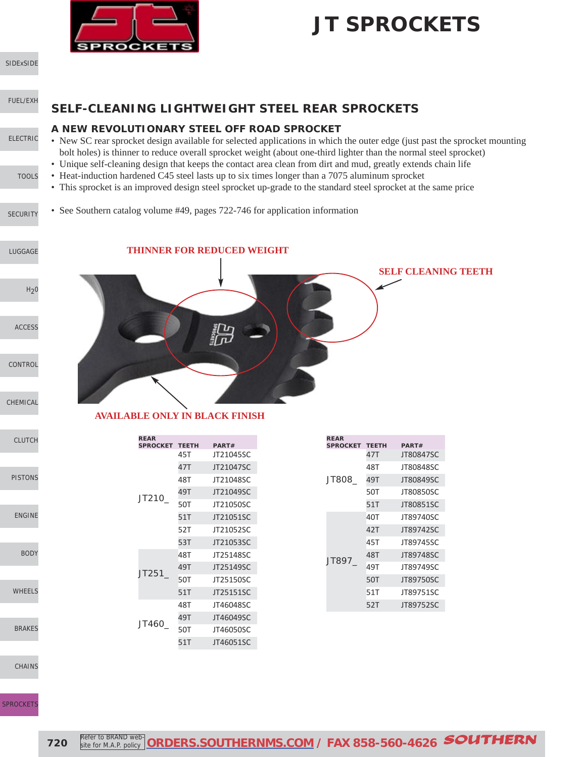

[SIDExSIDE](http://www.southernms.com/wp-content/uploads/2015/08/01_UTV.pdf)

#### [FUEL/EXH](http://www.southernms.com/wp-content/uploads/2015/08/02_fuel_exh.pdf)

#### [ELECTRIC](http://www.southernms.com/wp-content/uploads/2015/08/03_electrical.pdf)

[TOOLS](http://www.southernms.com/wp-content/uploads/2015/08/04_tools.pdf)

[LUGGAGE](http://www.southernms.com/wp-content/uploads/2015/08/06_lugg.pdf)

[CONTROL](http://www.southernms.com/wp-content/uploads/2015/08/09_controls.pdf)

[CHEMICAL](http://www.southernms.com/wp-content/uploads/2015/08/10_chemicals.pdf)

PISTON:

ENGINI

**BOD** 

WHEEL

**[BRAKES](http://www.southernms.com/wp-content/uploads/2015/08/16_brakes.pdf)** 

CLUTCI

[ACCESS](http://www.southernms.com/wp-content/uploads/2015/08/08_accessories.pdf)

 $H<sub>2</sub>0$ 

**SELF-CLEANING LIGHTWEIGHT STEEL REAR SPROCKETS**

#### **A NEW REVOLUTIONARY STEEL OFF ROAD SPROCKET**

- New SC rear sprocket design available for selected applications in which the outer edge (just past the sprocket mounting bolt holes) is thinner to reduce overall sprocket weight (about one-third lighter than the normal steel sprocket)
- Unique self-cleaning design that keeps the contact area clean from dirt and mud, greatly extends chain life
- Heat-induction hardened C45 steel lasts up to six times longer than a 7075 aluminum sprocket
- This sprocket is an improved design steel sprocket up-grade to the standard steel sprocket at the same price
- [SECURITY](http://www.southernms.com/wp-content/uploads/2015/08/05_locks.pdf) • See Southern catalog volume #49, pages 722-746 for application information

#### **THINNER FOR REDUCED WEIGHT**



#### **AVAILABLE ONLY IN BLACK FINISH**

| <b>REAR</b><br><b>SPROCKET</b> | <b>TEETH</b> | PART#     |
|--------------------------------|--------------|-----------|
|                                | 45T          | JT21045SC |
|                                | 47T          | JT21047SC |
|                                | 48T          | JT21048SC |
| JT210                          | 49T          | JT21049SC |
|                                | 50T          | JT21050SC |
|                                | 51T          | JT21051SC |
|                                | 52T          | JT21052SC |
|                                | 53T          | JT21053SC |
|                                | 48T          | JT25148SC |
|                                | 49T          | JT25149SC |
| JT251                          | 50T          | JT25150SC |
|                                | 51T          | JT25151SC |
|                                | 48T          | JT46048SC |
| JT460_                         | 49T          | JT46049SC |
|                                | 50T          | JT46050SC |
|                                | 51T          | JT46051SC |

| .<br><b>SPROCKET</b> | <b>TEETH</b> | PART#     |
|----------------------|--------------|-----------|
|                      | 47T          | JT80847SC |
|                      | 48T          | JT80848SC |
| JT808                | 49T          | JT80849SC |
|                      | 50T          | JT80850SC |
|                      | 51T          | JT80851SC |
|                      | 40T          | JT89740SC |
|                      | 42T          | JT89742SC |
|                      | 45T          | JT89745SC |
| JT897                | 48T          | JT89748SC |
|                      | 49T          | JT89749SC |
|                      | 50T          | JT89750SC |
|                      | 51T          | JT89751SC |
|                      | 52T          | JT89752SC |

**REAR**

[CHAINS](http://www.southernms.com/wp-content/uploads/2015/08/17_chains.pdf)

**SPROCKET**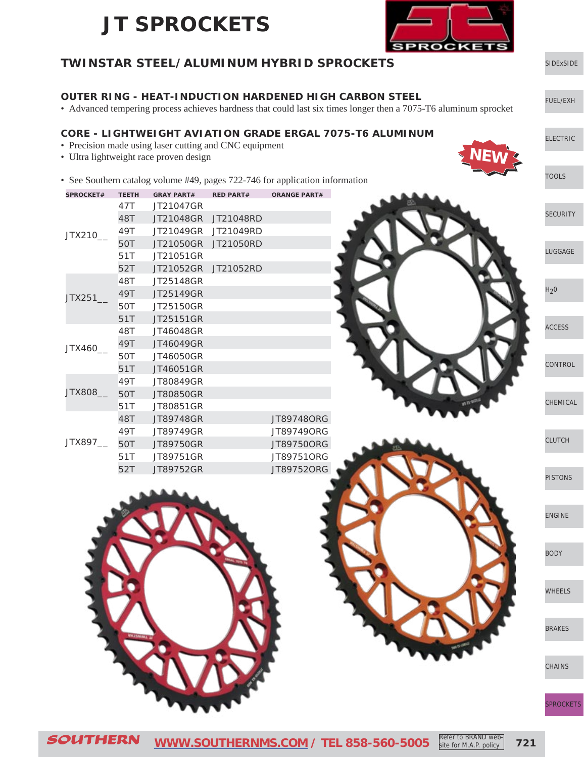

#### [SIDExSIDE](http://www.southernms.com/wp-content/uploads/2015/08/01_UTV.pdf) [ELECTRIC](http://www.southernms.com/wp-content/uploads/2015/08/03_electrical.pdf) [FUEL/EXH](http://www.southernms.com/wp-content/uploads/2015/08/02_fuel_exh.pdf) [LUGGAGE](http://www.southernms.com/wp-content/uploads/2015/08/06_lugg.pdf) **[SECURITY](http://www.southernms.com/wp-content/uploads/2015/08/05_locks.pdf)** [TOOLS](http://www.southernms.com/wp-content/uploads/2015/08/04_tools.pdf)  $H<sub>2</sub>0$ **[CONTROL](http://www.southernms.com/wp-content/uploads/2015/08/09_controls.pdf)** [ACCESS](http://www.southernms.com/wp-content/uploads/2015/08/08_accessories.pdf) [PISTONS](http://www.southernms.com/wp-content/uploads/2015/08/12_pistons.pdf) [CLUTCH](http://www.southernms.com/wp-content/uploads/2015/08/11_clutch.pdf) [CHEMICAL](http://www.southernms.com/wp-content/uploads/2015/08/10_chemicals.pdf) [ENGINE](http://www.southernms.com/wp-content/uploads/2015/08/13_engine.pdf) [WHEELS](http://www.southernms.com/wp-content/uploads/2015/08/15_wheel.pdf) [BODY](http://www.southernms.com/wp-content/uploads/2015/08/14_body.pdf) [SPROCKETS](http://www.southernms.com/wp-content/uploads/2015/08/18_sprockets.pdf) **[CHAINS](http://www.southernms.com/wp-content/uploads/2015/08/17_chains.pdf)** [BRAKES](http://www.southernms.com/wp-content/uploads/2015/08/16_brakes.pdf) **TWINSTAR STEEL/ALUMINUM HYBRID SPROCKETS OUTER RING - HEAT-INDUCTION HARDENED HIGH CARBON STEEL** • Advanced tempering process achieves hardness that could last six times longer then a 7075-T6 aluminum sprocket **CORE - LIGHTWEIGHT AVIATION GRADE ERGAL 7075-T6 ALUMINUM** • Precision made using laser cutting and CNC equipment • Ultra lightweight race proven design • See Southern catalog volume #49, pages 722-746 for application information **SPROCKET# TEETH GRAY PART# RED PART# ORANGE PART#** JTX210\_\_ 47T JT21047GR 48T JT21048GR JT21048RD 49T JT21049GR JT21049RD 50T JT21050GR JT21050RD 51T JT21051GR 52T JT21052GR JT21052RD JTX251\_\_ 48T JT25148GR 49T JT25149GR 50T JT25150GR 51T JT25151GR JTX460\_\_ 48T JT46048GR 49T JT46049GR 50T JT46050GR 51T JT46051GR JTX808\_\_ 49T JT80849GR 50T JT80850GR 51T JT80851GR JTX897\_\_ 48T JT89748GR JT89748ORG 49T JT89749GR JT89749ORG 50T JT89750GR JT89750ORG 51T JT89751GR JT89751ORG 52T JT89752GR JT89752ORG **NEW**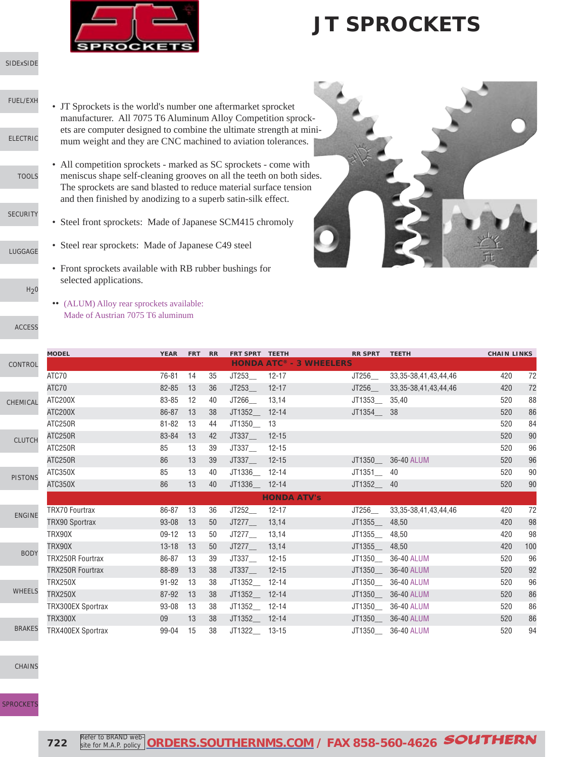

[SIDExSIDE](http://www.southernms.com/wp-content/uploads/2015/08/01_UTV.pdf)

- [FUEL/EXH](http://www.southernms.com/wp-content/uploads/2015/08/02_fuel_exh.pdf)
- [ELECTRIC](http://www.southernms.com/wp-content/uploads/2015/08/03_electrical.pdf)
	- [TOOLS](http://www.southernms.com/wp-content/uploads/2015/08/04_tools.pdf)
- [SECURITY](http://www.southernms.com/wp-content/uploads/2015/08/05_locks.pdf)
- 
- [LUGGAGE](http://www.southernms.com/wp-content/uploads/2015/08/06_lugg.pdf)
- - $H<sub>2</sub>0$

[ACCESS](http://www.southernms.com/wp-content/uploads/2015/08/08_accessories.pdf)

- JT Sprockets is the world's number one aftermarket sprocket manufacturer. All 7075 T6 Aluminum Alloy Competition sprockets are computer designed to combine the ultimate strength at minimum weight and they are CNC machined to aviation tolerances.
	- All competition sprockets marked as SC sprockets come with meniscus shape self-cleaning grooves on all the teeth on both sides. The sprockets are sand blasted to reduce material surface tension and then finished by anodizing to a superb satin-silk effect.
	- Steel front sprockets: Made of Japanese SCM415 chromoly
- Steel rear sprockets: Made of Japanese C49 steel
	- Front sprockets available with RB rubber bushings for selected applications.
	- •• (ALUM) Alloy rear sprockets available: Made of Austrian 7075 T6 aluminum

CONTR CLUT CHEMIC

PISTO

- ENGI
- 
- BO
- 
- WHEE
- 
- **BRAK**

[CHAINS](http://www.southernms.com/wp-content/uploads/2015/08/17_chains.pdf)





|            | <b>MODEL</b>             | <b>YEAR</b> | <b>FRT</b> | <b>RR</b> | FRT SPRT TEETH |                                | <b>RR SPRT</b> | <b>TEETH</b>              | <b>CHAIN LINKS</b> |     |
|------------|--------------------------|-------------|------------|-----------|----------------|--------------------------------|----------------|---------------------------|--------------------|-----|
| <b>JO!</b> |                          |             |            |           |                | <b>HONDA ATC® - 3 WHEELERS</b> |                |                           |                    |     |
|            | ATC70                    | 76-81       | 14         | 35        | JT253          | $12 - 17$                      | JT256          | 33, 35-38, 41, 43, 44, 46 | 420                | 72  |
|            | ATC70                    | 82-85       | 13         | 36        | JT253          | $12 - 17$                      | JT256          | 33, 35-38, 41, 43, 44, 46 | 420                | 72  |
|            | ATC200X                  | 83-85       | 12         | 40        | JT266          | 13,14                          | JT1353         | 35,40                     | 520                | 88  |
|            | ATC200X                  | 86-87       | 13         | 38        | JT1352_ 12-14  |                                | JT1354___ 38   |                           | 520                | 86  |
|            | ATC250R                  | $81 - 82$   | 13         | 44        | JT1350         | 13                             |                |                           | 520                | 84  |
|            | ATC250R                  | 83-84       | 13         | 42        | JT337          | $12 - 15$                      |                |                           | 520                | 90  |
|            | ATC250R                  | 85          | 13         | 39        | JT337          | $12 - 15$                      |                |                           | 520                | 96  |
|            | ATC250R                  | 86          | 13         | 39        | JT337          | $12 - 15$                      | JT1350         | 36-40 ALUM                | 520                | 96  |
|            | ATC350X                  | 85          | 13         | 40        | JT1336 12-14   |                                | JT1351         | 40                        | 520                | 90  |
|            | ATC350X                  | 86          | 13         | 40        | JT1336 12-14   |                                | JT1352         | 40                        | 520                | 90  |
|            |                          |             |            |           |                | <b>HONDA ATV's</b>             |                |                           |                    |     |
|            | <b>TRX70 Fourtrax</b>    | 86-87       | 13         | 36        | JT252          | $12 - 17$                      | JT256          | 33, 35-38, 41, 43, 44, 46 | 420                | 72  |
|            | <b>TRX90 Sportrax</b>    | 93-08       | 13         | 50        | JT277          | 13,14                          | JT1355         | 48,50                     | 420                | 98  |
|            | TRX90X                   | $09-12$     | 13         | 50        | JT277          | 13,14                          | JT1355         | 48,50                     | 420                | 98  |
|            | TRX90X                   | $13 - 18$   | 13         | 50        | JT277          | 13,14                          | JT1355         | 48,50                     | 420                | 100 |
|            | <b>TRX250R Fourtrax</b>  | 86-87       | 13         | 39        | JT337          | $12 - 15$                      | JT1350__       | 36-40 ALUM                | 520                | 96  |
|            | <b>TRX250R Fourtrax</b>  | 88-89       | 13         | 38        | JT337          | $12 - 15$                      | JT1350         | 36-40 ALUM                | 520                | 92  |
|            | <b>TRX250X</b>           | $91 - 92$   | 13         | 38        | JT1352_ 12-14  |                                | JT1350__       | 36-40 ALUM                | 520                | 96  |
|            | <b>TRX250X</b>           | 87-92       | 13         | 38        | JT1352 12-14   |                                | JT1350         | 36-40 ALUM                | 520                | 86  |
|            | <b>TRX300EX Sportrax</b> | 93-08       | 13         | 38        | JT1352 12-14   |                                | JT1350         | 36-40 ALUM                | 520                | 86  |
|            | <b>TRX300X</b>           | 09          | 13         | 38        | JT1352 12-14   |                                | JT1350         | 36-40 ALUM                | 520                | 86  |
|            | <b>TRX400EX Sportrax</b> | 99-04       | 15         | 38        | JT1322 13-15   |                                | JT1350_        | 36-40 ALUM                | 520                | 94  |
|            |                          |             |            |           |                |                                |                |                           |                    |     |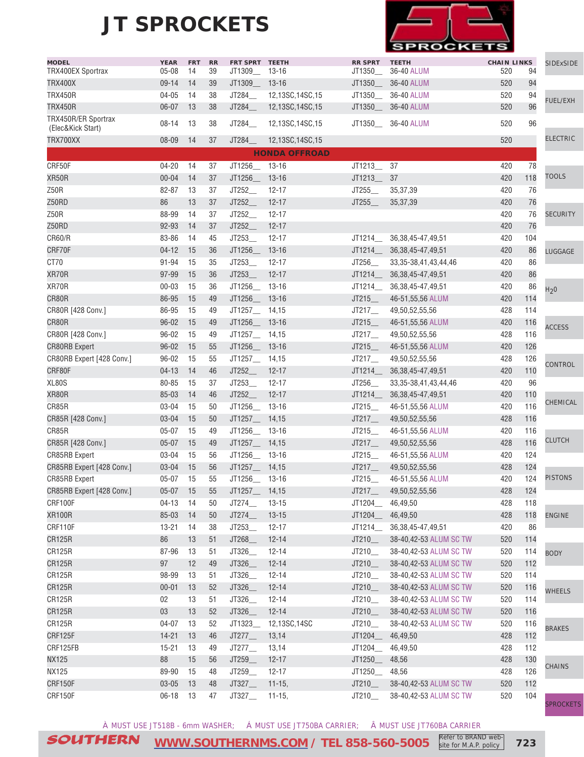

| <b>MODEL</b>                     | <b>YEAR</b>            | <b>FRT</b> | RR       | FRT SPRT TEETH  |                      | <b>RR SPRT</b>     | <b>TEETH</b>                       | <b>CHAIN LINKS</b> |          | <b>SIDExSIDE</b> |
|----------------------------------|------------------------|------------|----------|-----------------|----------------------|--------------------|------------------------------------|--------------------|----------|------------------|
| <b>TRX400EX Sportrax</b>         | $05 - 08$              | 14         | 39       | JT1309__        | 13-16                | JT1350_            | 36-40 ALUM                         | 520                | 94       |                  |
| <b>TRX400X</b>                   | 09-14                  | 14         | 39       | JT1309          | $13 - 16$            | JT1350__           | 36-40 ALUM                         | 520                | 94       |                  |
| <b>TRX450R</b><br><b>TRX450R</b> | $04 - 05$<br>$06 - 07$ | 14<br>13   | 38<br>38 | JT284           | 12,13SC,14SC,15      |                    | JT1350___ 36-40 ALUM<br>36-40 ALUM | 520<br>520         | 94<br>96 | <b>FUEL/EXH</b>  |
| TRX450R/ER Sportrax              |                        |            |          | JT284_          | 12,13SC,14SC,15      | JT1350_            |                                    |                    |          |                  |
| (Elec&Kick Start)                | $08 - 14$              | 13         | 38       | JT284_          | 12,13SC,14SC,15      |                    | JT1350___ 36-40 ALUM               | 520                | 96       |                  |
| TRX700XX                         | 08-09                  | 14         | 37       | JT284           | 12,13SC,14SC,15      |                    |                                    | 520                |          | <b>ELECTRIC</b>  |
|                                  |                        |            |          |                 | <b>HONDA OFFROAD</b> |                    |                                    |                    |          |                  |
| CRF50F                           | $04 - 20$              | 14         | 37       | JT1256_         | $13 - 16$            | JT1213_            | 37                                 | 420                | 78       |                  |
| XR50R                            | $00 - 04$              | 14         | 37       | JT1256 13-16    |                      | JT1213_            | 37                                 | 420                | 118      | <b>TOOLS</b>     |
| Z50R                             | 82-87                  | 13         | 37       | JT252_          | $12 - 17$            | JT255              | 35,37,39                           | 420                | 76       |                  |
| Z50RD                            | 86                     | 13         | 37       | JT252_          | $12 - 17$            | JT255              | 35, 37, 39                         | 420                | 76       |                  |
| Z50R                             | 88-99                  | 14         | 37       | JT252_          | $12 - 17$            |                    |                                    | 420                | 76       | <b>SECURITY</b>  |
| Z50RD                            | 92-93                  | 14         | 37       | JT252_          | $12 - 17$            |                    |                                    | 420                | 76       |                  |
| <b>CR60/R</b>                    | 83-86                  | 14         | 45       | JT253_          | $12 - 17$            | JT1214_            | 36, 38, 45 - 47, 49, 51            | 420                | 104      |                  |
| CRF70F                           | $04 - 12$              | 15         | 36       | JT1256_ 13-16   |                      |                    | JT1214___ 36,38,45-47,49,51        | 420                | 86       | <b>LUGGAGE</b>   |
| CT70                             | 91-94                  | 15         | 35       | JT253_          | $12 - 17$            | JT256_             | 33, 35-38, 41, 43, 44, 46          | 420                | 86       |                  |
| XR70R                            | 97-99                  | 15         | 36       | JT253           | $12 - 17$            | JT1214             | 36, 38, 45 - 47, 49, 51            | 420                | 86       |                  |
| XR70R                            | $00 - 03$              | 15         | 36       | JT1256_ 13-16   |                      | JT1214_            | 36, 38, 45-47, 49, 51              | 420                | 86       | H <sub>2</sub> 0 |
| CR80R                            | 86-95                  | 15         | 49       | JT1256_ 13-16   |                      | JT215              | 46-51,55,56 ALUM                   | 420                | 114      |                  |
| CR80R [428 Conv.]                | 86-95                  | 15         | 49       | JT1257_14,15    |                      | JT217              | 49,50,52,55,56                     | 428                | 114      |                  |
| CR80R                            | $96 - 02$              | 15         | 49       | JT1256 13-16    |                      | JT215              | 46-51,55,56 ALUM                   | 420                | 116      | <b>ACCESS</b>    |
| CR80R [428 Conv.]                | $96 - 02$              | 15         | 49       | JT1257___ 14,15 |                      | JT217              | 49,50,52,55,56                     | 428                | 116      |                  |
| <b>CR80RB Expert</b>             | $96 - 02$              | 15         | 55       | JT1256_ 13-16   |                      | JT215              | 46-51,55,56 ALUM                   | 420                | 126      |                  |
| CR80RB Expert [428 Conv.]        | $96 - 02$              | 15         | 55       | JT1257__ 14,15  |                      | JT217              | 49,50,52,55,56                     | 428                | 126      | CONTROL          |
| CRF80F                           | $04 - 13$              | 14         | 46       | JT252           | $12 - 17$            | JT1214             | 36, 38, 45-47, 49, 51              | 420                | 110      |                  |
| XL80S                            | 80-85                  | 15         | 37       | JT253_          | $12 - 17$            | JT256_             | 33, 35-38, 41, 43, 44, 46          | 420                | 96       |                  |
| XR80R                            | 85-03                  | 14         | 46       | JT252_          | $12 - 17$            | JT1214_            | 36, 38, 45 - 47, 49, 51            | 420                | 110      |                  |
| CR85R                            | 03-04                  | 15         | 50       | JT1256_ 13-16   |                      | JT215              | 46-51,55,56 ALUM                   | 420                | 116      | CHEMICAL         |
| CR85R [428 Conv.]                | $03 - 04$              | 15         | 50       | JT1257___ 14,15 |                      | JT217              | 49,50,52,55,56                     | 428                | 116      |                  |
| CR85R                            | $05 - 07$              | 15         | 49       | JT1256_ 13-16   |                      | JT215              | 46-51,55,56 ALUM                   | 420                | 116      |                  |
| CR85R [428 Conv.]                | $05 - 07$              | 15         | 49       | JT1257___ 14,15 |                      | JT217              | 49,50,52,55,56                     | 428                | 116      | <b>CLUTCH</b>    |
| <b>CR85RB Expert</b>             | 03-04                  | 15         | 56       | JT1256_ 13-16   |                      | JT215              | 46-51,55,56 ALUM                   | 420                | 124      |                  |
| CR85RB Expert [428 Conv.]        | 03-04                  | 15         | 56       | JT1257___ 14,15 |                      | JT217              | 49,50,52,55,56                     | 428                | 124      |                  |
| CR85RB Expert                    | $05 - 07$              | 15         | 55       | JT1256 13-16    |                      | JT215              | 46-51,55,56 ALUM                   | 420                | 124      | <b>PISTONS</b>   |
| CR85RB Expert [428 Conv.]        | 05-07 15               |            | 55       | JT1257_14,15    |                      | JT217              | 49,50,52,55,56                     | 428                | 124      |                  |
| CRF100F                          | $04 - 13$              | -14        | 50       | JT274           | $13 - 15$            | JT1204___ 46,49,50 |                                    | 428                | 118      |                  |
| <b>XR100R</b>                    | 85-03                  | 14         | 50       | JT274           | $13 - 15$            | JT1204 46,49,50    |                                    | 428                | 118      | <b>ENGINE</b>    |
| CRF110F                          | $13 - 21$              | 14         | 38       | JT253_          | $12 - 17$            |                    | JT1214____ 36,38,45-47,49,51       | 420                | 86       |                  |
| <b>CR125R</b>                    | 86                     | 13         | 51       | JT268_          | $12 - 14$            | JT210              | 38-40,42-53 ALUM SC TW             | 520                | 114      |                  |
| CR125R                           | 87-96                  | 13         | 51       | JT326_          | $12 - 14$            | JT210              | 38-40,42-53 ALUM SC TW             | 520                | 114      | <b>BODY</b>      |
| <b>CR125R</b>                    | $97\,$                 | 12         | 49       | JT326_          | $12 - 14$            | JT210              | 38-40,42-53 ALUM SC TW             | 520                | 112      |                  |
| CR125R                           | 98-99                  | 13         | 51       | JT326_          | $12 - 14$            | JT210              | 38-40,42-53 ALUM SC TW             | 520                | 114      |                  |
| <b>CR125R</b>                    | $00 - 01$              | 13         | 52       | JT326_          | $12 - 14$            | JT210              | 38-40,42-53 ALUM SC TW             | 520                | 116      | <b>WHEELS</b>    |
| <b>CR125R</b>                    | 02                     | 13         | 51       | JT326_          | $12 - 14$            | JT210              | 38-40,42-53 ALUM SC TW             | 520                | 114      |                  |
| <b>CR125R</b>                    | $03\,$                 | 13         | 52       | JT326_          | $12 - 14$            | JT210              | 38-40,42-53 ALUM SC TW             | 520                | 116      |                  |
| <b>CR125R</b>                    | 04-07                  | 13         | 52       | JT1323_         | 12,13SC,14SC         | JT210              | 38-40,42-53 ALUM SC TW             | 520                | 116      | <b>BRAKES</b>    |
| CRF125F                          | $14 - 21$              | 13         | 46       | JT277           | 13,14                | JT1204___          | 46,49,50                           | 428                | 112      |                  |
| CRF125FB                         | $15 - 21$              | 13         | 49       | JT277           | 13,14                | JT1204_            | 46,49,50                           | 428                | 112      |                  |
| <b>NX125</b>                     | 88                     | 15         | 56       | JT259_          | $12 - 17$            | JT1250_            | 48,56                              | 428                | 130      | <b>CHAINS</b>    |
| <b>NX125</b>                     | 89-90                  | 15         | 48       | JT259__         | $12 - 17$            | JT1250__           | 48,56                              | 428                | 126      |                  |
| CRF150F                          | $03 - 05$              | 13         | 48       | JT327           | $11-15,$             | JT210              | 38-40,42-53 ALUM SC TW             | 520                | 112      |                  |
| CRF150F                          | 06-18                  | - 13       | 47       | JT327           | $11 - 15,$           | JT210              | 38-40,42-53 ALUM SC TW             | 520                | 104      | <b>SPROCKETS</b> |

À MUST USE JT518B - 6mm WASHER; Á MUST USE JT750BA CARRIER; Â MUST USE JT760BA CARRIER

SOUTHERN **[WWW.SOUTHERNMS.COM](http://m.southernms.com) / TEL 858-560-5005 723** Refer to BRAND website for M.A.P. policy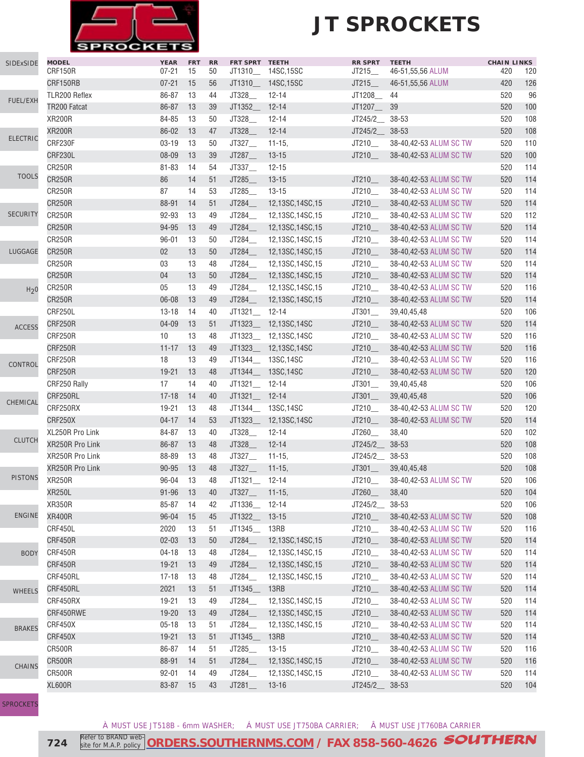

| <b>SIDExSIDE</b> | <b>MODEL</b>    | <b>YEAR</b> | <b>FRT</b> | <b>RR</b> | FRT SPRT TEETH   |                        | <b>RR SPRT</b>       | <b>TEETH</b>           | <b>CHAIN LINKS</b> |     |
|------------------|-----------------|-------------|------------|-----------|------------------|------------------------|----------------------|------------------------|--------------------|-----|
|                  | CRF150R         | $07 - 21$   | 15         | 50        | JT1310           | 14SC, 15SC             | JT215                | 46-51,55,56 ALUM       | 420                | 120 |
|                  | CRF150RB        | $07 - 21$   | 15         | 56        |                  | JT1310__ 14SC,15SC     | JT215                | 46-51,55,56 ALUM       | 420                | 126 |
| FUEL/EXH         | TLR200 Reflex   | 86-87       | 13         | 44        | JT328            | $12 - 14$              | JT1208_              | 44                     | 520                | 96  |
|                  | TR200 Fatcat    | 86-87       | 13         | 39        | JT1352_          | $12 - 14$              | JT1207_              | 39                     | 520                | 100 |
|                  | <b>XR200R</b>   | 84-85       | 13         | 50        | JT328_           | $12 - 14$              | JT245/2__ 38-53      |                        | 520                | 108 |
| <b>ELECTRIC</b>  | <b>XR200R</b>   | 86-02       | 13         | 47        | JT328_           | $12 - 14$              | JT245/2_             | 38-53                  | 520                | 108 |
|                  | CRF230F         | $03 - 19$   | 13         | 50        | JT327            | $11 - 15$ ,            | JT210_               | 38-40,42-53 ALUM SC TW | 520                | 110 |
|                  | CRF230L         | 08-09       | 13         | 39        | JT287_           | $13 - 15$              | JT210_               | 38-40,42-53 ALUM SC TW | 520                | 100 |
| <b>TOOLS</b>     | <b>CR250R</b>   | $81 - 83$   | 14         | 54        | JT337_           | $12 - 15$              |                      |                        | 520                | 114 |
|                  | <b>CR250R</b>   | 86          | 14         | 51        | JT285            | $13 - 15$              | JT210                | 38-40,42-53 ALUM SC TW | 520                | 114 |
|                  | <b>CR250R</b>   | 87          | 14         | 53        | JT285            | $13 - 15$              | JT210                | 38-40,42-53 ALUM SC TW | 520                | 114 |
|                  | <b>CR250R</b>   | 88-91       | 14         | 51        | JT284            | 12,13SC,14SC,15        | JT210                | 38-40,42-53 ALUM SC TW | 520                | 114 |
| <b>SECURITY</b>  | <b>CR250R</b>   | 92-93       | 13         | 49        | JT284            | 12,13SC,14SC,15        | JT210                | 38-40,42-53 ALUM SC TW | 520                | 112 |
|                  | <b>CR250R</b>   | 94-95       | 13         | 49        | JT284            | 12,13SC,14SC,15        | JT210                | 38-40,42-53 ALUM SC TW | 520                | 114 |
|                  | <b>CR250R</b>   | $96 - 01$   | 13         | 50        | JT284_           | 12,13SC,14SC,15        | JT210__              | 38-40,42-53 ALUM SC TW | 520                | 114 |
| LUGGAGE          | <b>CR250R</b>   | 02          | 13         | 50        | JT284_           | 12,13SC,14SC,15        | JT210_               | 38-40,42-53 ALUM SC TW | 520                | 114 |
|                  | <b>CR250R</b>   | 03          | 13         | 48        | JT284_           | 12,13SC,14SC,15        | JT210                | 38-40,42-53 ALUM SC TW | 520                | 114 |
|                  | <b>CR250R</b>   | 04          | 13         | 50        | JT284_           | 12,13SC,14SC,15        | JT210                | 38-40,42-53 ALUM SC TW | 520                | 114 |
| H <sub>2</sub> 0 | <b>CR250R</b>   | 05          | 13         | 49        | JT284_           | 12,13SC,14SC,15        | JT210                | 38-40,42-53 ALUM SC TW | 520                | 116 |
|                  | <b>CR250R</b>   | 06-08       | 13         | 49        | JT284_           | 12,13SC,14SC,15        | JT210_               | 38-40,42-53 ALUM SC TW | 520                | 114 |
|                  | CRF250L         | $13 - 18$   | 14         | 40        | JT1321__         | 12-14                  | $JT301$ <sub>—</sub> | 39,40,45,48            | 520                | 106 |
| <b>ACCESS</b>    | CRF250R         | 04-09       | 13         | 51        | JT1323_          | 12,13SC,14SC           | JT210_               | 38-40,42-53 ALUM SC TW | 520                | 114 |
|                  | CRF250R         | 10          | 13         | 48        | JT1323           | 12,13SC,14SC           | JT210                | 38-40,42-53 ALUM SC TW | 520                | 116 |
|                  | <b>CRF250R</b>  | $11 - 17$   | 13         | 49        |                  | JT1323___ 12,13SC,14SC | JT210_               | 38-40,42-53 ALUM SC TW | 520                | 116 |
|                  | CRF250R         | 18          | 13         | 49        | JT1344           | 13SC, 14SC             | JT210                | 38-40,42-53 ALUM SC TW | 520                | 116 |
| CONTROL          | <b>CRF250R</b>  | $19 - 21$   | 13         | 48        | JT1344           | 13SC, 14SC             | JT210                | 38-40,42-53 ALUM SC TW | 520                | 120 |
|                  | CRF250 Rally    | 17          | 14         | 40        | JT1321_          | $12 - 14$              | JT301                | 39,40,45,48            | 520                | 106 |
|                  | CRF250RL        | $17 - 18$   | 14         | 40        | JT1321_          | $12 - 14$              | JT301                | 39,40,45,48            | 520                | 106 |
| CHEMICAL         | CRF250RX        | 19-21       | 13         | 48        |                  | JT1344__ 13SC,14SC     | JT210                | 38-40,42-53 ALUM SC TW | 520                | 120 |
|                  | CRF250X         | $04 - 17$   | 14         | 53        | JT1323_          | 12,13SC,14SC           | JT210_               | 38-40,42-53 ALUM SC TW | 520                | 114 |
|                  | XL250R Pro Link | 84-87       | 13         | 40        | JT328_           | $12 - 14$              | JT260_               | 38,40                  | 520                | 102 |
| <b>CLUTCH</b>    | XR250R Pro Link | 86-87       | 13         | 48        | JT328_           | $12 - 14$              | JT245/2              | 38-53                  | 520                | 108 |
|                  | XR250R Pro Link | 88-89       | 13         | 48        | JT327            | $11 - 15$              | JT245/2              | 38-53                  | 520                | 108 |
|                  | XR250R Pro Link | 90-95       | 13         | 48        | JT327            | $11 - 15$ ,            | JT301                | 39,40,45,48            | 520                | 108 |
| <b>PISTONS</b>   | <b>XR250R</b>   | 96-04 13    |            | 48        | $JT1321 - 12-14$ |                        | JT210                | 38-40,42-53 ALUM SC TW | 520                | 106 |
|                  | <b>XR250L</b>   | $91 - 96$   | 13         | 40        | JT327_           | $11 - 15,$             | JT260_               | 38,40                  | 520                | 104 |
|                  | <b>XR350R</b>   | 85-87       | 14         | 42        | JT1336           | $12 - 14$              | JT245/2              | $38 - 53$              | 520                | 106 |
| <b>ENGINE</b>    | <b>XR400R</b>   | 96-04       | 15         | 45        | JT1322_          | $13 - 15$              | JT210                | 38-40,42-53 ALUM SC TW | 520                | 108 |
|                  | CRF450L         | 2020        | 13         | 51        | JT1345_          | 13RB                   | JT210                | 38-40,42-53 ALUM SC TW | 520                | 116 |
|                  | CRF450R         | $02 - 03$   | 13         | 50        | JT284            | 12,13SC,14SC,15        | JT210                | 38-40,42-53 ALUM SC TW | 520                | 114 |
| <b>BODY</b>      | CRF450R         | $04 - 18$   | 13         | 48        | JT284_           | 12,13SC,14SC,15        | JT210                | 38-40,42-53 ALUM SC TW | 520                | 114 |
|                  | CRF450R         | $19 - 21$   | 13         | 49        | JT284_           | 12,13SC,14SC,15        | JT210_               | 38-40,42-53 ALUM SC TW | 520                | 114 |
|                  | CRF450RL        | $17 - 18$   | 13         | 48        | JT284_           | 12,13SC,14SC,15        | JT210_               | 38-40,42-53 ALUM SC TW | 520                | 114 |
|                  | CRF450RL        | 2021        | 13         | 51        | JT1345           | 13RB                   | JT210_               | 38-40,42-53 ALUM SC TW | 520                | 114 |
| <b>WHEELS</b>    | CRF450RX        | 19-21       | 13         | 49        | JT284            | 12,13SC,14SC,15        | JT210_               | 38-40,42-53 ALUM SC TW | 520                | 114 |
|                  | CRF450RWE       | $19 - 20$   | 13         | 49        | JT284_           | 12,13SC,14SC,15        | JT210                | 38-40,42-53 ALUM SC TW | 520                | 114 |
|                  | CRF450X         | $05 - 18$   | 13         | 51        | JT284_           | 12,13SC,14SC,15        | JT210_               | 38-40,42-53 ALUM SC TW | 520                | 114 |
| <b>BRAKES</b>    | CRF450X         | $19 - 21$   | 13         | 51        | JT1345           | 13RB                   | JT210_               | 38-40,42-53 ALUM SC TW | 520                | 114 |
|                  | <b>CR500R</b>   | 86-87       | 14         | 51        | JT285            | $13 - 15$              | JT210                | 38-40,42-53 ALUM SC TW | 520                | 116 |
|                  | <b>CR500R</b>   | 88-91       | 14         | 51        | JT284_           | 12,13SC,14SC,15        | JT210                | 38-40,42-53 ALUM SC TW | 520                | 116 |
| <b>CHAINS</b>    | CR500R          | $92 - 01$   | 14         | 49        | JT284_           | 12,13SC,14SC,15        | JT210                | 38-40,42-53 ALUM SC TW | 520                | 114 |
|                  | <b>XL600R</b>   | 83-87       | 15         | 43        | JT281            | $13 - 16$              | JT245/2              | 38-53                  | 520                | 104 |
|                  |                 |             |            |           |                  |                        |                      |                        |                    |     |

**[SPROCKETS](http://www.southernms.com/wp-content/uploads/2015/08/18_sprockets.pdf)** 

À MUST USE JT518B - 6mm WASHER; Á MUST USE JT750BA CARRIER; Â MUST USE JT760BA CARRIER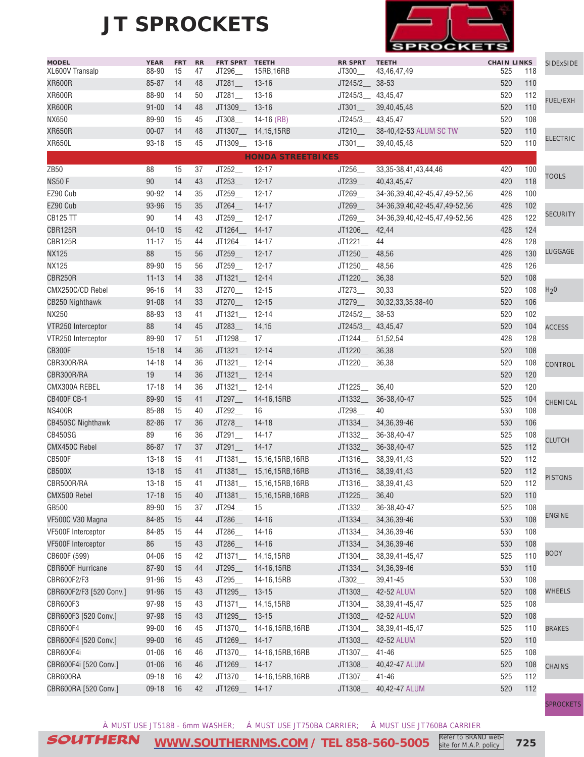

| <b>MODEL</b><br>XL600V Transalp | <b>YEAR</b>    | <b>FRT</b> | <b>RR</b> | FRT SPRT TEETH  |                           | <b>RR SPRT</b>            | <b>TEETH</b>                        | <b>CHAIN LINKS</b> | 118 | <b>SIDExSIDE</b> |
|---------------------------------|----------------|------------|-----------|-----------------|---------------------------|---------------------------|-------------------------------------|--------------------|-----|------------------|
| <b>XR600R</b>                   | 88-90<br>85-87 | 15         | 47        | JT296           | 15RB,16RB<br>$13 - 16$    | JT300__<br>JT245/2_ 38-53 | 43,46,47,49                         | 525<br>520         | 110 |                  |
| <b>XR600R</b>                   | 88-90          | 14         | 48        | JT281           | $13 - 16$                 |                           |                                     | 520                | 112 |                  |
|                                 |                | 14         | 50        | JT281           |                           | JT245/3___ 43,45,47       |                                     |                    |     | <b>FUEL/EXH</b>  |
| <b>XR600R</b>                   | $91 - 00$      | 14         | 48        | JT1309_ 13-16   |                           | $JT301$ <sub>___</sub>    | 39,40,45,48                         | 520                | 110 |                  |
| NX650                           | 89-90          | 15         | 45        | JT308_          | $14-16$ (RB)              | JT245/3_ 43,45,47         |                                     | 520                | 108 |                  |
| <b>XR650R</b>                   | $00 - 07$      | 14         | 48        |                 | JT1307 14,15,15RB         | JT210                     | 38-40,42-53 ALUM SC TW              | 520                | 110 | <b>ELECTRIC</b>  |
| <b>XR650L</b>                   | $93 - 18$      | 15         | 45        | JT1309 13-16    |                           | JT301                     | 39,40,45,48                         | 520                | 110 |                  |
|                                 |                |            |           |                 | <b>HONDA STREETBIKES</b>  |                           |                                     |                    |     |                  |
| ZB50                            | 88             | 15         | 37        | JT252_          | $12 - 17$                 | JT256_                    | 33, 35-38, 41, 43, 44, 46           | 420                | 100 | <b>TOOLS</b>     |
| <b>NS50 F</b>                   | 90             | 14         | 43        | JT253           | $12 - 17$                 | JT239_                    | 40,43,45,47                         | 420                | 118 |                  |
| EZ90 Cub                        | 90-92          | 14         | 35        | JT259_          | $12 - 17$                 | JT269_                    | 34-36,39,40,42-45,47,49-52,56       | 428                | 100 |                  |
| EZ90 Cub                        | 93-96          | 15         | 35        | JT264_          | $14 - 17$                 | JT269_                    | 34-36, 39, 40, 42-45, 47, 49-52, 56 | 428                | 102 |                  |
| <b>CB125 TT</b>                 | 90             | 14         | 43        | JT259_          | $12 - 17$                 | JT269_                    | 34-36, 39, 40, 42-45, 47, 49-52, 56 | 428                | 122 | <b>SECURITY</b>  |
| <b>CBR125R</b>                  | $04 - 10$      | 15         | 42        | JT1264          | 14-17                     | JT1206_                   | 42,44                               | 428                | 124 |                  |
| CBR125R                         | $11 - 17$      | 15         | 44        | JT1264_         | 14-17                     | JT1221                    | 44                                  | 428                | 128 |                  |
| <b>NX125</b>                    | 88             | 15         | 56        | JT259           | $12 - 17$                 | JT1250_                   | 48,56                               | 428                | 130 | LUGGAGE          |
| <b>NX125</b>                    | 89-90          | 15         | 56        | JT259           | $12 - 17$                 | JT1250                    | 48,56                               | 428                | 126 |                  |
| <b>CBR250R</b>                  | $11 - 13$      | 14         | 38        | JT1321_ 12-14   |                           | JT1220_                   | 36,38                               | 520                | 108 |                  |
| CMX250C/CD Rebel                | $96 - 16$      | 14         | 33        | JT270           | $12 - 15$                 | JT273                     | 30,33                               | 520                | 108 | H <sub>2</sub> 0 |
| <b>CB250 Nighthawk</b>          | $91 - 08$      | 14         | 33        | JT270           | $12 - 15$                 | JT279                     | 30, 32, 33, 35, 38-40               | 520                | 106 |                  |
| <b>NX250</b>                    | 88-93          | 13         | 41        | JT1321_         | 12-14                     | JT245/2                   | 38-53                               | 520                | 102 |                  |
| VTR250 Interceptor              | 88             | 14         | 45        | JT283           | 14,15                     | JT245/3___ 43,45,47       |                                     | 520                | 104 | <b>ACCESS</b>    |
| VTR250 Interceptor              | 89-90          | 17         | 51        | JT1298__ 17     |                           | JT1244 51,52,54           |                                     | 428                | 128 |                  |
| <b>CB300F</b>                   | $15 - 18$      | 14         | 36        | $JT1321$ 12-14  |                           | JT1220__                  | 36,38                               | 520                | 108 |                  |
| CBR300R/RA                      | 14-18          | 14         | 36        | JT1321_ 12-14   |                           | JT1220                    | 36,38                               | 520                | 108 |                  |
| CBR300R/RA                      | 19             | 14         | 36        | JT1321_ 12-14   |                           |                           |                                     | 520                | 120 | CONTROL          |
| CMX300A REBEL                   | $17 - 18$      | 14         | 36        | JT1321_ 12-14   |                           | JT1225_                   | 36,40                               | 520                | 120 |                  |
| <b>CB400F CB-1</b>              | 89-90          | 15         | 41        | JT297_          | 14-16,15RB                | JT1332                    | 36-38,40-47                         | 525                | 104 |                  |
| <b>NS400R</b>                   | 85-88          | 15         | 40        | JT292           | 16                        | JT298_                    | 40                                  | 530                | 108 | CHEMICAL         |
|                                 | 82-86          |            |           | JT278           |                           |                           |                                     | 530                | 106 |                  |
| <b>CB450SC Nighthawk</b>        |                | 17         | 36        |                 | $14-18$                   | JT1334                    | 34, 36, 39-46                       |                    |     |                  |
| CB450SG                         | 89             | 16         | 36        | JT291_<br>JT291 | 14-17                     | JT1332                    | 36-38.40-47                         | 525                | 108 | <b>CLUTCH</b>    |
| CMX450C Rebel                   | 86-87          | 17         | 37        |                 | $14 - 17$                 | JT1332                    | 36-38,40-47                         | 525                | 112 |                  |
| CB500F                          | $13 - 18$      | 15         | 41        |                 | JT1381__ 15,16,15RB,16RB  |                           | JT1316___ 38,39,41,43               | 520                | 112 |                  |
| <b>CB500X</b>                   | $13 - 18$      | 15         | 41        |                 | JT1381__ 15,16,15RB,16RB  |                           | JT1316 38,39,41,43                  | 520                | 112 | <b>PISTONS</b>   |
| CBR500R/RA                      | $13 - 18$      | 15         | 41        |                 | JT1381__ 15,16,15RB,16RB  |                           | JT1316____ 38,39,41,43              | 520                | 112 |                  |
| CMX500 Rebel                    | $17-18$ 15     |            | $40\,$    |                 | JT1381__ 15,16,15RB,16RB  | JT1225___ 36,40           |                                     | 520                | 110 |                  |
| GB500                           | 89-90          | 15         | 37        | JT294_          | 15                        | JT1332__                  | 36-38,40-47                         | 525                | 108 | <b>ENGINE</b>    |
| VF500C V30 Magna                | 84-85          | 15         | 44        | JT286_          | $14 - 16$                 | JT1334                    | 34, 36, 39-46                       | 530                | 108 |                  |
| VF500F Interceptor              | 84-85          | 15         | 44        | JT286_          | $14 - 16$                 | JT1334_                   | 34, 36, 39-46                       | 530                | 108 |                  |
| VF500F Interceptor              | 86             | 15         | 43        | JT286_          | $14 - 16$                 | JT1334_                   | 34, 36, 39-46                       | 530                | 108 |                  |
| CB600F (599)                    | 04-06          | 15         | 42        |                 | JT1371___ 14,15,15RB      | JT1304__                  | 38, 39, 41 - 45, 47                 | 525                | 110 | <b>BODY</b>      |
| <b>CBR600F Hurricane</b>        | 87-90          | 15         | 44        | JT295_          | 14-16,15RB                | JT1334_                   | 34, 36, 39-46                       | 530                | 110 |                  |
| CBR600F2/F3                     | $91 - 96$      | 15         | 43        | JT295__         | 14-16,15RB                | JT302_                    | 39,41-45                            | 530                | 108 |                  |
| CBR600F2/F3 [520 Conv.]         | 91-96          | 15         | 43        | JT1295_ 13-15   |                           | JT1303_                   | 42-52 ALUM                          | 520                | 108 | WHEELS           |
| CBR600F3                        | 97-98          | 15         | 43        |                 | JT1371 14,15,15RB         | JT1304_                   | 38, 39, 41 - 45, 47                 | 525                | 108 |                  |
| CBR600F3 [520 Conv.]            | 97-98          | 15         | 43        | JT1295_ 13-15   |                           |                           | JT1303___ 42-52 ALUM                | 520                | 108 |                  |
| CBR600F4                        | 99-00          | 16         | 45        |                 | JT1370__ 14-16,15RB,16RB  |                           |                                     | 525                | 110 | <b>BRAKES</b>    |
| CBR600F4 [520 Conv.]            | 99-00          | 16         | 45        | JT1269_ 14-17   |                           |                           | JT1303___ 42-52 ALUM                | 520                | 110 |                  |
| CBR600F4i                       | $01 - 06$      | 16         | 46        |                 | JT1370__ 14-16,15RB,16RB  | JT1307__                  | $41 - 46$                           | 525                | 108 |                  |
| CBR600F4i [520 Conv.]           | $01 - 06$      | 16         | 46        | JT1269_ 14-17   |                           | JT1308___                 | 40,42-47 ALUM                       | 520                | 108 | <b>CHAINS</b>    |
| CBR600RA                        | 09-18          | 16         | 42        |                 | JT1370___ 14-16,15RB,16RB | JT1307_                   | 41-46                               | 525                | 112 |                  |
| CBR600RA [520 Conv.]            | 09-18          | 16         | 42        | JT1269___ 14-17 |                           | JT1308___                 | 40,42-47 ALUM                       | 520                | 112 |                  |
|                                 |                |            |           |                 |                           |                           |                                     |                    |     | <b>SPROCKETS</b> |
|                                 |                |            |           |                 |                           |                           |                                     |                    |     |                  |

À MUST USE JT518B - 6mm WASHER; Á MUST USE JT750BA CARRIER; Â MUST USE JT760BA CARRIER

site for M.A.P. policy

SOUTHERN **[WWW.SOUTHERNMS.COM](http://m.southernms.com) / TEL 858-560-5005 725** Refer to BRAND web-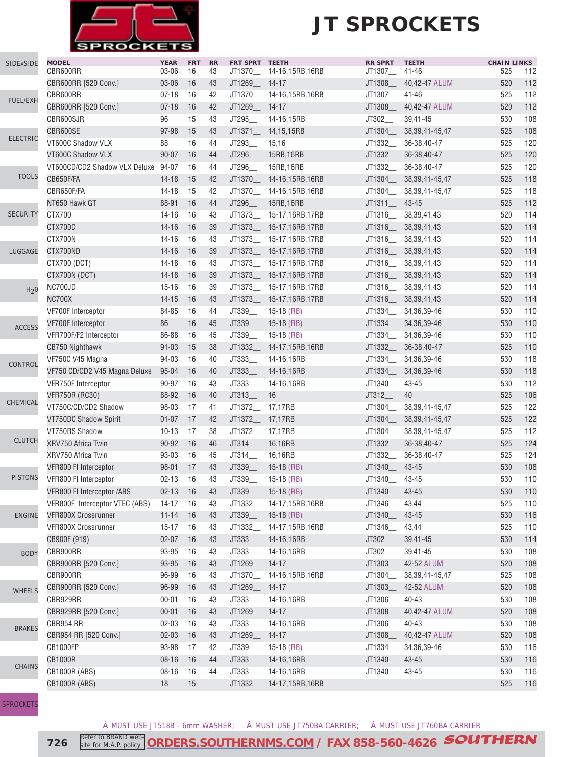

| SIDExSIDE        | <b>MODEL</b><br>CBR600RR       | <b>YEAR</b><br>$03 - 06$ | <b>FRT</b><br>16 | <b>RR</b><br>43 | FRT SPRT TEETH<br>JT1370_ | 14-16,15RB,16RB           | <b>RR SPRT</b><br>JT1307_ | <b>TEETH</b><br>$41 - 46$ | <b>CHAIN LINKS</b><br>525 | 112 |
|------------------|--------------------------------|--------------------------|------------------|-----------------|---------------------------|---------------------------|---------------------------|---------------------------|---------------------------|-----|
|                  | CBR600RR [520 Conv.]           | 03-06                    | 16               | 43              | JT1269_ 14-17             |                           | JT1308_                   | 40,42-47 ALUM             | 520                       | 112 |
|                  | CBR600RR                       | $07 - 18$                | 16               | 42              | JT1370_                   | 14-16,15RB,16RB           | JT1307_                   | $41 - 46$                 | 525                       | 112 |
| FUEL/EXH         | CBR600RR [520 Conv.]           | $07 - 18$                | 16               | 42              | JT1269_                   | $14 - 17$                 | JT1308_                   | 40,42-47 ALUM             | 520                       | 112 |
|                  | CBR600SJR                      | 96                       | 15               | 43              | JT295                     | 14-16,15RB                | JT302_                    | 39,41-45                  | 530                       | 108 |
|                  | CBR600SE                       | 97-98                    | 15               | 43              | JT1371_                   | 14,15,15RB                | JT1304_                   | 38, 39, 41 - 45, 47       | 525                       | 108 |
| <b>ELECTRIC</b>  | VT600C Shadow VLX              | 88                       | 16               | 44              | JT293_                    | 15,16                     | JT1332_                   | 36-38,40-47               | 525                       | 120 |
|                  | VT600C Shadow VLX              | $90 - 07$                | 16               | 44              | JT296                     | 15RB, 16RB                | JT1332                    | 36-38,40-47               | 525                       | 120 |
|                  | VT600CD/CD2 Shadow VLX Deluxe  | 94-07                    | 16               | 44              | JT296_                    | 15RB, 16RB                | JT1332                    | 36-38,40-47               | 525                       | 120 |
| <b>TOOLS</b>     | CB650F/FA                      | $14 - 18$                | 15               | 42              |                           | JT1370__ 14-16,15RB,16RB  | JT1304_                   | 38, 39, 41 - 45, 47       | 525                       | 118 |
|                  | CBR650F/FA                     | $14 - 18$                | 15               | 42              |                           | JT1370_ 14-16,15RB,16RB   | JT1304_                   | 38, 39, 41 - 45, 47       | 525                       | 118 |
|                  | NT650 Hawk GT                  | 88-91                    | 16               | 44              | JT296                     | 15RB, 16RB                | JT1311                    | 43-45                     | 525                       | 112 |
| <b>SECURITY</b>  | CTX700                         | $14 - 16$                | 16               | 43              |                           | JT1373___ 15-17,16RB,17RB | JT1316__                  | 38, 39, 41, 43            | 520                       | 114 |
|                  | CTX700D                        | $14 - 16$                | 16               | 39              |                           | JT1373___ 15-17,16RB,17RB | JT1316_                   | 38, 39, 41, 43            | 520                       | 114 |
|                  | CTX700N                        | $14 - 16$                | 16               | 43              |                           | JT1373__ 15-17,16RB,17RB  |                           | JT1316___ 38,39,41,43     | 520                       | 114 |
| LUGGAGE          | CTX700ND                       | $14 - 16$                | 16               | 39              |                           | JT1373___ 15-17,16RB,17RB | JT1316__                  | 38, 39, 41, 43            | 520                       | 114 |
|                  | CTX700 (DCT)                   | $14 - 18$                | 16               | 43              |                           | JT1373__ 15-17,16RB,17RB  | JT1316_                   | 38, 39, 41, 43            | 520                       | 114 |
|                  | CTX700N (DCT)                  | $14 - 18$                | 16               | 39              | JT1373_                   | 15-17,16RB,17RB           | JT1316_                   | 38, 39, 41, 43            | 520                       | 114 |
|                  | NC700JD                        | $15 - 16$                | 16               | 39              |                           | JT1373 15-17,16RB,17RB    | JT1316_                   | 38, 39, 41, 43            | 520                       | 114 |
| H <sub>2</sub> 0 | <b>NC700X</b>                  | $14 - 15$                | 16               | 43              | JT1373_                   | 15-17,16RB,17RB           | JT1316_                   | 38, 39, 41, 43            | 520                       | 114 |
|                  | VF700F Interceptor             | 84-85                    | 16               | 44              | JT339                     | $15-18$ (RB)              | JT1334__                  | 34, 36, 39-46             | 530                       | 110 |
|                  | VF700F Interceptor             | 86                       | 16               | 45              | JT339                     | $15-18$ (RB)              | JT1334_                   | 34, 36, 39-46             | 530                       | 110 |
| <b>ACCESS</b>    | VFR700F/F2 Interceptor         | 86-88                    | 16               | 45              | JT339                     | $15-18$ (RB)              | JT1334_                   | 34, 36, 39-46             | 530                       | 110 |
|                  | CB750 Nighthawk                | $91 - 03$                | 15               | 38              | JT1332                    | 14-17,15RB,16RB           | JT1332_                   | 36-38,40-47               | 525                       | 110 |
|                  | VF750C V45 Magna               | 94-03                    | 16               | 40              | JT333                     | 14-16,16RB                | JT1334_                   | 34, 36, 39-46             | 530                       | 118 |
| CONTROL          | VF750 CD/CD2 V45 Magna Deluxe  | $95 - 04$                | 16               | 40              | JT333                     | 14-16,16RB                | JT1334___                 | 34, 36, 39-46             | 530                       | 118 |
|                  | VFR750F Interceptor            | 90-97                    | 16               | 43              | JT333_                    | 14-16,16RB                | JT1340_                   | 43-45                     | 530                       | 112 |
|                  | <b>VFR750R (RC30)</b>          | 88-92                    | 16               | 40              | JT313_                    | 16                        | JT312_                    | 40                        | 525                       | 106 |
| CHEMICAL         | VT750C/CD/CD2 Shadow           | 98-03                    | 17               | 41              | JT1372_ 17,17RB           |                           | JT1304_                   | 38, 39, 41 - 45, 47       | 525                       | 122 |
|                  | VT750DC Shadow Spirit          | $01 - 07$                | 17               | 42              | JT1372__ 17,17RB          |                           | JT1304_                   | 38, 39, 41 - 45, 47       | 525                       | 122 |
|                  | VT750RS Shadow                 | $10 - 13$                | 17               | 38              | JT1372_                   | 17,17RB                   | JT1304_                   | 38, 39, 41 - 45, 47       | 525                       | 112 |
| <b>CLUTCH</b>    | XRV750 Africa Twin             | 90-92                    | 16               | 46              | JT314_                    | 16,16RB                   | JT1332_                   | 36-38,40-47               | 525                       | 124 |
|                  | XRV750 Africa Twin             | 93-03                    | 16               | 45              | JT314__                   | 16,16RB                   | JT1332_                   | 36-38,40-47               | 525                       | 124 |
|                  | VFR800 FI Interceptor          | $98 - 01$                | 17               | 43              | JT339_                    | $15-18$ (RB)              | JT1340                    | $43 - 45$                 | 530                       | 108 |
| <b>PISTONS</b>   | VFR800 FI Interceptor          | $02 - 13$                | 16               | 43              | JT339                     | $15-18$ (RB)              | JT1340__                  | 43-45                     | 530                       | 110 |
|                  | VFR800 FI Interceptor /ABS     | $02 - 13$                | 16               |                 | JT339_                    | $15-18$ (RB)              | JT1340_                   | 43-45                     | 530                       | 110 |
|                  | VFR800F Interceptor VTEC (ABS) | $14 - 17$                | 16               | 43<br>43        | JT1332_                   | 14-17,15RB,16RB           | JT1346_                   | 43,44                     | 525                       | 110 |
| <b>ENGINE</b>    | VFR800X Crossrunner            | $11 - 14$                | 16               | 43              | JT339_                    | $15-18$ (RB)              | JT1340_                   | $43 - 45$                 | 530                       | 116 |
|                  | VFR800X Crossrunner            | $15 - 17$                | 16               | 43              | JT1332_                   | 14-17,15RB,16RB           | JT1346_                   | 43,44                     | 525                       | 110 |
|                  | CB900F (919)                   | $02 - 07$                | 16               | 43              | JT333_                    | 14-16,16RB                | JT302_                    | 39,41-45                  | 530                       | 114 |
|                  | CBR900RR                       | 93-95                    | 16               | 43              | JT333_                    | 14-16,16RB                | JT302_                    | 39,41-45                  | 530                       | 108 |
| <b>BODY</b>      | CBR900RR [520 Conv.]           | 93-95                    | 16               | 43              | JT1269_                   | $14-17$                   | JT1303_                   | 42-52 ALUM                | 520                       | 108 |
|                  | CBR900RR                       |                          |                  |                 |                           |                           |                           |                           |                           |     |
|                  |                                | 96-99                    | 16               | 43              | JT1370_                   | 14-16,15RB,16RB           | JT1304_                   | 38, 39, 41 - 45, 47       | 525                       | 108 |
| <b>WHEELS</b>    | CBR900RR [520 Conv.]           | 96-99                    | 16               | 43              | JT1269_                   | $14 - 17$                 | JT1303_                   | 42-52 ALUM                | 520                       | 108 |
|                  | CBR929RR                       | $00 - 01$                | 16               | 43              | JT333_                    | 14-16,16RB                | JT1306_                   | $40 - 43$                 | 530                       | 108 |
|                  | CBR929RR [520 Conv.]           | $00 - 01$                | 16               | 43              | JT1269_                   | $14-17$                   | JT1308_                   | 40,42-47 ALUM             | 520                       | 108 |
| <b>BRAKES</b>    | CBR954 RR                      | $02 - 03$                | 16               | 43              | JT333_                    | 14-16,16RB                | JT1306_                   | $40 - 43$                 | 530                       | 108 |
|                  | CBR954 RR [520 Conv.]          | $02 - 03$                | 16               | 43              | JT1269_                   | $14-17$                   | JT1308_                   | 40,42-47 ALUM             | 520                       | 108 |
|                  | CB1000FP                       | 93-98                    | 17               | 42              | JT339_                    | $15-18$ (RB)              | JT1334                    | 34, 36, 39-46             | 530                       | 116 |
| <b>CHAINS</b>    | <b>CB1000R</b>                 | $08 - 16$                | 16               | 44              | JT333_                    | 14-16,16RB                | JT1340_                   | 43-45                     | 530                       | 116 |
|                  | <b>CB1000R (ABS)</b>           | $08 - 16$                | 16               | 44              | JT333_                    | 14-16,16RB                | JT1340_                   | 43-45                     | 530                       | 116 |
|                  | <b>CB1000R (ABS)</b>           | 18                       | 15               |                 | JT1332_                   | 14-17,15RB,16RB           |                           |                           | 525                       | 116 |

**[SPROCKETS](http://www.southernms.com/wp-content/uploads/2015/08/18_sprockets.pdf)** 

À MUST USE JT518B - 6mm WASHER; Á MUST USE JT750BA CARRIER; Â MUST USE JT760BA CARRIER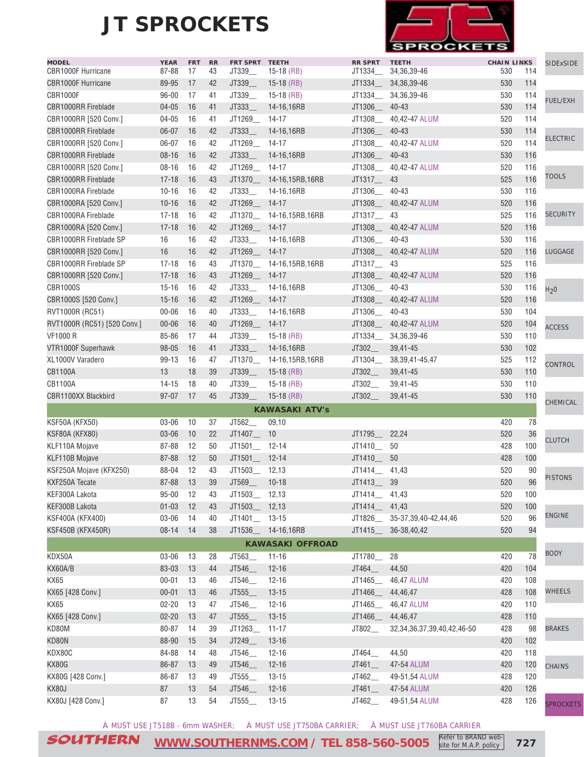

| <b>MODEL</b><br>CBR1000F Hurricane | <b>YEAR</b><br>87-88 | <b>FRT</b><br>17 | <b>RR</b><br>43 | FRT SPRT TEETH<br>JT339 | $15-18$ (RB)             | <b>RR SPRT</b><br>JT1334 | <b>TEETH</b><br>34, 36, 39-46     | <b>CHAIN LINKS</b><br>530 | 114 | SIDExSIDE        |
|------------------------------------|----------------------|------------------|-----------------|-------------------------|--------------------------|--------------------------|-----------------------------------|---------------------------|-----|------------------|
| <b>CBR1000F Hurricane</b>          | 89-95                | 17               | 42              | JT339                   | $15-18$ (RB)             | JT1334___                | 34, 36, 39-46                     | 530                       | 114 |                  |
| <b>CBR1000F</b>                    | $96 - 00$            | 17               | 41              | JT339_                  | $15-18$ (RB)             | JT1334_                  | 34, 36, 39-46                     | 530                       | 114 |                  |
| <b>CBR1000RR Fireblade</b>         | $04 - 05$            | 16               | 41              | JT333                   | 14-16,16RB               | JT1306__                 | $40 - 43$                         | 530                       | 114 | <b>FUEL/EXH</b>  |
| CBR1000RR [520 Conv.]              | $04 - 05$            | 16               | 41              | JT1269_ 14-17           |                          |                          | JT1308__ 40,42-47 ALUM            | 520                       | 114 |                  |
| <b>CBR1000RR Fireblade</b>         | $06 - 07$            | 16               | 42              | JT333                   | 14-16,16RB               | JT1306_ 40-43            |                                   | 530                       | 114 |                  |
| CBR1000RR [520 Conv.]              | $06 - 07$            | 16               | 42              | JT1269_ 14-17           |                          |                          | JT1308___ 40,42-47 ALUM           | 520                       | 114 | <b>ELECTRIC</b>  |
| <b>CBR1000RR Fireblade</b>         | $08 - 16$            | 16               | 42              | JT333_                  | 14-16,16RB               | JT1306__ 40-43           |                                   | 530                       | 116 |                  |
| CBR1000RR [520 Conv.]              | $08 - 16$            | 16               | 42              | JT1269_ 14-17           |                          | JT1308_                  | 40.42-47 ALUM                     | 520                       | 116 |                  |
| <b>CBR1000RR Fireblade</b>         | $17 - 18$            | 16               | 43              |                         | JT1370__ 14-16,15RB,16RB | JT1317_                  | 43                                | 525                       | 116 | <b>TOOLS</b>     |
| CBR1000RA Fireblade                | $10 - 16$            | 16               | 42              | JT333                   | 14-16,16RB               | JT1306__                 | 40-43                             | 530                       | 116 |                  |
| CBR1000RA [520 Conv.]              | $10 - 16$            | 16               | 42              | JT1269                  | $14 - 17$                | JT1308_                  | 40,42-47 ALUM                     | 520                       | 116 |                  |
| CBR1000RA Fireblade                | $17 - 18$            | 16               | 42              |                         | JT1370__ 14-16,15RB,16RB | JT1317__ 43              |                                   | 525                       | 116 | <b>SECURITY</b>  |
| CBR1000RA [520 Conv.]              | $17 - 18$            | 16               | 42              | JT1269 14-17            |                          | JT1308__                 | 40,42-47 ALUM                     | 520                       | 116 |                  |
| CBR1000RR Fireblade SP             | 16                   | 16               | 42              | JT333                   | 14-16,16RB               | JT1306                   | 40-43                             | 530                       | 116 |                  |
| CBR1000RR [520 Conv.]              | 16                   | 16               | 42              | JT1269 14-17            |                          | JT1308_                  | 40,42-47 ALUM                     | 520                       | 116 | LUGGAGE          |
| CBR1000RR Fireblade SP             | $17 - 18$            | 16               | 43              |                         | JT1370__ 14-16,15RB,16RB | JT1317                   | 43                                | 525                       | 116 |                  |
| CBR1000RR [520 Conv.]              | $17 - 18$            | 16               | 43              | JT1269__ 14-17          |                          |                          | JT1308___ 40,42-47 ALUM           | 520                       | 116 |                  |
|                                    |                      |                  |                 |                         |                          |                          |                                   |                           |     |                  |
| <b>CBR1000S</b>                    | $15 - 16$            | 16               | 42              | JT333                   | 14-16,16RB               | JT1306__                 | 40-43                             | 530                       | 116 | H <sub>2</sub> 0 |
| CBR1000S [520 Conv.]               | $15 - 16$            | 16               | 42              | JT1269_ 14-17           |                          |                          | JT1308___ 40,42-47 ALUM           | 520                       | 116 |                  |
| RVT1000R (RC51)                    | $00 - 06$            | 16               | 40              | JT333_                  | 14-16,16RB               | JT1306__                 | 40-43                             | 530                       | 104 |                  |
| RVT1000R (RC51) [520 Conv.]        | $00 - 06$            | 16               | 40              | JT1269_ 14-17           |                          | JT1308__                 | 40,42-47 ALUM                     | 520                       | 104 | <b>ACCESS</b>    |
| <b>VF1000 R</b>                    | 85-86                | 17               | 44              | JT339_                  | $15-18$ (RB)             | JT1334                   | 34, 36, 39-46                     | 530                       | 110 |                  |
| VTR1000F Superhawk                 | $98 - 05$            | 16               | 41              | JT333                   | 14-16,16RB               | JT302                    | 39,41-45                          | 530                       | 102 |                  |
| XL1000V Varadero                   | 99-13                | 16               | 47              |                         | JT1370_ 14-16,15RB,16RB  | JT1304__                 | 38, 39, 41 - 45, 47               | 525                       | 112 | <b>CONTROL</b>   |
| <b>CB1100A</b>                     | 13                   | 18               | 39              | JT339_                  | $15-18$ (RB)             | JT302_                   | 39,41-45                          | 530                       | 110 |                  |
| CB1100A                            | $14 - 15$            | 18               | 40              | JT339_                  | $15-18$ (RB)             | JT302_                   | 39,41-45                          | 530                       | 110 |                  |
| CBR1100XX Blackbird                | $97 - 07$            | 17               | 45              | JT339                   | $15-18$ (RB)             | JT302                    | 39,41-45                          | 530                       | 110 | CHEMICAL         |
|                                    |                      |                  |                 |                         | <b>KAWASAKI ATV's</b>    |                          |                                   |                           |     |                  |
| KSF50A (KFX50)                     | 03-06                | 10               | 37              | JT562_                  | 09,10                    |                          |                                   | 420                       | 78  |                  |
| KSF80A (KFX80)                     | 03-06                | 10               | 22              | JT1407__ 10             |                          | JT1795_                  | 22,24                             | 520                       | 36  | <b>CLUTCH</b>    |
| KLF110A Mojave                     | 87-88                | 12               | 50              | JT1501_ 12-14           |                          | JT1410_                  | 50                                | 428                       | 100 |                  |
| <b>KLF110B Mojave</b>              | 87-88                | 12               | 50              | JT1501_ 12-14           |                          | JT1410                   | 50                                | 428                       | 100 |                  |
| KSF250A Mojave (KFX250)            | 88-04                | 12               | 43              | JT1503_ 12,13           |                          | JT1414__ 41,43           |                                   | 520                       | 90  | <b>PISTONS</b>   |
| KXF250A Tecate                     | 87-88                | 13               | 39              | JT569_                  | $10 - 18$                | JT1413___ 39             |                                   | 520                       | 96  |                  |
| KEF300A Lakota                     | $95 - 00$            | 12               | 43              | JT1503_ 12,13           |                          | JT1414_                  | 41,43                             | 520                       | 100 |                  |
| KEF300B Lakota                     | $01 - 03$            | 12               | 43              | JT1503_ 12,13           |                          | JT1414_                  | 41,43                             | 520                       | 100 |                  |
| KSF400A (KFX400)                   | 03-06                | 14               | 40              | JT1401_ 13-15           |                          |                          | JT1826____ 35-37,39,40-42,44,46   | 520                       | 96  | ENGINE           |
| <b>KSF450B (KFX450R)</b>           | $08 - 14$            | 14               | 38              |                         | JT1536__ 14-16,16RB      |                          | JT1415___ 36-38,40,42             | 520                       | 94  |                  |
|                                    |                      |                  |                 |                         | <b>KAWASAKI OFFROAD</b>  |                          |                                   |                           |     |                  |
| KDX50A                             | 03-06                | 13               | 28              | JT563_                  | $11 - 16$                | JT1780_                  | 28                                | 420                       | 78  | <b>BODY</b>      |
| KX60A/B                            | 83-03                | 13               | 44              | JT546_                  | $12 - 16$                | JT464_                   | 44,50                             | 420                       | 104 |                  |
| <b>KX65</b>                        | $00 - 01$            | 13               | 46              | JT546_                  | $12 - 16$                | JT1465__                 | 46,47 ALUM                        | 420                       | 108 |                  |
| KX65 [428 Conv.]                   | $00 - 01$            | 13               | 46              | JT555_                  | $13 - 15$                | JT1466_                  | 44,46,47                          | 428                       | 108 | <b>WHEELS</b>    |
| <b>KX65</b>                        | $02 - 20$            | 13               | 47              | JT546_                  | $12 - 16$                | JT1465_                  | 46,47 ALUM                        | 420                       | 110 |                  |
| KX65 [428 Conv.]                   | $02 - 20$            | 13               | 47              | JT555_                  | $13 - 15$                | JT1466_                  | 44,46,47                          | 428                       | 110 |                  |
| KD80M                              | 80-87                | 14               | 39              | JT1263_                 | $11 - 17$                | JT802_                   | 32, 34, 36, 37, 39, 40, 42, 46-50 | 428                       | 98  | <b>BRAKES</b>    |
| KD80N                              | 88-90                | 15               | 34              | JT249_                  | $13 - 16$                |                          |                                   | 420                       | 102 |                  |
| KDX80C                             | 84-88                | 14               | 48              | JT546_                  | $12 - 16$                | JT464_                   | 44,50                             | 420                       | 118 |                  |
| KX80G                              | 86-87                | 13               | 49              | JT546_                  | $12 - 16$                | JT461_                   | 47-54 ALUM                        | 420                       | 120 | <b>CHAINS</b>    |
| KX80G [428 Conv.]                  | 86-87                | 13               | 49              | JT555_                  | $13 - 15$                | JT462_                   | 49-51,54 ALUM                     | 428                       | 120 |                  |
| KX80J                              | 87                   | 13               | 54              | JT546_                  | $12 - 16$                | JT461                    | 47-54 ALUM                        | 420                       | 126 |                  |
| KX80J [428 Conv.]                  | 87                   | 13               | 54              | JT555_                  | $13 - 15$                | JT462_                   | 49-51,54 ALUM                     | 428                       | 126 | <b>SPROCKETS</b> |

À MUST USE JT518B - 6mm WASHER; Á MUST USE JT750BA CARRIER; Â MUST USE JT760BA CARRIER

SOUTHERN **[WWW.SOUTHERNMS.COM](http://m.southernms.com) / TEL 858-560-5005 727** Refer to BRAND web-

site for M.A.P. policy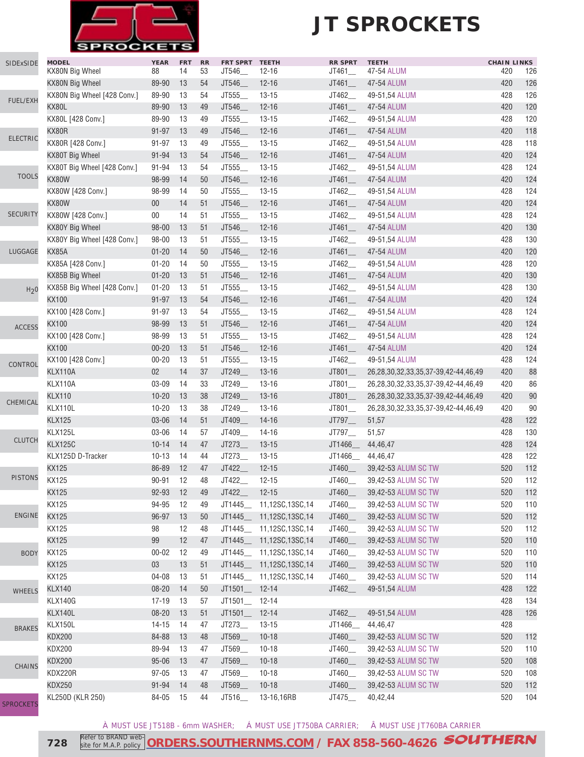

### **JT SPROCKETS**

| SIDExSIDE        | <b>MODEL</b><br>KX80N Big Wheel | <b>YEAR</b><br>88 | <b>FRT</b><br>14 | RR<br>53 | <b>FRT SPRT</b><br>JT546_ | <b>TEETH</b><br>$12 - 16$ | <b>RR SPRT</b><br>JT461_ | <b>TEETH</b><br>47-54 ALUM                   | <b>CHAIN LINKS</b><br>420 | 126        |
|------------------|---------------------------------|-------------------|------------------|----------|---------------------------|---------------------------|--------------------------|----------------------------------------------|---------------------------|------------|
|                  | KX80N Big Wheel                 | 89-90             | 13               | 54       | JT546_                    | $12 - 16$                 | JT461                    | 47-54 ALUM                                   | 420                       | 126        |
|                  | KX80N Big Wheel [428 Conv.]     | 89-90             | 13               | 54       | JT555_                    | $13 - 15$                 | JT462                    | 49-51,54 ALUM                                | 428                       | 126        |
| FUEL/EXH         | KX80L                           | 89-90             | 13               | 49       | JT546_                    | $12 - 16$                 | JT461                    | 47-54 ALUM                                   | 420                       | 120        |
|                  | KX80L [428 Conv.]               | 89-90             | 13               | 49       | JT555_                    | $13 - 15$                 | JT462                    | 49-51,54 ALUM                                | 428                       | 120        |
|                  | KX80R                           | 91-97             | 13               | 49       | JT546_                    | $12 - 16$                 | JT461                    | 47-54 ALUM                                   | 420                       | 118        |
| <b>ELECTRIC</b>  | KX80R [428 Conv.]               | 91-97             | 13               | 49       | JT555_                    | $13 - 15$                 | JT462                    | 49-51,54 ALUM                                | 428                       | 118        |
|                  | KX80T Big Wheel                 | 91-94             | 13               | 54       | JT546_                    | $12 - 16$                 | JT461                    | 47-54 ALUM                                   | 420                       | 124        |
|                  | KX80T Big Wheel [428 Conv.]     | 91-94             | 13               | 54       | JT555_                    | $13 - 15$                 | JT462__                  | 49-51,54 ALUM                                | 428                       | 124        |
| <b>TOOLS</b>     | KX80W                           |                   | 14               | 50       |                           |                           |                          | 47-54 ALUM                                   | 420                       | 124        |
|                  |                                 | 98-99             |                  |          | JT546_                    | $12 - 16$                 | JT461                    |                                              |                           |            |
|                  | KX80W [428 Conv.]               | 98-99             | 14               | 50       | JT555                     | $13 - 15$                 | JT462                    | 49-51,54 ALUM                                | 428                       | 124<br>124 |
| <b>SECURITY</b>  | KX80W                           | $00\,$            | 14               | 51       | JT546_                    | $12 - 16$                 | JT461_                   | 47-54 ALUM                                   | 420                       |            |
|                  | KX80W [428 Conv.]               | $00\,$            | 14               | 51       | JT555_                    | $13 - 15$                 | JT462_                   | 49-51,54 ALUM                                | 428                       | 124        |
|                  | KX80Y Big Wheel                 | $98 - 00$         | 13               | 51       | JT546_                    | $12 - 16$                 | JT461                    | 47-54 ALUM                                   | 420                       | 130        |
|                  | KX80Y Big Wheel [428 Conv.]     | 98-00             | 13               | 51       | JT555_                    | $13 - 15$                 | JT462_                   | 49-51,54 ALUM                                | 428                       | 130        |
| LUGGAGE          | KX85A                           | $01 - 20$         | 14               | 50       | JT546_                    | $12 - 16$                 | JT461                    | 47-54 ALUM                                   | 420                       | 120        |
|                  | KX85A [428 Conv.]               | $01 - 20$         | 14               | 50       | JT555_                    | $13 - 15$                 | JT462                    | 49-51,54 ALUM                                | 428                       | 120        |
|                  | KX85B Big Wheel                 | $01 - 20$         | 13               | 51       | JT546_                    | $12 - 16$                 | JT461                    | 47-54 ALUM                                   | 420                       | 130        |
| H <sub>2</sub> 0 | KX85B Big Wheel [428 Conv.]     | $01 - 20$         | 13               | 51       | JT555_                    | $13 - 15$                 | JT462                    | 49-51,54 ALUM                                | 428                       | 130        |
|                  | <b>KX100</b>                    | $91 - 97$         | 13               | 54       | JT546_                    | $12 - 16$                 | JT461_                   | 47-54 ALUM                                   | 420                       | 124        |
|                  | KX100 [428 Conv.]               | 91-97             | 13               | 54       | JT555_                    | $13 - 15$                 | JT462                    | 49-51,54 ALUM                                | 428                       | 124        |
| <b>ACCESS</b>    | <b>KX100</b>                    | 98-99             | 13               | 51       | JT546_                    | $12 - 16$                 | JT461                    | 47-54 ALUM                                   | 420                       | 124        |
|                  | KX100 [428 Conv.]               | 98-99             | 13               | 51       | JT555_                    | $13 - 15$                 | JT462_                   | 49-51,54 ALUM                                | 428                       | 124        |
|                  | <b>KX100</b>                    | $00 - 20$         | 13               | 51       | JT546_                    | $12 - 16$                 | JT461                    | 47-54 ALUM                                   | 420                       | 124        |
| CONTROL          | KX100 [428 Conv.]               | $00 - 20$         | 13               | 51       | JT555                     | $13 - 15$                 | JT462                    | 49-51,54 ALUM                                | 428                       | 124        |
|                  | KLX110A                         | $02\,$            | 14               | 37       | JT249_                    | $13 - 16$                 | JT801                    | 26,28,30,32,33,35,37-39,42-44,46,49          | 420                       | 88         |
|                  | KLX110A                         | 03-09             | 14               | 33       | JT249_                    | $13 - 16$                 | $JT801$ <sub>—</sub>     | 26,28,30,32,33,35,37-39,42-44,46,49          | 420                       | 86         |
|                  | <b>KLX110</b>                   | $10 - 20$         | 13               | 38       | JT249_                    | $13 - 16$                 | $JT801$ <sub>—</sub>     | 26,28,30,32,33,35,37-39,42-44,46,49          | 420                       | 90         |
| CHEMICAL         | KLX110L                         | $10 - 20$         | 13               | 38       | JT249_                    | $13 - 16$                 | JT801                    | 26, 28, 30, 32, 33, 35, 37-39, 42-44, 46, 49 | 420                       | 90         |
|                  | <b>KLX125</b>                   | 03-06             | 14               | 51       | JT409_                    | $14 - 16$                 | JT797_                   | 51,57                                        | 428                       | 122        |
|                  | KLX125L                         | 03-06             | 14               | 57       | JT409_                    | $14 - 16$                 | JT797                    | 51,57                                        | 428                       | 130        |
| <b>CLUTCH</b>    | <b>KLX125C</b>                  | $10 - 14$         | 14               | 47       | JT273_                    | $13 - 15$                 | JT1466_                  | 44,46,47                                     | 428                       | 124        |
|                  | KLX125D D-Tracker               | $10 - 13$         | 14               | 44       | JT273_                    | $13 - 15$                 | JT1466_                  | 44,46,47                                     | 428                       | 122        |
|                  | KX125                           | 86-89             | 12               | 47       | JT422_                    | $12 - 15$                 | JT460_                   | 39,42-53 ALUM SC TW                          | 520                       | 112        |
| <b>PISTONS</b>   | KX125                           | $90 - 91$         | 12               | 48       | JT422_                    | $12 - 15$                 | JT460_                   | 39,42-53 ALUM SC TW                          | 520                       | 112        |
|                  | KX125                           | 92-93             | 12               | 49       | $JT422$ <sub>—</sub>      | $12 - 15$                 | JT460_                   | 39,42-53 ALUM SC TW                          | 520                       | 112        |
|                  | KX125                           | 94-95             | 12               | 49       | JT1445__                  | 11,12SC,13SC,14           | JT460_                   | 39,42-53 ALUM SC TW                          | 520                       | 110        |
| <b>ENGINE</b>    | KX125                           | 96-97             | 13               | 50       | JT1445_                   | 11,12SC,13SC,14           | JT460_                   | 39,42-53 ALUM SC TW                          | 520                       | 112        |
|                  | KX125                           | 98                | 12               | 48       |                           | JT1445___ 11,12SC,13SC,14 | JT460_                   | 39,42-53 ALUM SC TW                          | 520                       | 112        |
|                  | KX125                           | 99                | 12               | 47       | JT1445_                   | 11,12SC,13SC,14           | JT460_                   | 39,42-53 ALUM SC TW                          | 520                       | 110        |
| <b>BODY</b>      | KX125                           | $00 - 02$         | 12               | 49       | JT1445__                  | 11,12SC,13SC,14           | JT460_                   | 39,42-53 ALUM SC TW                          | 520                       | 110        |
|                  | KX125                           | 03                | 13               | 51       | JT1445                    | 11,12SC,13SC,14           | JT460_                   | 39,42-53 ALUM SC TW                          | 520                       | 110        |
|                  | KX125                           | $04 - 08$         | 13               | 51       | JT1445__                  | 11,12SC,13SC,14           | JT460_                   | 39,42-53 ALUM SC TW                          | 520                       | 114        |
| <b>WHEELS</b>    | <b>KLX140</b>                   | $08 - 20$         | 14               | 50       | JT1501                    | $12 - 14$                 | JT462_                   | 49-51,54 ALUM                                | 428                       | 122        |
|                  | <b>KLX140G</b>                  | 17-19             | 13               | 57       | JT1501__                  | $12 - 14$                 |                          |                                              | 428                       | 134        |
|                  | KLX140L                         | $08 - 20$         | 13               | 51       | $JT1501$ <sub>—</sub>     | $12 - 14$                 | JT462_                   | 49-51,54 ALUM                                | 428                       | 126        |
|                  | KLX150L                         | $14 - 15$         | 14               | 47       | JT273_                    | $13 - 15$                 | JT1466_                  | 44,46,47                                     | 428                       |            |
| <b>BRAKES</b>    | <b>KDX200</b>                   | 84-88             | 13               | 48       | JT569_                    | $10 - 18$                 | JT460_                   | 39,42-53 ALUM SC TW                          | 520                       | 112        |
|                  | <b>KDX200</b>                   | 89-94             | 13               | 47       | JT569_                    | $10 - 18$                 | JT460_                   | 39,42-53 ALUM SC TW                          | 520                       | 110        |
|                  | <b>KDX200</b>                   | $95 - 06$         | 13               | 47       | JT569_                    | $10 - 18$                 | JT460_                   | 39,42-53 ALUM SC TW                          | 520                       | 108        |
| <b>CHAINS</b>    | KDX220R                         | $97 - 05$         | 13               | 47       | JT569_                    | $10 - 18$                 | JT460_                   | 39,42-53 ALUM SC TW                          | 520                       | 108        |
|                  |                                 |                   |                  |          |                           |                           |                          |                                              |                           |            |
|                  | KDX250                          | $91 - 94$         | 14               | 48       | JT569_                    | $10 - 18$                 | JT460_                   | 39,42-53 ALUM SC TW                          | 520                       | 112        |
| <b>SPROCKETS</b> | KL250D (KLR 250)                | 84-05             | 15               | 44       | JT516_                    | 13-16,16RB                | JT475_                   | 40,42,44                                     | 520                       | 104        |

site for M.A.P. policy

À MUST USE JT518B - 6mm WASHER; Á MUST USE JT750BA CARRIER; Â MUST USE JT760BA CARRIER

728 **Refer to BRAND web-** ORDERS.SOUTHERNMS.COM</u> / FAX 858-560-4626 **SOUTHERN**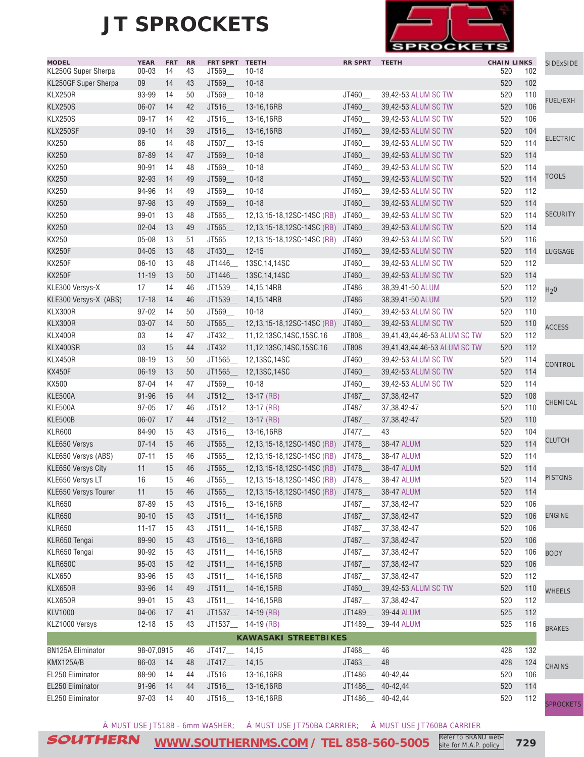

| <b>MODEL</b><br>KL250G Super Sherpa | <b>YEAR</b><br>$00 - 03$ | <b>FRT</b><br>14 | <b>RR</b><br>43 | FRT SPRT TEETH<br>JT569_ | $10-18$                          | <b>RR SPRT</b>       | <b>TEETH</b>                 | <b>CHAIN LINKS</b><br>520 | 102 | <b>SIDExSIDE</b> |
|-------------------------------------|--------------------------|------------------|-----------------|--------------------------|----------------------------------|----------------------|------------------------------|---------------------------|-----|------------------|
| KL250GF Super Sherpa                | 09                       | 14               | 43              | JT569_                   | $10 - 18$                        |                      |                              | 520                       | 102 |                  |
| KLX250R                             | 93-99                    | 14               | 50              | JT569_                   | $10 - 18$                        | JT460                | 39,42-53 ALUM SC TW          | 520                       | 110 |                  |
| <b>KLX250S</b>                      | 06-07                    | 14               | 42              | JT516_                   | 13-16,16RB                       | JT460_               | 39,42-53 ALUM SC TW          | 520                       | 106 | FUEL/EXH         |
|                                     | $09-17$                  | 14               | 42              |                          | 13-16,16RB                       |                      |                              | 520                       | 106 |                  |
| <b>KLX250S</b>                      |                          |                  |                 | JT516_                   |                                  | JT460_               | 39,42-53 ALUM SC TW          |                           |     |                  |
| KLX250SF                            | $09-10$                  | 14               | 39              | JT516_                   | 13-16,16RB                       | JT460_               | 39,42-53 ALUM SC TW          | 520                       | 104 | <b>ELECTRIC</b>  |
| KX250                               | 86                       | 14               | 48              | JT507_                   | $13 - 15$                        | JT460_               | 39,42-53 ALUM SC TW          | 520                       | 114 |                  |
| KX250                               | 87-89                    | 14               | 47              | JT569_                   | $10 - 18$                        | JT460                | 39,42-53 ALUM SC TW          | 520                       | 114 |                  |
| KX250                               | 90-91                    | 14               | 48              | JT569_                   | $10 - 18$                        | JT460_               | 39,42-53 ALUM SC TW          | 520                       | 114 | <b>TOOLS</b>     |
| KX250                               | 92-93                    | 14               | 49              | JT569_                   | $10 - 18$                        | JT460_               | 39,42-53 ALUM SC TW          | 520                       | 114 |                  |
| KX250                               | 94-96                    | 14               | 49              | JT569_                   | $10 - 18$                        | JT460_               | 39,42-53 ALUM SC TW          | 520                       | 112 |                  |
| KX250                               | 97-98                    | 13               | 49              | JT569_                   | $10 - 18$                        | JT460                | 39,42-53 ALUM SC TW          | 520                       | 114 |                  |
| KX250                               | 99-01                    | 13               | 48              | JT565_                   | 12,13,15-18,12SC-14SC (RB)       | JT460_               | 39,42-53 ALUM SC TW          | 520                       | 114 | <b>SECURITY</b>  |
| <b>KX250</b>                        | $02 - 04$                | 13               | 49              | JT565_                   | 12,13,15-18,12SC-14SC (RB)       | JT460_               | 39,42-53 ALUM SC TW          | 520                       | 114 |                  |
| KX250                               | $05 - 08$                | 13               | 51              | JT565_                   | 12,13,15-18,12SC-14SC (RB)       | JT460_               | 39,42-53 ALUM SC TW          | 520                       | 116 |                  |
| <b>KX250F</b>                       | $04 - 05$                | 13               | 48              | JT430_                   | $12 - 15$                        | JT460_               | 39,42-53 ALUM SC TW          | 520                       | 114 | LUGGAGE          |
| <b>KX250F</b>                       | $06-10$                  | 13               | 48              | JT1446_                  | 13SC, 14, 14SC                   | JT460_               | 39.42-53 ALUM SC TW          | 520                       | 112 |                  |
| <b>KX250F</b>                       | $11 - 19$                | 13               | 50              | JT1446                   | 13SC, 14, 14SC                   | JT460_               | 39,42-53 ALUM SC TW          | 520                       | 114 |                  |
| KLE300 Versys-X                     | 17                       | 14               | 46              | JT1539_                  | 14,15,14RB                       | JT486_               | 38,39,41-50 ALUM             | 520                       | 112 | H <sub>2</sub> 0 |
| KLE300 Versys-X (ABS)               | $17 - 18$                | 14               | 46              | JT1539_                  | 14,15,14RB                       | JT486_               | 38,39,41-50 ALUM             | 520                       | 112 |                  |
| KLX300R                             | $97 - 02$                | 14               | 50              | JT569                    | $10 - 18$                        | JT460_               | 39,42-53 ALUM SC TW          | 520                       | 110 |                  |
| KLX300R                             | $03 - 07$                | 14               | 50              | JT565                    | 12,13,15-18,12SC-14SC (RB)       | JT460_               | 39,42-53 ALUM SC TW          | 520                       | 110 | <b>ACCESS</b>    |
| KLX400R                             | 03                       | 14               | 47              | JT432_                   | 11,12,13SC,14SC,15SC,16          | JT808                | 39,41,43,44,46-53 ALUM SC TW | 520                       | 112 |                  |
| KLX400SR                            | 03                       | 15               | 44              | JT432_                   | 11,12,13SC,14SC,15SC,16          | JT808_               | 39,41,43,44,46-53 ALUM SC TW | 520                       | 112 |                  |
| KLX450R                             | 08-19                    | 13               | 50              | JT1565                   | 12,13SC,14SC                     | JT460                | 39,42-53 ALUM SC TW          | 520                       | 114 |                  |
| <b>KX450F</b>                       | $06-19$                  | 13               | 50              | JT1565                   | 12,13SC,14SC                     | JT460_               | 39,42-53 ALUM SC TW          | 520                       | 114 | CONTROL          |
| KX500                               | 87-04                    | 14               | 47              | JT569_                   | $10 - 18$                        | JT460                | 39,42-53 ALUM SC TW          | 520                       | 114 |                  |
| KLE500A                             | 91-96                    | 16               | 44              | JT512                    | $13-17$ (RB)                     | JT487_               | 37, 38, 42-47                | 520                       | 108 |                  |
| KLE500A                             | $97 - 05$                | 17               | 46              | JT512                    | $13-17$ (RB)                     | JT487_               | 37, 38, 42-47                | 520                       | 110 | CHEMICAL         |
| KLE500B                             | 06-07                    | 17               | 44              | JT512_                   | $13-17$ (RB)                     | JT487_               | 37, 38, 42-47                | 520                       | 110 |                  |
| <b>KLR600</b>                       | 84-90                    | 15               | 43              | JT516_                   | 13-16,16RB                       |                      | 43                           | 520                       | 104 |                  |
|                                     | $07 - 14$                | 15               |                 | JT565                    |                                  | $JT477$ <sub>—</sub> |                              | 520                       | 114 | <b>CLUTCH</b>    |
| <b>KLE650 Versys</b>                |                          |                  | 46              |                          | 12,13,15-18,12SC-14SC (RB)       | JT478_               | 38-47 ALUM                   |                           |     |                  |
| KLE650 Versys (ABS)                 | $07 - 11$                | 15               | 46              | JT565_                   | 12,13,15-18,12SC-14SC (RB)       | JT478__              | 38-47 ALUM                   | 520                       | 114 |                  |
| KLE650 Versys City                  | 11                       | 15               | 46              | JT565_                   | 12,13,15-18,12SC-14SC (RB)       | JT478_               | 38-47 ALUM                   | 520                       | 114 | <b>PISTONS</b>   |
| KLE650 Versys LT                    | 16                       | 15               | 46              | JT565                    | 12,13,15-18,12SC-14SC (RB)       | JT478                | 38-47 ALUM                   | 520                       | 114 |                  |
| <b>KLE650 Versys Tourer</b>         | 11                       | 15               | 46              | JT565                    | 12,13,15-18,12SC-14SC (RB) JT478 |                      | 38-47 ALUM                   | 520                       | 114 |                  |
| <b>KLR650</b>                       | 87-89                    | 15               | 43              | JT516                    | 13-16,16RB                       | JT487                | 37, 38, 42 - 47              | 520                       | 106 |                  |
| <b>KLR650</b>                       | $90 - 10$                | 15               | 43              | JT511                    | 14-16,15RB                       | JT487_               | 37, 38, 42-47                | 520                       | 106 | <b>ENGINE</b>    |
| <b>KLR650</b>                       | $11 - 17$                | 15               | 43              | JT511                    | 14-16,15RB                       | JT487_               | 37, 38, 42-47                | 520                       | 106 |                  |
| KLR650 Tengai                       | 89-90                    | 15               | 43              | JT516_                   | 13-16,16RB                       | JT487_               | 37, 38, 42-47                | 520                       | 106 |                  |
| KLR650 Tengai                       | 90-92                    | 15               | 43              | JT511                    | 14-16,15RB                       | JT487__              | 37, 38, 42-47                | 520                       | 106 | <b>BODY</b>      |
| <b>KLR650C</b>                      | $95 - 03$                | 15               | 42              | $JT511$ <sub>-</sub>     | 14-16,15RB                       | JT487_               | 37, 38, 42-47                | 520                       | 106 |                  |
| <b>KLX650</b>                       | 93-96                    | 15               | 43              | $JT511$ <sub>-</sub>     | 14-16,15RB                       | $JT487$ <sub>—</sub> | 37, 38, 42-47                | 520                       | 112 |                  |
| KLX650R                             | 93-96                    | 14               | 49              | JT511                    | 14-16,15RB                       | JT460_               | 39,42-53 ALUM SC TW          | 520                       | 110 | <b>WHEELS</b>    |
| KLX650R                             | 99-01                    | 15               | 43              | $JT511$ <sub>-</sub>     | 14-16,15RB                       | JT487_               | 37, 38, 42-47                | 520                       | 112 |                  |
| <b>KLV1000</b>                      | $04 - 06$                | 17               | 41              | JT1537_                  | 14-19 (RB)                       | JT1489_              | 39-44 ALUM                   | 525                       | 112 |                  |
| KLZ1000 Versys                      | $12 - 18$                | 15               | 43              |                          | JT1537___ 14-19 (RB)             | JT1489               | 39-44 ALUM                   | 525                       | 116 | <b>BRAKES</b>    |
|                                     |                          |                  |                 |                          | <b>KAWASAKI STREETBIKES</b>      |                      |                              |                           |     |                  |
| <b>BN125A Eliminator</b>            | 98-07,0915               |                  | 46              | JT417_                   | 14,15                            | JT468_               | 46                           | 428                       | 132 |                  |
| KMX125A/B                           | 86-03                    | 14               | 48              | JT417                    | 14,15                            | JT463_               | 48                           | 428                       | 124 |                  |
| EL250 Eliminator                    | 88-90                    | 14               | 44              | JT516                    | 13-16,16RB                       | JT1486_              | 40-42,44                     | 520                       | 106 | CHAINS           |
| EL250 Eliminator                    | $91 - 96$                | 14               | 44              | JT516_                   | 13-16,16RB                       | JT1486_              | 40-42,44                     | 520                       | 114 |                  |
| EL250 Eliminator                    | 97-03                    | 14               | 40              | JT516_                   | 13-16,16RB                       | JT1486_              | 40-42,44                     | 520                       | 112 |                  |
|                                     |                          |                  |                 |                          |                                  |                      |                              |                           |     | <b>SPROCKETS</b> |

À MUST USE JT518B - 6mm WASHER; Á MUST USE JT750BA CARRIER; Â MUST USE JT760BA CARRIER

SOUTHERN **[WWW.SOUTHERNMS.COM](http://m.southernms.com) / TEL 858-560-5005 729** Refer to BRAND website for M.A.P. policy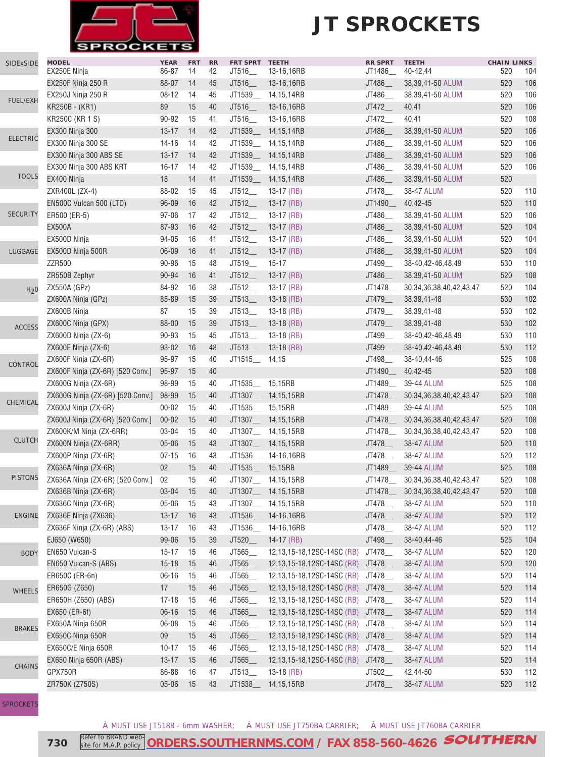

S

## **JT SPROCKETS**

| SIDExSIDE        | <b>MODEL</b>                     | <b>YEAR</b>     | <b>FRT</b> | RR | FRT SPRT TEETH  |                            | <b>RR SPRT</b> | <b>TEETH</b>                   | <b>CHAIN LINKS</b> |     |
|------------------|----------------------------------|-----------------|------------|----|-----------------|----------------------------|----------------|--------------------------------|--------------------|-----|
|                  | EX250E Ninja                     | 86-87           | 14         | 42 | JT516           | 13-16,16RB                 | JT1486_        | 40-42,44                       | 520                | 104 |
|                  | EX250F Ninja 250 R               | 88-07           | -14        | 45 | JT516_          | 13-16,16RB                 | JT486_         | 38,39,41-50 ALUM               | 520                | 106 |
| <b>FUEL/EXH</b>  | <b>EX250J Ninja 250 R</b>        | $08 - 12$       | - 14       | 45 | JT1539_         | 14,15,14RB                 | JT486_         | 38,39,41-50 ALUM               | 520                | 106 |
|                  | KR250B - (KR1)                   | 89              | 15         | 40 | JT516_          | 13-16,16RB                 | JT472_         | 40,41                          | 520                | 106 |
|                  | KR250C (KR 1 S)                  | 90-92           | 15         | 41 | JT516_          | 13-16,16RB                 | JT472_         | 40,41                          | 520                | 108 |
|                  | <b>EX300 Ninja 300</b>           | $13 - 17$       | 14         | 42 | JT1539___       | 14,15,14RB                 | JT486_         | 38,39,41-50 ALUM               | 520                | 106 |
| <b>ELECTRIC</b>  | EX300 Ninja 300 SE               | $14 - 16$       | 14         | 42 | JT1539_         | 14,15,14RB                 | JT486_         | 38,39,41-50 ALUM               | 520                | 106 |
|                  | EX300 Ninja 300 ABS SE           | $13 - 17$       | 14         | 42 | JT1539_         | 14,15,14RB                 | JT486_         | 38,39,41-50 ALUM               | 520                | 106 |
|                  | EX300 Ninja 300 ABS KRT          | $16 - 17$       | 14         | 42 | JT1539_         | 14,15,14RB                 | JT486__        | 38,39,41-50 ALUM               | 520                | 106 |
| <b>TOOLS</b>     | EX400 Ninja                      | 18              | 14         | 41 | JT1539          | 14,15,14RB                 | JT486          | 38,39,41-50 ALUM               | 520                |     |
|                  | ZXR400L (ZX-4)                   | 88-02           | 15         | 45 | JT512_          | $13-17$ (RB)               | JT478_         | 38-47 ALUM                     | 520                | 110 |
|                  | EN500C Vulcan 500 (LTD)          | 96-09           | 16         | 42 | JT512__         | 13-17 $(RB)$               | JT1490_        | 40,42-45                       | 520                | 110 |
| <b>SECURITY</b>  | ER500 (ER-5)                     | $97 - 06$       | 17         | 42 | JT512_          | $13-17$ (RB)               | JT486_         | 38,39,41-50 ALUM               | 520                | 106 |
|                  | <b>EX500A</b>                    | 87-93           | 16         | 42 | JT512           | $13-17$ (RB)               | JT486_         | 38,39,41-50 ALUM               | 520                | 104 |
|                  | EX500D Ninja                     | 94-05           | 16         | 41 | JT512           | $13-17$ (RB)               | JT486_         | 38,39,41-50 ALUM               | 520                | 104 |
| LUGGAGE          | EX500D Ninja 500R                | 06-09           | 16         | 41 | JT512           | $13-17$ (RB)               | JT486_         | 38,39,41-50 ALUM               | 520                | 104 |
|                  | ZZR500                           | 90-96           | 15         | 48 | JT519_          | $15 - 17$                  | JT499_         | 38-40,42-46,48,49              | 530                | 110 |
|                  | ZR550B Zephyr                    | 90-94           | 16         | 41 | JT512           | $13-17$ (RB)               | JT486_         | 38,39,41-50 ALUM               | 520                | 108 |
| H <sub>2</sub> 0 | ZX550A (GPz)                     | 84-92           | 16         | 38 | JT512           | 13-17 (RB)                 | JT1478         | 30, 34, 36, 38, 40, 42, 43, 47 | 520                | 104 |
|                  | ZX600A Ninja (GPz)               | 85-89           | 15         | 39 | JT513           | $13-18$ (RB)               | JT479_         | 38, 39, 41 - 48                | 530                | 102 |
|                  | ZX600B Ninja                     | 87              | 15         | 39 | JT513           | $13-18$ (RB)               | JT479__        | 38, 39, 41 - 48                | 530                | 102 |
| <b>ACCESS</b>    | ZX600C Ninja (GPX)               | 88-00           | 15         | 39 | JT513           | $13-18$ (RB)               | JT479_         | 38, 39, 41 - 48                | 530                | 102 |
|                  | ZX600D Ninja (ZX-6)              | 90-93           | 15         | 45 | JT513           | $13-18$ (RB)               | JT499          | 38-40,42-46,48,49              | 530                | 110 |
|                  | ZX600E Ninja (ZX-6)              | $93 - 02$       | 16         | 48 | JT513           | $13-18$ (RB)               | JT499__        | 38-40,42-46,48,49              | 530                | 112 |
| CONTROL          | ZX600F Ninja (ZX-6R)             | 95-97           | 15         | 40 | JT1515_         | 14,15                      | JT498__        | 38-40,44-46                    | 525                | 108 |
|                  | ZX600F Ninja (ZX-6R) [520 Conv.] | 95-97           | 15         | 40 |                 |                            | JT1490__       | 40,42-45                       | 520                | 108 |
|                  | ZX600G Ninja (ZX-6R)             | 98-99           | 15         | 40 | JT1535 15,15RB  |                            | JT1489__       | 39-44 ALUM                     | 525                | 108 |
|                  | ZX600G Ninja (ZX-6R) [520 Conv.] | 98-99           | 15         | 40 |                 | JT1307__ 14,15,15RB        | JT1478_        | 30, 34, 36, 38, 40, 42, 43, 47 | 520                | 108 |
| CHEMICAL         | ZX600J Ninja (ZX-6R)             | $00 - 02$       | 15         | 40 | JT1535_ 15,15RB |                            | JT1489_        | 39-44 ALUM                     | 525                | 108 |
|                  | ZX600J Ninja (ZX-6R) [520 Conv.] | $00 - 02$       | 15         | 40 |                 | JT1307__ 14,15,15RB        | JT1478_        | 30, 34, 36, 38, 40, 42, 43, 47 | 520                | 108 |
|                  | ZX600K/M Ninja (ZX-6RR)          | 03-04           | 15         | 40 |                 | JT1307__ 14,15,15RB        | JT1478_        | 30, 34, 36, 38, 40, 42, 43, 47 | 520                | 108 |
| <b>CLUTCH</b>    | ZX600N Ninja (ZX-6RR)            | $05 - 06$       | 15         | 43 |                 | JT1307__ 14,15,15RB        | JT478_         | 38-47 ALUM                     | 520                | 110 |
|                  | ZX600P Ninja (ZX-6R)             | $07 - 15$       | 16         | 43 |                 | JT1536 14-16,16RB          | JT478_         | 38-47 ALUM                     | 520                | 112 |
|                  | ZX636A Ninja (ZX-6R)             | 02 <sub>2</sub> | 15         | 40 | JT1535___       | 15,15RB                    | JT1489_        | 39-44 ALUM                     | 525                | 108 |
| <b>PISTONS</b>   | ZX636A Ninja (ZX-6R) [520 Conv.] | 02              | 15         | 40 |                 | JT1307___ 14,15,15RB       | JT1478_        | 30, 34, 36, 38, 40, 42, 43, 47 | 520                | 108 |
|                  | ZX636B Ninja (ZX-6R)             | $03 - 04$       | 15         | 40 | JT1307_         | 14,15,15RB                 | JT1478_        | 30, 34, 36, 38, 40, 42, 43, 47 | 520                | 108 |
|                  | ZX636C Ninja (ZX-6R)             | $05 - 06$       | 15         | 43 | JT1307_         | 14,15,15RB                 | JT478_         | 38-47 ALUM                     | 520                | 110 |
| <b>ENGINE</b>    | ZX636E Ninja (ZX636)             | $13 - 17$       | 16         | 43 | JT1536_         | 14-16,16RB                 | JT478_         | 38-47 ALUM                     | 520                | 112 |
|                  | ZX636F Ninja (ZX-6R) (ABS)       | $13 - 17$       | 16         | 43 | JT1536_         | 14-16,16RB                 | JT478_         | 38-47 ALUM                     | 520                | 112 |
|                  | EJ650 (W650)                     | 99-06           | 15         | 39 | JT520_          | $14-17$ (RB)               | JT498_         | 38-40,44-46                    | 525                | 104 |
| <b>BODY</b>      | EN650 Vulcan-S                   | $15 - 17$       | 15         | 46 | JT565_          | 12,13,15-18,12SC-14SC (RB) | JT478__        | 38-47 ALUM                     | 520                | 120 |
|                  | EN650 Vulcan-S (ABS)             | $15 - 18$       | 15         | 46 | JT565           | 12,13,15-18,12SC-14SC (RB) | JT478_         | 38-47 ALUM                     | 520                | 120 |
|                  | ER650C (ER-6n)                   | $06 - 16$       | 15         | 46 | JT565_          | 12,13,15-18,12SC-14SC (RB) | JT478__        | 38-47 ALUM                     | 520                | 114 |
| <b>WHEELS</b>    | ER650G (Z650)                    | 17              | 15         | 46 | JT565           | 12,13,15-18,12SC-14SC (RB) | JT478_         | 38-47 ALUM                     | 520                | 114 |
|                  | ER650H (Z650) (ABS)              | $17 - 18$       | 15         | 46 | JT565_          | 12,13,15-18,12SC-14SC (RB) | JT478__        | 38-47 ALUM                     | 520                | 114 |
|                  | EX650 (ER-6f)                    | $06 - 16$       | 15         | 46 | JT565           | 12,13,15-18,12SC-14SC (RB) | JT478          | 38-47 ALUM                     | 520                | 114 |
| <b>BRAKES</b>    | EX650A Ninja 650R                | 06-08           | 15         | 46 | JT565           | 12,13,15-18,12SC-14SC (RB) | JT478_         | 38-47 ALUM                     | 520                | 114 |
|                  | EX650C Ninja 650R                | 09              | 15         | 45 | JT565           | 12,13,15-18,12SC-14SC (RB) | JT478_         | 38-47 ALUM                     | 520                | 114 |
|                  | EX650C/E Ninja 650R              | $10 - 17$       | 15         | 46 | JT565_          | 12,13,15-18,12SC-14SC (RB) | JT478___       | 38-47 ALUM                     | 520                | 114 |
| <b>CHAINS</b>    | EX650 Ninja 650R (ABS)           | $13 - 17$       | 15         | 46 | JT565_          | 12,13,15-18,12SC-14SC (RB) | JT478_         | 38-47 ALUM                     | 520                | 114 |
|                  | GPX750R                          | 86-88           | 16         | 47 | JT513           | $13-18$ (RB)               | JT502_         | 42,44-50                       | 530                | 112 |
|                  | ZR750K (Z750S)                   | $05 - 06$       | 15         | 43 | JT1538_         | 14,15,15RB                 | JT478_         | 38-47 ALUM                     | 520                | 112 |
|                  |                                  |                 |            |    |                 |                            |                |                                |                    |     |

**[SPROCKETS](http://www.southernms.com/wp-content/uploads/2015/08/18_sprockets.pdf)** 

À MUST USE JT518B - 6mm WASHER; Á MUST USE JT750BA CARRIER; Â MUST USE JT760BA CARRIER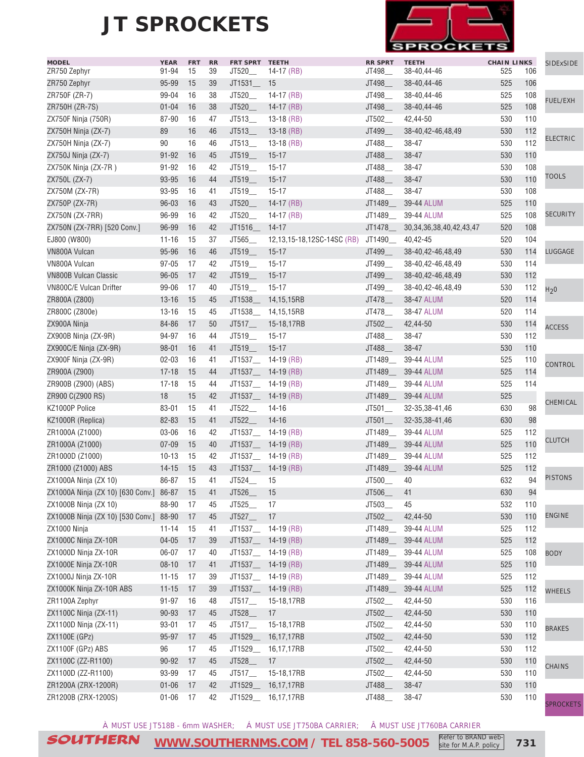

| <b>MODEL</b><br>ZR750 Zephyr               | <b>YEAR</b><br>91-94 | <b>FRT</b><br>15 | <b>RR</b><br>39 | FRT SPRT TEETH<br>JT520_ | 14-17 (RB)                 | <b>RR SPRT</b><br>JT498_ | <b>TEETH</b><br>38-40,44-46    | <b>CHAIN LINKS</b><br>525 | 106 | SIDExSIDE        |
|--------------------------------------------|----------------------|------------------|-----------------|--------------------------|----------------------------|--------------------------|--------------------------------|---------------------------|-----|------------------|
| ZR750 Zephyr                               | 95-99                | 15               | 39              | JT1531_                  | 15                         | JT498_                   | 38-40,44-46                    | 525                       | 106 |                  |
| ZR750F (ZR-7)                              | 99-04                | 16               | 38              | JT520_                   | 14-17 (RB)                 | JT498_                   | 38-40,44-46                    | 525                       | 108 |                  |
| ZR750H (ZR-7S)                             | $01 - 04$            | 16               | 38              | JT520_                   | 14-17 (RB)                 | JT498_                   | 38-40,44-46                    | 525                       | 108 | <b>FUEL/EXH</b>  |
| ZX750F Ninja (750R)                        | 87-90                | 16               | 47              | JT513_                   | $13-18$ (RB)               | JT502_                   | 42,44-50                       | 530                       | 110 |                  |
|                                            |                      | 16               |                 |                          |                            |                          |                                |                           | 112 |                  |
| ZX750H Ninja (ZX-7)                        | 89<br>90             | 16               | 46              | JT513_<br>JT513          | $13-18$ (RB)               | JT499_                   | 38-40,42-46,48,49<br>38-47     | 530<br>530                | 112 | <b>ELECTRIC</b>  |
| ZX750H Ninja (ZX-7)                        |                      |                  | 46              |                          | $13-18$ (RB)               | JT488_                   |                                |                           |     |                  |
| ZX750J Ninja (ZX-7)                        | $91 - 92$            | 16               | 45              | JT519_                   | $15 - 17$                  | JT488_                   | 38-47                          | 530                       | 110 |                  |
| ZX750K Ninja (ZX-7R)                       | 91-92                | 16               | 42              | JT519_                   | $15 - 17$                  | JT488_                   | 38-47                          | 530                       | 108 | <b>TOOLS</b>     |
| ZX750L (ZX-7)                              | 93-95                | 16               | 44              | JT519                    | $15 - 17$                  | JT488_                   | 38-47                          | 530                       | 110 |                  |
| ZX750M (ZX-7R)                             | 93-95                | 16               | 41              | JT519_                   | $15 - 17$                  | JT488_                   | 38-47                          | 530                       | 108 |                  |
| ZX750P (ZX-7R)                             | $96 - 03$            | 16               | 43              | JT520                    | $14-17$ (RB)               | JT1489_                  | 39-44 ALUM                     | 525                       | 110 |                  |
| ZX750N (ZX-7RR)                            | 96-99                | 16               | 42              | JT520                    | 14-17 $(RB)$               | JT1489_                  | 39-44 ALUM                     | 525                       | 108 | <b>SECURITY</b>  |
| ZX750N (ZX-7RR) [520 Conv.]                | 96-99                | 16               | 42              | JT1516_                  | $14-17$                    | JT1478_                  | 30, 34, 36, 38, 40, 42, 43, 47 | 520                       | 108 |                  |
| EJ800 (W800)                               | $11 - 16$            | 15               | 37              | JT565_                   | 12,13,15-18,12SC-14SC (RB) | JT1490_                  | 40,42-45                       | 520                       | 104 |                  |
| <b>VN800A Vulcan</b>                       | 95-96                | 16               | 46              | JT519_                   | $15 - 17$                  | JT499_                   | 38-40,42-46,48,49              | 530                       | 114 | LUGGAGE          |
| VN800A Vulcan                              | $97 - 05$            | 17               | 42              | JT519_                   | $15 - 17$                  | JT499_                   | 38-40,42-46,48,49              | 530                       | 114 |                  |
| <b>VN800B Vulcan Classic</b>               | $96 - 05$            | 17               | 42              | JT519_                   | $15 - 17$                  | JT499_                   | 38-40,42-46,48,49              | 530                       | 112 |                  |
| VN800C/E Vulcan Drifter                    | 99-06                | 17               | 40              | JT519                    | $15 - 17$                  | JT499_                   | 38-40,42-46,48,49              | 530                       | 112 | H <sub>2</sub> 0 |
| ZR800A (Z800)                              | $13 - 16$            | 15               | 45              | JT1538                   | 14,15,15RB                 | JT478_                   | 38-47 ALUM                     | 520                       | 114 |                  |
| ZR800C (Z800e)                             | $13 - 16$            | 15               | 45              |                          | JT1538_ 14,15,15RB         | JT478                    | 38-47 ALUM                     | 520                       | 114 |                  |
| ZX900A Ninja                               | 84-86                | 17               | 50              | JT517                    | 15-18,17RB                 | JT502                    | 42,44-50                       | 530                       | 114 | <b>ACCESS</b>    |
| ZX900B Ninja (ZX-9R)                       | 94-97                | 16               | 44              | JT519_                   | $15 - 17$                  | JT488_                   | 38-47                          | 530                       | 112 |                  |
| ZX900C/E Ninja (ZX-9R)                     | $98 - 01$            | 16               | 41              | JT519                    | $15 - 17$                  | JT488_                   | 38-47                          | 530                       | 110 |                  |
| ZX900F Ninja (ZX-9R)                       | $02 - 03$            | 16               | 41              |                          | JT1537___ 14-19 (RB)       | JT1489_                  | 39-44 ALUM                     | 525                       | 110 | <b>CONTROL</b>   |
| ZR900A (Z900)                              | $17 - 18$            | 15               | 44              |                          | JT1537___ 14-19 (RB)       | JT1489_                  | 39-44 ALUM                     | 525                       | 114 |                  |
| ZR900B (Z900) (ABS)                        | $17 - 18$            | 15               | 44              |                          | JT1537___ 14-19 (RB)       | JT1489_                  | 39-44 ALUM                     | 525                       | 114 |                  |
| ZR900 C(Z900 RS)                           | 18                   | 15               | 42              |                          | JT1537___ 14-19 (RB)       | JT1489_                  | 39-44 ALUM                     | 525                       |     |                  |
| KZ1000P Police                             | 83-01                | 15               | 41              | JT522_                   | $14 - 16$                  | $JT501$ <sub>--</sub>    | 32-35,38-41,46                 | 630                       | 98  | CHEMICAL         |
| KZ1000R (Replica)                          | 82-83                | 15               | 41              | JT522_                   | $14 - 16$                  | JT501                    | 32-35,38-41,46                 | 630                       | 98  |                  |
| ZR1000A (Z1000)                            | 03-06                | 16               | 42              |                          | JT1537___ 14-19 (RB)       | JT1489_                  | 39-44 ALUM                     | 525                       | 112 |                  |
| ZR1000A (Z1000)                            | $07 - 09$            | 15               | 40              |                          | JT1537___ 14-19 (RB)       | JT1489_                  | 39-44 ALUM                     | 525                       | 110 | <b>CLUTCH</b>    |
| ZR1000D (Z1000)                            | $10 - 13$            | 15               | 42              |                          | JT1537___ 14-19 (RB)       | JT1489_                  | 39-44 ALUM                     | 525                       | 112 |                  |
| ZR1000 (Z1000) ABS                         | $14 - 15$            | 15               | 43              |                          | JT1537___ 14-19 (RB)       | JT1489_                  | 39-44 ALUM                     | 525                       | 112 |                  |
| ZX1000A Ninja (ZX 10)                      | 86-87                | 15               | 41              | JT524                    | 15                         | JT500                    | 40                             | 632                       | 94  | <b>PISTONS</b>   |
| ZX1000A Ninja (ZX 10) [630 Conv.] 86-87 15 |                      |                  | 41              | JT526_                   | 15                         | JT506                    | 41                             | 630                       | 94  |                  |
| ZX1000B Ninja (ZX 10)                      | 88-90                | 17               | 45              | JT525                    | 17                         | JT503_                   | 45                             | 532                       | 110 |                  |
| ZX1000B Ninja (ZX 10) [530 Conv.] 88-90    |                      | 17               | 45              | JT527                    | 17                         | $JT502$ <sub>___</sub>   | 42,44-50                       | 530                       | 110 | <b>ENGINE</b>    |
| ZX1000 Ninja                               | $11 - 14$            | 15               | 41              |                          | JT1537___ 14-19 (RB)       | JT1489_                  | 39-44 ALUM                     | 525                       | 112 |                  |
| ZX1000C Ninja ZX-10R                       | $04 - 05$            | 17               | 39              |                          | JT1537___ 14-19 (RB)       | JT1489_                  | 39-44 ALUM                     | 525                       | 112 |                  |
| ZX1000D Ninja ZX-10R                       | 06-07                | -17              | 40              |                          | JT1537___ 14-19 (RB)       | JT1489_                  | 39-44 ALUM                     | 525                       | 108 | <b>BODY</b>      |
| ZX1000E Ninja ZX-10R                       | $08 - 10$            | 17               | 41              |                          | JT1537__ 14-19 (RB)        | JT1489_                  | 39-44 ALUM                     | 525                       | 110 |                  |
| ZX1000J Ninja ZX-10R                       | $11 - 15$            | 17               | 39              |                          | JT1537___ 14-19 (RB)       | JT1489_                  | 39-44 ALUM                     | 525                       | 112 |                  |
| ZX1000K Ninja ZX-10R ABS                   | $11 - 15$            | 17               | 39              |                          | JT1537___ 14-19 (RB)       | JT1489_                  | 39-44 ALUM                     | 525                       | 112 |                  |
| ZR1100A Zephyr                             | 91-97                | 16               | 48              | JT517                    | 15-18,17RB                 | JT502_                   | 42,44-50                       | 530                       | 116 | <b>WHEELS</b>    |
|                                            | $90 - 93$            | 17               | 45              | JT528_                   | 17                         | JT502_                   |                                | 530                       | 110 |                  |
| ZX1100C Ninja (ZX-11)                      |                      |                  |                 |                          |                            |                          | 42,44-50                       |                           |     |                  |
| ZX1100D Ninja (ZX-11)                      | $93 - 01$            | 17               | 45              | $JT517$ <sub>___</sub>   | 15-18,17RB                 | JT502_                   | 42,44-50                       | 530                       | 110 | <b>BRAKES</b>    |
| ZX1100E (GPz)                              | 95-97                | 17               | 45              | JT1529_                  | 16,17,17RB                 | JT502_                   | 42,44-50                       | 530                       | 112 |                  |
| ZX1100F (GPz) ABS                          | 96                   | 17               | 45              | JT1529_                  | 16,17,17RB                 | JT502_                   | 42,44-50                       | 530                       | 112 |                  |
| ZX1100C (ZZ-R1100)                         | 90-92                | 17               | 45              | JT528_                   | 17                         | JT502_                   | 42,44-50                       | 530                       | 110 | <b>CHAINS</b>    |
| ZX1100D (ZZ-R1100)                         | 93-99                | 17               | 45              | JT517                    | 15-18,17RB                 | $JT502$ <sub>—</sub>     | 42,44-50                       | 530                       | 110 |                  |
| ZR1200A (ZRX-1200R)                        | $01 - 06$            | 17               | 42              |                          | JT1529__ 16,17,17RB        | JT488_                   | 38-47                          | 530                       | 110 |                  |
| ZR1200B (ZRX-1200S)                        | $01 - 06$            | 17               | 42              |                          | JT1529 16,17,17RB          | JT488_                   | 38-47                          | 530                       | 110 | SPROCKETS        |

À MUST USE JT518B - 6mm WASHER; Á MUST USE JT750BA CARRIER; Â MUST USE JT760BA CARRIER

SOUTHERN **[WWW.SOUTHERNMS.COM](http://m.southernms.com) / TEL 858-560-5005 731** Refer to BRAND website for M.A.P. policy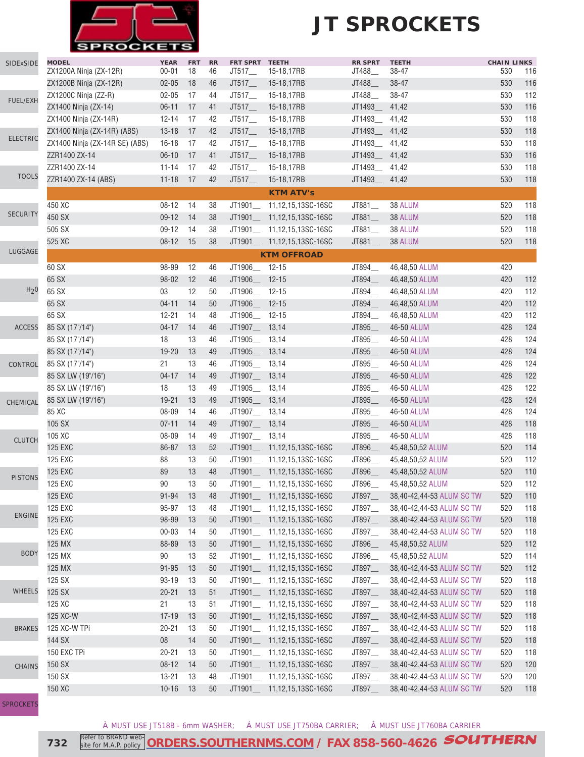

| SIDExSIDE        | <b>MODEL</b>                   | <b>YEAR</b> | <b>FRT</b> | RR | FRT SPRT TEETH         |                              | <b>RR SPRT</b> | <b>TEETH</b>              | <b>CHAIN LINKS</b> |     |
|------------------|--------------------------------|-------------|------------|----|------------------------|------------------------------|----------------|---------------------------|--------------------|-----|
|                  | ZX1200A Ninja (ZX-12R)         | $00 - 01$   | 18         | 46 | $J$ T517 $\_\_$        | 15-18,17RB                   | JT488__        | 38-47                     | 530                | 116 |
|                  | ZX1200B Ninja (ZX-12R)         | $02 - 05$   | 18         | 46 | JT517                  | 15-18,17RB                   | JT488_         | 38-47                     | 530                | 116 |
| FUEL/EXH         | ZX1200C Ninja (ZZ-R)           | $02 - 05$   | 17         | 44 | JT517                  | 15-18,17RB                   | JT488_         | 38-47                     | 530                | 112 |
|                  | ZX1400 Ninja (ZX-14)           | $06 - 11$   | 17         | 41 | JT517                  | 15-18,17RB                   | JT1493_        | 41,42                     | 530                | 116 |
|                  | ZX1400 Ninja (ZX-14R)          | $12 - 14$   | 17         | 42 | JT517                  | 15-18,17RB                   | JT1493_        | 41,42                     | 530                | 118 |
| <b>ELECTRIC</b>  | ZX1400 Ninja (ZX-14R) (ABS)    | $13 - 18$   | 17         | 42 | $JT517$ <sub>___</sub> | 15-18,17RB                   | JT1493_        | 41,42                     | 530                | 118 |
|                  | ZX1400 Ninja (ZX-14R SE) (ABS) | $16 - 18$   | 17         | 42 | JT517                  | 15-18,17RB                   | JT1493_        | 41,42                     | 530                | 118 |
|                  | ZZR1400 ZX-14                  | $06-10$     | 17         | 41 |                        | JT517___ 15-18,17RB          | JT1493_        | 41,42                     | 530                | 116 |
| <b>TOOLS</b>     | ZZR1400 ZX-14                  | $11 - 14$   | 17         | 42 |                        | JT517____ 15-18,17RB         | JT1493__       | 41,42                     | 530                | 118 |
|                  | ZZR1400 ZX-14 (ABS)            | $11 - 18$   | 17         | 42 | JT517                  | 15-18,17RB                   | JT1493         | 41,42                     | 530                | 118 |
|                  |                                |             |            |    |                        | <b>KTM ATV's</b>             |                |                           |                    |     |
|                  | 450 XC                         | $08 - 12$   | -14        | 38 |                        | JT1901__ 11,12,15,13SC-16SC  | JT881_         | 38 ALUM                   | 520                | 118 |
| <b>SECURITY</b>  | 450 SX                         | $09-12$     | 14         | 38 |                        | JT1901___ 11,12,15,13SC-16SC | JT881_         | 38 ALUM                   | 520                | 118 |
|                  | 505 SX                         | $09-12$     | - 14       | 38 |                        | JT1901___ 11,12,15,13SC-16SC | JT881_         | 38 ALUM                   | 520                | 118 |
|                  | 525 XC                         | $08 - 12$   | 15         | 38 |                        | JT1901___ 11,12,15,13SC-16SC | JT881_         | 38 ALUM                   | 520                | 118 |
| LUGGAGE          |                                |             |            |    |                        | <b>KTM OFFROAD</b>           |                |                           |                    |     |
|                  | 60 SX                          | 98-99       | 12         | 46 | JT1906_ 12-15          |                              | JT894_         | 46,48,50 ALUM             | 420                |     |
|                  | 65 SX                          | 98-02       | 12         | 46 | JT1906_ 12-15          |                              | JT894_         | 46,48,50 ALUM             | 420                | 112 |
| H <sub>2</sub> 0 | 65 SX                          | 03          | 12         | 50 | JT1906_ 12-15          |                              | JT894_         | 46,48,50 ALUM             | 420                | 112 |
|                  | 65 SX                          | $04 - 11$   | 14         | 50 | JT1906_ 12-15          |                              | JT894_         | 46,48,50 ALUM             | 420                | 112 |
|                  | 65 SX                          | $12 - 21$   | 14         | 48 | JT1906_ 12-15          |                              | JT894_         | 46,48,50 ALUM             | 420                | 112 |
| <b>ACCESS</b>    | 85 SX (17"/14")                | $04 - 17$   | 14         | 46 | JT1907__ 13,14         |                              | JT895_         | 46-50 ALUM                | 428                | 124 |
|                  | 85 SX (17"/14")                | 18          | 13         | 46 | JT1905_ 13,14          |                              | JT895_         | 46-50 ALUM                | 428                | 124 |
|                  | 85 SX (17"/14")                | $19 - 20$   | 13         | 49 | JT1905__ 13,14         |                              | JT895_         | 46-50 ALUM                | 428                | 124 |
|                  |                                | 21          | 13         | 46 | JT1905__ 13,14         |                              | JT895_         | 46-50 ALUM                | 428                | 124 |
| CONTROL          | 85 SX (17"/14")                | $04 - 17$   | 14         | 49 | JT1907__ 13,14         |                              | JT895_         | 46-50 ALUM                | 428                | 122 |
|                  | 85 SX LW (19"/16")             |             |            |    |                        |                              |                |                           |                    | 122 |
|                  | 85 SX LW (19"/16")             | 18          | 13         | 49 | JT1905__ 13,14         |                              | JT895_         | 46-50 ALUM                | 428                |     |
| CHEMICAL         | 85 SX LW (19"/16")             | $19 - 21$   | 13         | 49 | JT1905__ 13,14         |                              | JT895_         | 46-50 ALUM                | 428                | 124 |
|                  | 85 XC                          | 08-09       | 14         | 46 | JT1907__ 13,14         |                              | JT895_         | 46-50 ALUM                | 428                | 124 |
|                  | 105 SX                         | $07 - 11$   | 14         | 49 | JT1907__ 13,14         |                              | JT895_         | 46-50 ALUM                | 428                | 118 |
| <b>CLUTCH</b>    | 105 XC                         | 08-09       | 14         | 49 | JT1907__ 13,14         |                              | JT895_         | 46-50 ALUM                | 428                | 118 |
|                  | <b>125 EXC</b>                 | 86-87       | 13         | 52 |                        | JT1901___ 11,12,15,13SC-16SC | JT896_         | 45,48,50,52 ALUM          | 520                | 114 |
|                  | <b>125 EXC</b>                 | 88          | 13         | 50 |                        | JT1901___ 11,12,15,13SC-16SC | JT896_         | 45,48,50,52 ALUM          | 520                | 112 |
| <b>PISTONS</b>   | <b>125 EXC</b>                 | 89          | 13         | 48 | JT1901___              | 11,12,15,13SC-16SC           | JT896_         | 45,48,50,52 ALUM          | 520                | 110 |
|                  | <b>125 EXC</b>                 | 90          | 13         | 50 | JT1901_                | 11,12,15,13SC-16SC           | JT896          | 45,48,50,52 ALUM          | 520                | 112 |
|                  | <b>125 EXC</b>                 | $91 - 94$   | 13         | 48 |                        | JT1901___ 11,12,15,13SC-16SC | JT897_         | 38,40-42,44-53 ALUM SC TW | 520                | 110 |
| <b>ENGINE</b>    | <b>125 EXC</b>                 | 95-97       | 13         | 48 |                        | JT1901__ 11,12,15,13SC-16SC  | JT897_         | 38,40-42,44-53 ALUM SC TW | 520                | 118 |
|                  | <b>125 EXC</b>                 | 98-99       | 13         | 50 |                        | JT1901___ 11,12,15,13SC-16SC | JT897_         | 38,40-42,44-53 ALUM SC TW | 520                | 118 |
|                  | 125 EXC                        | $00 - 03$   | 14         | 50 |                        | JT1901__ 11,12,15,13SC-16SC  | JT897_         | 38,40-42,44-53 ALUM SC TW | 520                | 118 |
|                  | 125 MX                         | 88-89       | 13         | 50 |                        | JT1901___ 11,12,15,13SC-16SC | JT896_         | 45,48,50,52 ALUM          | 520                | 112 |
| <b>BODY</b>      | 125 MX                         | 90          | 13         | 52 |                        | JT1901__ 11,12,15,13SC-16SC  | JT896_         | 45,48,50,52 ALUM          | 520                | 114 |
|                  | 125 MX                         | $91 - 95$   | 13         | 50 |                        | JT1901__ 11,12,15,13SC-16SC  | JT897_         | 38,40-42,44-53 ALUM SC TW | 520                | 112 |
|                  | 125 SX                         | 93-19       | 13         | 50 |                        | JT1901___ 11,12,15,13SC-16SC | JT897__        | 38,40-42,44-53 ALUM SC TW | 520                | 118 |
| <b>WHEELS</b>    | 125 SX                         | $20 - 21$   | 13         | 51 |                        | JT1901___ 11,12,15,13SC-16SC | JT897_         | 38,40-42,44-53 ALUM SC TW | 520                | 118 |
|                  | 125 XC                         | 21          | 13         | 51 | JT1901                 | 11,12,15,13SC-16SC           | JT897_         | 38,40-42,44-53 ALUM SC TW | 520                | 118 |
|                  | 125 XC-W                       | $17 - 19$   | 13         | 50 | JT1901_                | 11,12,15,13SC-16SC           | JT897_         | 38,40-42,44-53 ALUM SC TW | 520                | 118 |
| <b>BRAKES</b>    | 125 XC-W TPi                   | $20 - 21$   | 13         | 50 |                        | JT1901___ 11,12,15,13SC-16SC | JT897_         | 38,40-42,44-53 ALUM SC TW | 520                | 118 |
|                  | 144 SX                         | ${\bf 08}$  | 14         | 50 | JT1901_                | 11,12,15,13SC-16SC           | JT897_         | 38,40-42,44-53 ALUM SC TW | 520                | 118 |
|                  | 150 EXC TPi                    | $20 - 21$   | 13         | 50 | JT1901__               | 11,12,15,13SC-16SC           | JT897_         | 38,40-42,44-53 ALUM SC TW | 520                | 118 |
| <b>CHAINS</b>    | 150 SX                         | $08 - 12$   | 14         | 50 | JT1901__               | 11,12,15,13SC-16SC           | JT897_         | 38,40-42,44-53 ALUM SC TW | 520                | 120 |
|                  | 150 SX                         | $13 - 21$   | 13         | 48 | JT1901                 | 11,12,15,13SC-16SC           | JT897_         | 38,40-42,44-53 ALUM SC TW | 520                | 120 |
|                  | 150 XC                         | $10 - 16$   | 13         | 50 |                        | JT1901___ 11,12,15,13SC-16SC | JT897_         | 38,40-42,44-53 ALUM SC TW | 520                | 118 |
|                  |                                |             |            |    |                        |                              |                |                           |                    |     |

[SPROCKETS](http://www.southernms.com/wp-content/uploads/2015/08/18_sprockets.pdf)

À MUST USE JT518B - 6mm WASHER; Á MUST USE JT750BA CARRIER; Â MUST USE JT760BA CARRIER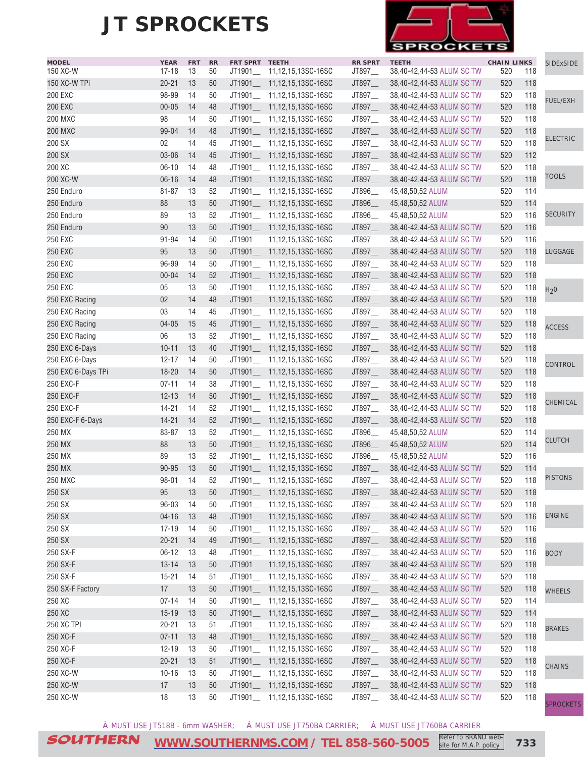

| <b>MODEL</b>                    | <b>YEAR</b>            | <b>FRT</b> | <b>RR</b> | FRT SPRT TEETH |                              | <b>RR SPRT</b> | <b>TEETH</b>              | <b>CHAIN LINKS</b> |     | SIDExSIDE        |
|---------------------------------|------------------------|------------|-----------|----------------|------------------------------|----------------|---------------------------|--------------------|-----|------------------|
| 150 XC-W                        | $17 - 18$              | 13         | 50        |                | JT1901___ 11,12,15,13SC-16SC | JT897_         | 38,40-42,44-53 ALUM SC TW | 520                | 118 |                  |
| 150 XC-W TPi                    | $20 - 21$              | 13         | 50        |                | JT1901___ 11,12,15,13SC-16SC | JT897_         | 38,40-42,44-53 ALUM SC TW | 520                | 118 |                  |
| <b>200 EXC</b>                  | 98-99                  | 14         | 50        |                | JT1901___ 11,12,15,13SC-16SC | JT897_         | 38,40-42,44-53 ALUM SC TW | 520                | 118 | <b>FUEL/EXH</b>  |
| <b>200 EXC</b>                  | $00 - 05$              | 14         | 48        | JT1901_        | 11,12,15,13SC-16SC           | JT897_         | 38,40-42,44-53 ALUM SC TW | 520                | 118 |                  |
| <b>200 MXC</b>                  | 98                     | 14         | 50        |                | JT1901___ 11,12,15,13SC-16SC | JT897_         | 38,40-42,44-53 ALUM SC TW | 520                | 118 |                  |
| <b>200 MXC</b>                  | 99-04                  | 14         | 48        | JT1901_        | 11,12,15,13SC-16SC           | JT897_         | 38,40-42,44-53 ALUM SC TW | 520                | 118 |                  |
| 200 SX                          | 02                     | 14         | 45        |                | JT1901__ 11,12,15,13SC-16SC  | JT897_         | 38,40-42,44-53 ALUM SC TW | 520                | 118 | <b>ELECTRIC</b>  |
| 200 SX                          | 03-06                  | 14         | 45        |                | JT1901___ 11,12,15,13SC-16SC | JT897_         | 38,40-42,44-53 ALUM SC TW | 520                | 112 |                  |
| 200 XC                          | $06 - 10$              | 14         | 48        |                | JT1901___ 11,12,15,13SC-16SC | JT897_         | 38,40-42,44-53 ALUM SC TW | 520                | 118 |                  |
| 200 XC-W                        | $06 - 16$              | 14         | 48        |                | JT1901___ 11,12,15,13SC-16SC | JT897_         | 38,40-42,44-53 ALUM SC TW | 520                | 118 | <b>TOOLS</b>     |
| 250 Enduro                      | $81 - 87$              | 13         | 52        |                | JT1901___ 11,12,15,13SC-16SC | JT896_         | 45,48,50,52 ALUM          | 520                | 114 |                  |
| 250 Enduro                      | 88                     | 13         | 50        |                | JT1901___ 11,12,15,13SC-16SC | JT896_         | 45,48,50,52 ALUM          | 520                | 114 |                  |
| 250 Enduro                      | 89                     | 13         | 52        |                | JT1901___ 11,12,15,13SC-16SC | JT896_         | 45,48,50,52 ALUM          | 520                | 116 | <b>SECURITY</b>  |
| 250 Enduro                      | 90                     | 13         | 50        |                | JT1901___ 11,12,15,13SC-16SC | JT897_         | 38,40-42,44-53 ALUM SC TW | 520                | 116 |                  |
| 250 EXC                         | 91-94                  | 14         | 50        |                | JT1901___ 11,12,15,13SC-16SC | JT897_         | 38,40-42,44-53 ALUM SC TW | 520                | 116 |                  |
| <b>250 EXC</b>                  | 95                     | 13         | 50        |                | JT1901___ 11,12,15,13SC-16SC | JT897_         | 38,40-42,44-53 ALUM SC TW | 520                | 118 | LUGGAGE          |
| <b>250 EXC</b>                  | 96-99                  | 14         | 50        |                | JT1901 11,12,15,13SC-16SC    | JT897_         | 38,40-42,44-53 ALUM SC TW | 520                | 118 |                  |
| <b>250 EXC</b>                  | $00 - 04$              | 14         | 52        | JT1901_        | 11,12,15,13SC-16SC           | JT897_         | 38,40-42,44-53 ALUM SC TW | 520                | 118 |                  |
| <b>250 EXC</b>                  | 05                     | 13         | 50        |                | JT1901__ 11,12,15,13SC-16SC  | JT897          | 38,40-42,44-53 ALUM SC TW | 520                | 118 | H <sub>2</sub> 0 |
| 250 EXC Racing                  | 02                     | 14         | 48        |                | JT1901___ 11,12,15,13SC-16SC | JT897          | 38,40-42,44-53 ALUM SC TW | 520                | 118 |                  |
| 250 EXC Racing                  | 03                     | 14         | 45        |                | JT1901___ 11,12,15,13SC-16SC | JT897_         | 38,40-42,44-53 ALUM SC TW | 520                | 118 |                  |
| 250 EXC Racing                  | $04 - 05$              | 15         | 45        |                | JT1901___ 11,12,15,13SC-16SC | JT897_         | 38,40-42,44-53 ALUM SC TW | 520                | 118 |                  |
| 250 EXC Racing                  | 06                     | 13         | 52        |                | JT1901___ 11,12,15,13SC-16SC | JT897_         | 38,40-42,44-53 ALUM SC TW | 520                | 118 | <b>ACCESS</b>    |
| 250 EXC 6-Days                  | $10 - 11$              | 13         | 40        |                | JT1901___ 11,12,15,13SC-16SC | JT897_         | 38,40-42,44-53 ALUM SC TW | 520                | 118 |                  |
| 250 EXC 6-Days                  | $12 - 17$              | 14         | 50        |                | JT1901___ 11,12,15,13SC-16SC | JT897_         | 38,40-42,44-53 ALUM SC TW | 520                | 118 |                  |
|                                 |                        | 14         | 50        |                |                              |                |                           | 520                | 118 | <b>CONTROL</b>   |
| 250 EXC 6-Days TPi<br>250 EXC-F | $18 - 20$<br>$07 - 11$ | 14         | 38        |                | JT1901__ 11,12,15,13SC-16SC  | JT897_         | 38,40-42,44-53 ALUM SC TW | 520                | 118 |                  |
|                                 |                        |            |           |                | JT1901___ 11,12,15,13SC-16SC | JT897__        | 38,40-42,44-53 ALUM SC TW |                    |     |                  |
| 250 EXC-F                       | $12 - 13$              | 14         | 50        |                | JT1901___ 11,12,15,13SC-16SC | JT897_         | 38,40-42,44-53 ALUM SC TW | 520                | 118 | CHEMICAL         |
| 250 EXC-F                       | $14 - 21$              | 14         | 52        | JT1901_        | 11,12,15,13SC-16SC           | JT897_         | 38,40-42,44-53 ALUM SC TW | 520                | 118 |                  |
| 250 EXC-F 6-Days                | $14 - 21$              | 14         | 52        | JT1901_        | 11,12,15,13SC-16SC           | JT897_         | 38,40-42,44-53 ALUM SC TW | 520                | 118 |                  |
| 250 MX                          | 83-87                  | 13         | 52        |                | JT1901__ 11,12,15,13SC-16SC  | JT896_         | 45,48,50,52 ALUM          | 520                | 114 | <b>CLUTCH</b>    |
| 250 MX                          | 88                     | 13         | 50        | JT1901__       | 11,12,15,13SC-16SC           | JT896_         | 45,48,50,52 ALUM          | 520                | 114 |                  |
| 250 MX                          | 89                     | 13         | 52        |                | JT1901___ 11,12,15,13SC-16SC | JT896          | 45,48,50,52 ALUM          | 520                | 116 |                  |
| 250 MX                          | 90-95                  | 13         | 50        |                | JT1901___ 11,12,15,13SC-16SC | JT897_         | 38,40-42,44-53 ALUM SC TW | 520                | 114 |                  |
| <b>250 MXC</b>                  | $98 - 01$              | 14         | 52        |                | JT1901__ 11,12,15,13SC-16SC  | JT897_         | 38,40-42,44-53 ALUM SC TW | 520                | 118 | <b>PISTONS</b>   |
| 250 SX                          | 95                     | 13         | $50\,$    |                | JT1901__ 11,12,15,13SC-16SC  | JT897_         | 38,40-42,44-53 ALUM SC TW | 520                | 118 |                  |
| 250 SX                          | 96-03                  | 14         | 50        |                | JT1901___ 11,12,15,13SC-16SC | JT897__        | 38,40-42,44-53 ALUM SC TW | 520                | 118 |                  |
| 250 SX                          | $04 - 16$              | 13         | 48        |                | JT1901___ 11,12,15,13SC-16SC | JT897_         | 38,40-42,44-53 ALUM SC TW | 520                | 116 | <b>ENGINE</b>    |
| 250 SX                          | $17 - 19$              | 14         | 50        |                | JT1901___ 11,12,15,13SC-16SC | JT897_         | 38,40-42,44-53 ALUM SC TW | 520                | 116 |                  |
| 250 SX                          | $20 - 21$              | 14         | 49        |                | JT1901___ 11,12,15,13SC-16SC | JT897_         | 38,40-42,44-53 ALUM SC TW | 520                | 116 |                  |
| 250 SX-F                        | $06 - 12$              | 13         | 48        |                | JT1901__ 11,12,15,13SC-16SC  | JT897_         | 38,40-42,44-53 ALUM SC TW | 520                | 116 | <b>BODY</b>      |
| 250 SX-F                        | $13 - 14$              | 13         | 50        |                | JT1901 11,12,15,13SC-16SC    | JT897_         | 38,40-42,44-53 ALUM SC TW | 520                | 118 |                  |
| 250 SX-F                        | $15 - 21$              | 14         | 51        |                | JT1901___ 11,12,15,13SC-16SC | JT897_         | 38,40-42,44-53 ALUM SC TW | 520                | 118 |                  |
| 250 SX-F Factory                | $17$                   | 13         | 50        | JT1901__       | 11,12,15,13SC-16SC           | JT897_         | 38,40-42,44-53 ALUM SC TW | 520                | 118 | <b>WHEELS</b>    |
| 250 XC                          | $07 - 14$              | 14         | 50        |                | JT1901___ 11,12,15,13SC-16SC | JT897_         | 38,40-42,44-53 ALUM SC TW | 520                | 114 |                  |
| 250 XC                          | $15 - 19$              | 13         | 50        |                | JT1901___ 11,12,15,13SC-16SC | JT897_         | 38,40-42,44-53 ALUM SC TW | 520                | 114 |                  |
| 250 XC TPI                      | $20 - 21$              | 13         | 51        |                | JT1901__ 11,12,15,13SC-16SC  | JT897_         | 38,40-42,44-53 ALUM SC TW | 520                | 118 | <b>BRAKES</b>    |
| 250 XC-F                        | $07 - 11$              | 13         | 48        |                | JT1901___ 11,12,15,13SC-16SC | JT897_         | 38,40-42,44-53 ALUM SC TW | 520                | 118 |                  |
| 250 XC-F                        | $12 - 19$              | 13         | 50        |                | JT1901___ 11,12,15,13SC-16SC | JT897_         | 38,40-42,44-53 ALUM SC TW | 520                | 118 |                  |
| 250 XC-F                        | $20 - 21$              | 13         | 51        |                | JT1901__ 11,12,15,13SC-16SC  | JT897_         | 38,40-42,44-53 ALUM SC TW | 520                | 118 |                  |
| 250 XC-W                        | $10 - 16$              | 13         | 50        |                | JT1901___ 11,12,15,13SC-16SC | JT897_         | 38,40-42,44-53 ALUM SC TW | 520                | 118 | <b>CHAINS</b>    |
| 250 XC-W                        | 17                     | 13         | 50        |                | JT1901__ 11,12,15,13SC-16SC  | JT897_         | 38,40-42,44-53 ALUM SC TW | 520                | 118 |                  |
| 250 XC-W                        | 18                     | 13         | 50        |                | JT1901__ 11,12,15,13SC-16SC  | JT897_         | 38,40-42,44-53 ALUM SC TW | 520                | 118 |                  |
|                                 |                        |            |           |                |                              |                |                           |                    |     | <b>SPROCKETS</b> |

À MUST USE JT518B - 6mm WASHER; Á MUST USE JT750BA CARRIER; Â MUST USE JT760BA CARRIER

SOUTHERN **[WWW.SOUTHERNMS.COM](http://m.southernms.com) / TEL 858-560-5005 733** Refer to BRAND website for M.A.P. policy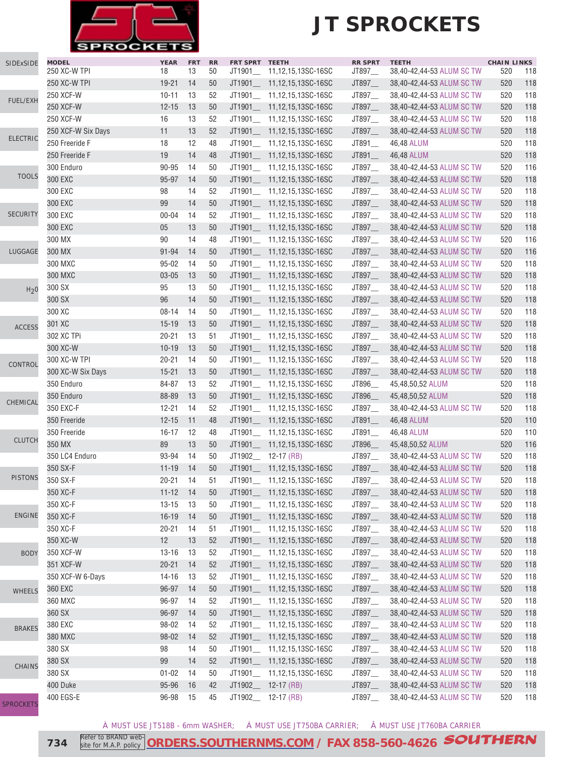

| SIDExSIDE        | <b>MODEL</b><br>250 XC-W TPI | <b>YEAR</b> | <b>FRT</b> | <b>RR</b> | FRT SPRT TEETH     |                              | <b>RR SPRT</b> | <b>TEETH</b>              | <b>CHAIN LINKS</b> |     |
|------------------|------------------------------|-------------|------------|-----------|--------------------|------------------------------|----------------|---------------------------|--------------------|-----|
|                  |                              | 18          | 13         | 50        | JT1901_            | 11,12,15,13SC-16SC           | JT897_         | 38,40-42,44-53 ALUM SC TW | 520                | 118 |
|                  | 250 XC-W TPI                 | $19 - 21$   | 14         | 50        |                    | JT1901___ 11,12,15,13SC-16SC | JT897_         | 38,40-42,44-53 ALUM SC TW | 520                | 118 |
| FUEL/EXH         | 250 XCF-W                    | $10 - 11$   | 13         | 52        |                    | JT1901__ 11,12,15,13SC-16SC  | JT897_         | 38,40-42,44-53 ALUM SC TW | 520                | 118 |
|                  | 250 XCF-W                    | $12 - 15$   | 13         | 50        |                    | JT1901___ 11,12,15,13SC-16SC | JT897_         | 38,40-42,44-53 ALUM SC TW | 520                | 118 |
|                  | 250 XCF-W                    | 16          | 13         | 52        | JT1901_            | 11,12,15,13SC-16SC           | JT897_         | 38,40-42,44-53 ALUM SC TW | 520                | 118 |
| <b>ELECTRIC</b>  | 250 XCF-W Six Days           | 11          | 13         | 52        |                    | JT1901___ 11,12,15,13SC-16SC | JT897_         | 38,40-42,44-53 ALUM SC TW | 520                | 118 |
|                  | 250 Freeride F               | 18          | 12         | 48        |                    | JT1901___ 11,12,15,13SC-16SC | JT891_         | 46,48 ALUM                | 520                | 118 |
|                  | 250 Freeride F               | 19          | 14         | 48        | JT1901_            | 11,12,15,13SC-16SC           | JT891_         | 46,48 ALUM                | 520                | 118 |
| <b>TOOLS</b>     | 300 Enduro                   | 90-95       | 14         | 50        |                    | JT1901___ 11,12,15,13SC-16SC | JT897_         | 38,40-42,44-53 ALUM SC TW | 520                | 116 |
|                  | 300 EXC                      | 95-97       | 14         | 50        |                    | JT1901___ 11,12,15,13SC-16SC | JT897_         | 38,40-42,44-53 ALUM SC TW | 520                | 118 |
|                  | 300 EXC                      | 98          | 14         | 52        |                    | JT1901__ 11,12,15,13SC-16SC  | JT897_         | 38,40-42,44-53 ALUM SC TW | 520                | 118 |
|                  | 300 EXC                      | 99          | 14         | 50        |                    | JT1901___ 11,12,15,13SC-16SC | JT897_         | 38,40-42,44-53 ALUM SC TW | 520                | 118 |
| <b>SECURITY</b>  | 300 EXC                      | $00 - 04$   | 14         | 52        |                    | JT1901__ 11,12,15,13SC-16SC  | JT897_         | 38,40-42,44-53 ALUM SC TW | 520                | 118 |
|                  | 300 EXC                      | 05          | 13         | 50        |                    | JT1901___ 11,12,15,13SC-16SC | JT897_         | 38,40-42,44-53 ALUM SC TW | 520                | 118 |
|                  | 300 MX                       | 90          | 14         | 48        |                    | JT1901___ 11,12,15,13SC-16SC | JT897_         | 38,40-42,44-53 ALUM SC TW | 520                | 116 |
| LUGGAGE          | 300 MX                       | $91 - 94$   | 14         | 50        |                    | JT1901___ 11,12,15,13SC-16SC | JT897_         | 38,40-42,44-53 ALUM SC TW | 520                | 116 |
|                  | 300 MXC                      | $95 - 02$   | 14         | 50        |                    | JT1901___ 11,12,15,13SC-16SC | JT897_         | 38,40-42,44-53 ALUM SC TW | 520                | 118 |
|                  | 300 MXC                      | $03 - 05$   | 13         | 50        |                    | JT1901___ 11,12,15,13SC-16SC | JT897_         | 38,40-42,44-53 ALUM SC TW | 520                | 118 |
| H <sub>2</sub> 0 | 300 SX                       | 95          | 13         | 50        |                    | JT1901__ 11,12,15,13SC-16SC  | JT897_         | 38,40-42,44-53 ALUM SC TW | 520                | 118 |
|                  | 300 SX                       | 96          | 14         | 50        | JT1901_            | 11,12,15,13SC-16SC           | JT897_         | 38,40-42,44-53 ALUM SC TW | 520                | 118 |
|                  | 300 XC                       | $08 - 14$   | 14         | 50        |                    | JT1901___ 11,12,15,13SC-16SC | JT897_         | 38,40-42,44-53 ALUM SC TW | 520                | 118 |
| <b>ACCESS</b>    | 301 XC                       | $15 - 19$   | 13         | 50        |                    | JT1901___ 11,12,15,13SC-16SC | JT897_         | 38,40-42,44-53 ALUM SC TW | 520                | 118 |
|                  | 302 XC TPi                   | $20 - 21$   | 13         | 51        |                    | JT1901___ 11,12,15,13SC-16SC | JT897_         | 38,40-42,44-53 ALUM SC TW | 520                | 118 |
|                  | 300 XC-W                     | $10 - 19$   | 13         | 50        |                    | JT1901___ 11,12,15,13SC-16SC | JT897_         | 38,40-42,44-53 ALUM SC TW | 520                | 118 |
| CONTROL          | 300 XC-W TPI                 | $20 - 21$   | 14         | 50        |                    | JT1901__ 11,12,15,13SC-16SC  | JT897_         | 38,40-42,44-53 ALUM SC TW | 520                | 118 |
|                  | 300 XC-W Six Days            | $15 - 21$   | 13         | 50        |                    | JT1901___ 11,12,15,13SC-16SC | JT897_         | 38,40-42,44-53 ALUM SC TW | 520                | 118 |
|                  | 350 Enduro                   | 84-87       | 13         | 52        |                    | JT1901__ 11,12,15,13SC-16SC  | JT896_         | 45,48,50,52 ALUM          | 520                | 118 |
|                  | 350 Enduro                   | 88-89       | 13         | 50        |                    | JT1901___ 11,12,15,13SC-16SC | JT896_         | 45,48,50,52 ALUM          | 520                | 118 |
| CHEMICAL         | 350 EXC-F                    | $12 - 21$   | 14         | 52        |                    | JT1901__ 11,12,15,13SC-16SC  | JT897_         | 38,40-42,44-53 ALUM SC TW | 520                | 118 |
|                  | 350 Freeride                 | $12 - 15$   | 11         | 48        |                    | JT1901___ 11,12,15,13SC-16SC | JT891          | 46,48 ALUM                | 520                | 110 |
|                  | 350 Freeride                 | $16 - 17$   | 12         | 48        |                    | JT1901___ 11,12,15,13SC-16SC | JT891_         | 46,48 ALUM                | 520                | 110 |
| <b>CLUTCH</b>    | 350 MX                       | 89          | 13         | 50        |                    | JT1901___ 11,12,15,13SC-16SC | JT896_         | 45,48,50,52 ALUM          | 520                | 116 |
|                  | 350 LC4 Enduro               | 93-94       | 14         | 50        | JT1902_ 12-17 (RB) |                              | JT897_         | 38,40-42,44-53 ALUM SC TW | 520                | 118 |
|                  | 350 SX-F                     | $11 - 19$   | 14         | 50        | JT1901             | 11,12,15,13SC-16SC           | JT897_         | 38,40-42,44-53 ALUM SC TW | 520                | 118 |
| <b>PISTONS</b>   | 350 SX-F                     | $20 - 21$   | 14         | 51        |                    | JT1901 11,12,15,13SC-16SC    | JT897__        | 38,40-42,44-53 ALUM SC TW | 520                | 118 |
|                  | 350 XC-F                     | $11 - 12$   | 14         | 50        | JT1901_            | 11,12,15,13SC-16SC           | JT897_         | 38,40-42,44-53 ALUM SC TW | 520                | 118 |
|                  | 350 XC-F                     | $13 - 15$   | 13         | 50        | JT1901_            | 11,12,15,13SC-16SC           | JT897_         | 38,40-42,44-53 ALUM SC TW | 520                | 118 |
| <b>ENGINE</b>    | 350 XC-F                     | $16 - 19$   | 14         | 50        | JT1901             | 11,12,15,13SC-16SC           | JT897_         | 38,40-42,44-53 ALUM SC TW | 520                | 118 |
|                  | 350 XC-F                     | $20 - 21$   | 14         | 51        |                    | JT1901__ 11,12,15,13SC-16SC  | JT897__        | 38,40-42,44-53 ALUM SC TW | 520                | 118 |
|                  | 350 XC-W                     | 12          | 13         | 52        |                    | JT1901___ 11,12,15,13SC-16SC | JT897_         | 38,40-42,44-53 ALUM SC TW | 520                | 118 |
| <b>BODY</b>      | 350 XCF-W                    | $13 - 16$   | 13         | 52        |                    | JT1901__ 11,12,15,13SC-16SC  | JT897_         | 38,40-42,44-53 ALUM SC TW | 520                | 118 |
|                  | 351 XCF-W                    | $20 - 21$   | 14         | 52        |                    | JT1901___ 11,12,15,13SC-16SC | JT897_         | 38,40-42,44-53 ALUM SC TW | 520                | 118 |
|                  | 350 XCF-W 6-Days             | $14 - 16$   | 13         | 52        |                    | JT1901__ 11,12,15,13SC-16SC  | JT897_         | 38,40-42,44-53 ALUM SC TW | 520                | 118 |
| <b>WHEELS</b>    | 360 EXC                      | 96-97       | 14         | 50        |                    | JT1901___ 11,12,15,13SC-16SC | JT897_         | 38,40-42,44-53 ALUM SC TW | 520                | 118 |
|                  | 360 MXC                      | 96-97       | 14         | 52        | JT1901_            | 11,12,15,13SC-16SC           | JT897_         | 38,40-42,44-53 ALUM SC TW | 520                | 118 |
|                  | 360 SX                       | 96-97       | 14         | 50        | JT1901__           | 11,12,15,13SC-16SC           | JT897_         | 38,40-42,44-53 ALUM SC TW | 520                | 118 |
|                  | 380 EXC                      | 98-02       | 14         | 52        | JT1901__           | 11,12,15,13SC-16SC           | JT897_         | 38,40-42,44-53 ALUM SC TW | 520                | 118 |
| <b>BRAKES</b>    | 380 MXC                      | 98-02       | 14         | 52        | JT1901_            | 11,12,15,13SC-16SC           | JT897_         | 38,40-42,44-53 ALUM SC TW | 520                | 118 |
|                  | 380 SX                       | 98          | 14         | 50        | JT1901_            | 11,12,15,13SC-16SC           | JT897_         | 38,40-42,44-53 ALUM SC TW | 520                | 118 |
|                  | 380 SX                       | 99          | 14         | 52        | JT1901__           | 11,12,15,13SC-16SC           | JT897_         | 38,40-42,44-53 ALUM SC TW | 520                | 118 |
| CHAINS           | 380 SX                       | $01 - 02$   | 14         | 50        | JT1901__           | 11,12,15,13SC-16SC           | JT897_         | 38,40-42,44-53 ALUM SC TW | 520                | 118 |
|                  | 400 Duke                     | 95-96       | 16         | 42        |                    | JT1902__ 12-17 (RB)          | JT897_         | 38,40-42,44-53 ALUM SC TW | 520                | 118 |
|                  | 400 EGS-E                    | 96-98       | 15         | 45        |                    | JT1902__ 12-17 (RB)          | JT897_         | 38,40-42,44-53 ALUM SC TW | 520                | 118 |
| SPROCKETS        |                              |             |            |           |                    |                              |                |                           |                    |     |

À MUST USE JT518B - 6mm WASHER; Á MUST USE JT750BA CARRIER; Â MUST USE JT760BA CARRIER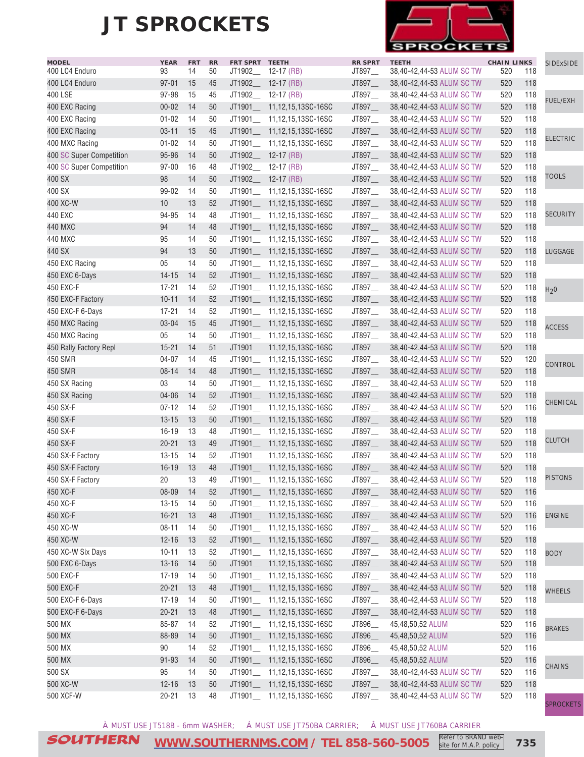

| <b>MODEL</b>             | <b>YEAR</b>     | <b>FRT</b> | RR | FRT SPRT TEETH |                                                              | <b>RR SPRT</b> | <b>TEETH</b>              | <b>CHAIN LINKS</b> |            | SIDExSIDE        |
|--------------------------|-----------------|------------|----|----------------|--------------------------------------------------------------|----------------|---------------------------|--------------------|------------|------------------|
| 400 LC4 Enduro           | 93              | 14         | 50 |                | JT1902_ 12-17 (RB)                                           | JT897_         | 38,40-42,44-53 ALUM SC TW | 520                | 118        |                  |
| 400 LC4 Enduro           | $97 - 01$       | 15         | 45 |                | JT1902__ 12-17 (RB)                                          | JT897_         | 38,40-42,44-53 ALUM SC TW | 520                | 118        |                  |
| 400 LSE                  | 97-98           | 15         | 45 |                | JT1902_ 12-17 (RB)                                           | JT897_         | 38,40-42,44-53 ALUM SC TW | 520                | 118        | <b>FUEL/EXH</b>  |
| 400 EXC Racing           | $00 - 02$       | 14         | 50 |                | JT1901___ 11,12,15,13SC-16SC                                 | JT897_         | 38,40-42,44-53 ALUM SC TW | 520                | 118        |                  |
| 400 EXC Racing           | $01 - 02$       | 14         | 50 |                | JT1901__ 11,12,15,13SC-16SC                                  | JT897_         | 38,40-42,44-53 ALUM SC TW | 520                | 118        |                  |
| 400 EXC Racing           | $03 - 11$       | 15         | 45 |                | JT1901__ 11,12,15,13SC-16SC                                  | JT897_         | 38,40-42,44-53 ALUM SC TW | 520                | 118        | <b>ELECTRIC</b>  |
| 400 MXC Racing           | $01 - 02$       | 14         | 50 |                | JT1901__ 11,12,15,13SC-16SC                                  | JT897          | 38,40-42,44-53 ALUM SC TW | 520                | 118        |                  |
| 400 SC Super Competition | 95-96           | 14         | 50 |                | JT1902___ 12-17 (RB)                                         | JT897_         | 38,40-42,44-53 ALUM SC TW | 520                | 118        |                  |
| 400 SC Super Competition | $97 - 00$       | 16         | 48 |                | JT1902_ 12-17 (RB)                                           | JT897_         | 38,40-42,44-53 ALUM SC TW | 520                | 118        |                  |
| 400 SX                   | 98              | 14         | 50 |                | JT1902_ 12-17 (RB)                                           | JT897_         | 38,40-42,44-53 ALUM SC TW | 520                | 118        | <b>TOOLS</b>     |
| 400 SX                   | $99 - 02$       | 14         | 50 |                | JT1901__ 11,12,15,13SC-16SC                                  | JT897_         | 38,40-42,44-53 ALUM SC TW | 520                | 118        |                  |
| 400 XC-W                 | 10              | 13         | 52 |                | JT1901___ 11,12,15,13SC-16SC                                 | JT897_         | 38,40-42,44-53 ALUM SC TW | 520                | 118        |                  |
| 440 EXC                  | 94-95           | 14         | 48 |                | JT1901__ 11,12,15,13SC-16SC                                  | JT897_         | 38,40-42,44-53 ALUM SC TW | 520                | 118        | <b>SECURITY</b>  |
| 440 MXC                  | 94              | 14         | 48 |                | JT1901___ 11,12,15,13SC-16SC                                 | JT897_         | 38,40-42,44-53 ALUM SC TW | 520                | 118        |                  |
| 440 MXC                  | 95              | 14         | 50 |                | JT1901__ 11,12,15,13SC-16SC                                  | JT897_         | 38,40-42,44-53 ALUM SC TW | 520                | 118        |                  |
| 440 SX                   | 94              | 13         | 50 |                | JT1901___ 11,12,15,13SC-16SC                                 | JT897_         | 38,40-42,44-53 ALUM SC TW | 520                | 118        | LUGGAGE          |
| 450 EXC Racing           | 05              | 14         | 50 |                | JT1901__ 11,12,15,13SC-16SC                                  | JT897_         | 38,40-42,44-53 ALUM SC TW | 520                | 118        |                  |
| 450 EXC 6-Days           | $14 - 15$       | 14         | 52 |                | JT1901___ 11,12,15,13SC-16SC                                 | JT897_         | 38,40-42,44-53 ALUM SC TW | 520                | 118        |                  |
| 450 EXC-F                | $17 - 21$       | 14         | 52 |                | JT1901 11,12,15,13SC-16SC                                    | JT897_         | 38,40-42,44-53 ALUM SC TW | 520                | 118        | H <sub>2</sub> 0 |
| 450 EXC-F Factory        | $10 - 11$       | 14         | 52 |                | JT1901___ 11,12,15,13SC-16SC                                 | JT897_         | 38,40-42,44-53 ALUM SC TW | 520                | 118        |                  |
| 450 EXC-F 6-Days         | $17 - 21$       | 14         | 52 |                | JT1901_ 11,12,15,13SC-16SC                                   | JT897          | 38,40-42,44-53 ALUM SC TW | 520                | 118        |                  |
| 450 MXC Racing           | $03 - 04$       | 15         | 45 |                | JT1901___ 11,12,15,13SC-16SC                                 | JT897_         | 38,40-42,44-53 ALUM SC TW | 520                | 118        |                  |
| 450 MXC Racing           | 05              | 14         | 50 |                | JT1901__ 11,12,15,13SC-16SC                                  | JT897_         | 38,40-42,44-53 ALUM SC TW | 520                | 118        | <b>ACCESS</b>    |
| 450 Rally Factory Repl   | $15 - 21$       | 14         | 51 |                | JT1901___ 11,12,15,13SC-16SC                                 | JT897_         | 38,40-42,44-53 ALUM SC TW | 520                | 118        |                  |
| <b>450 SMR</b>           | 04-07           | 14         | 45 |                | JT1901__ 11,12,15,13SC-16SC                                  | JT897_         | 38,40-42,44-53 ALUM SC TW | 520                | 120        |                  |
| 450 SMR                  | $08 - 14$       | 14         | 48 |                | JT1901___ 11,12,15,13SC-16SC                                 | JT897_         | 38,40-42,44-53 ALUM SC TW | 520                | 118        | CONTROL          |
| 450 SX Racing            | 03              | 14         | 50 |                | JT1901__ 11,12,15,13SC-16SC                                  | JT897_         | 38,40-42,44-53 ALUM SC TW | 520                | 118        |                  |
| 450 SX Racing            | $04 - 06$       | 14         | 52 |                | JT1901___ 11,12,15,13SC-16SC                                 | JT897_         | 38,40-42,44-53 ALUM SC TW | 520                | 118        |                  |
| 450 SX-F                 | $07 - 12$       | 14         | 52 |                | JT1901__ 11,12,15,13SC-16SC                                  | JT897_         | 38,40-42,44-53 ALUM SC TW | 520                | 116        | CHEMICAL         |
| 450 SX-F                 | $13 - 15$       | 13         | 50 |                | JT1901___ 11,12,15,13SC-16SC                                 | JT897_         | 38,40-42,44-53 ALUM SC TW | 520                | 118        |                  |
| 450 SX-F                 | $16 - 19$       | 13         | 48 |                | JT1901___ 11,12,15,13SC-16SC                                 | JT897_         | 38,40-42,44-53 ALUM SC TW | 520                | 118        |                  |
| 450 SX-F                 | $20 - 21$       | 13         | 49 |                | JT1901___ 11,12,15,13SC-16SC                                 | JT897_         | 38,40-42,44-53 ALUM SC TW | 520                | 118        | <b>CLUTCH</b>    |
| 450 SX-F Factory         | $13 - 15$       | 14         | 52 |                | JT1901__ 11,12,15,13SC-16SC                                  | JT897_         | 38,40-42,44-53 ALUM SC TW | 520                | 118        |                  |
| 450 SX-F Factory         |                 |            | 48 |                |                                                              |                |                           |                    |            |                  |
|                          | $16 - 19$<br>20 | 13<br>13   | 49 |                | JT1901___ 11,12,15,13SC-16SC<br>JT1901___ 11,12,15,13SC-16SC | JT897_         | 38,40-42,44-53 ALUM SC TW | 520<br>520         | 118<br>118 | <b>PISTONS</b>   |
| 450 SX-F Factory         |                 |            |    |                |                                                              | JT897          | 38,40-42,44-53 ALUM SC TW |                    |            |                  |
| 450 XC-F                 | $08 - 09$       | 14         | 52 |                | JT1901___ 11,12,15,13SC-16SC                                 | JT897_         | 38,40-42,44-53 ALUM SC TW | 520                | 116        |                  |
| 450 XC-F                 | $13 - 15$       | 14         | 50 |                | JT1901___ 11,12,15,13SC-16SC                                 | JT897__        | 38,40-42,44-53 ALUM SC TW | 520                | 116        |                  |
| 450 XC-F                 | $16 - 21$       | 13         | 48 |                | JT1901___ 11,12,15,13SC-16SC                                 | JT897__        | 38,40-42,44-53 ALUM SC TW | 520                | 116        | <b>ENGINE</b>    |
| 450 XC-W                 | $08 - 11$       | 14         | 50 |                | JT1901__ 11,12,15,13SC-16SC                                  | JT897_         | 38,40-42,44-53 ALUM SC TW | 520                | 116        |                  |
| 450 XC-W                 | $12 - 16$       | 13         | 52 |                | JT1901___ 11,12,15,13SC-16SC                                 | JT897_         | 38,40-42,44-53 ALUM SC TW | 520                | 118        |                  |
| 450 XC-W Six Days        | $10 - 11$       | 13         | 52 |                | JT1901___ 11,12,15,13SC-16SC                                 | JT897_         | 38,40-42,44-53 ALUM SC TW | 520                | 118        | <b>BODY</b>      |
| 500 EXC 6-Days           | $13 - 16$       | 14         | 50 |                | JT1901__ 11,12,15,13SC-16SC                                  | JT897_         | 38,40-42,44-53 ALUM SC TW | 520                | 118        |                  |
| 500 EXC-F                | $17 - 19$       | 14         | 50 |                | JT1901___ 11,12,15,13SC-16SC                                 | JT897_         | 38,40-42,44-53 ALUM SC TW | 520                | 118        |                  |
| 500 EXC-F                | $20 - 21$       | 13         | 48 |                | JT1901___ 11,12,15,13SC-16SC                                 | JT897_         | 38,40-42,44-53 ALUM SC TW | 520                | 118        | <b>WHEELS</b>    |
| 500 EXC-F 6-Days         | $17 - 19$       | -14        | 50 |                | JT1901___ 11,12,15,13SC-16SC                                 | JT897_         | 38,40-42,44-53 ALUM SC TW | 520                | 118        |                  |
| 500 EXC-F 6-Days         | $20 - 21$       | 13         | 48 |                | JT1901___ 11,12,15,13SC-16SC                                 | JT897_         | 38,40-42,44-53 ALUM SC TW | 520                | 118        |                  |
| 500 MX                   | 85-87           | 14         | 52 |                | JT1901___ 11,12,15,13SC-16SC                                 | JT896_         | 45,48,50,52 ALUM          | 520                | 116        | <b>BRAKES</b>    |
| 500 MX                   | 88-89           | 14         | 50 |                | JT1901___ 11,12,15,13SC-16SC                                 | JT896_         | 45,48,50,52 ALUM          | 520                | 116        |                  |
| 500 MX                   | 90              | 14         | 52 |                | JT1901___ 11,12,15,13SC-16SC                                 | JT896_         | 45,48,50,52 ALUM          | 520                | 116        |                  |
| 500 MX                   | $91 - 93$       | 14         | 50 |                | JT1901___ 11,12,15,13SC-16SC                                 | JT896_         | 45,48,50,52 ALUM          | 520                | 116        | <b>CHAINS</b>    |
| 500 SX                   | 95              | 14         | 50 |                | JT1901__ 11,12,15,13SC-16SC                                  | JT897_         | 38,40-42,44-53 ALUM SC TW | 520                | 116        |                  |
| 500 XC-W                 | $12 - 16$       | 13         | 50 |                | JT1901___ 11,12,15,13SC-16SC                                 | JT897_         | 38,40-42,44-53 ALUM SC TW | 520                | 118        |                  |
| 500 XCF-W                | $20 - 21$       | 13         | 48 |                | JT1901__ 11,12,15,13SC-16SC                                  | JT897_         | 38,40-42,44-53 ALUM SC TW | 520                | 118        |                  |
|                          |                 |            |    |                |                                                              |                |                           |                    |            | <b>SPROCKETS</b> |

À MUST USE JT518B - 6mm WASHER; Á MUST USE JT750BA CARRIER; Â MUST USE JT760BA CARRIER

SOUTHERN **[WWW.SOUTHERNMS.COM](http://m.southernms.com) / TEL 858-560-5005 735** Refer to BRAND website for M.A.P. policy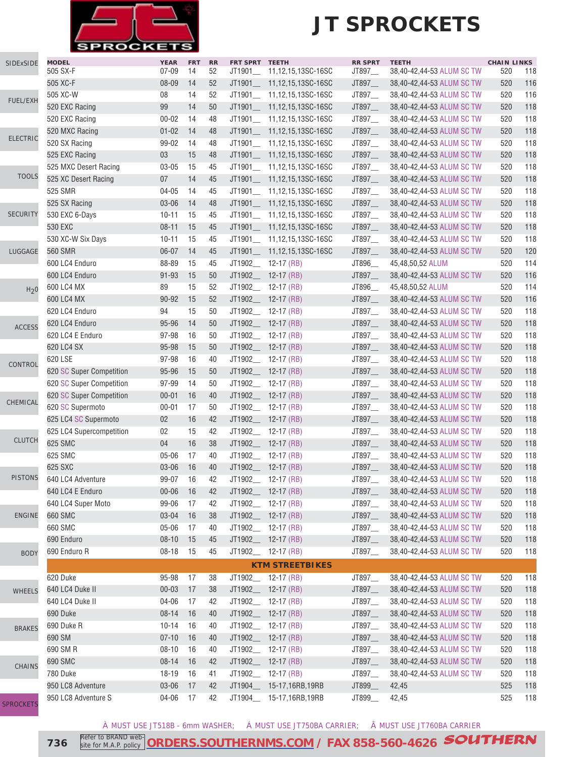

### **JT SPROCKETS**

| SIDExSIDE        | <b>MODEL</b><br>505 SX-F | <b>YEAR</b><br>$07 - 09$ | <b>FRT</b><br>14 | RR<br>52 | FRT SPRT TEETH<br>JT1901__ | 11,12,15,13SC-16SC           | <b>RR SPRT</b><br>JT897_ | <b>TEETH</b><br>38,40-42,44-53 ALUM SC TW | <b>CHAIN LINKS</b><br>520 | 118 |
|------------------|--------------------------|--------------------------|------------------|----------|----------------------------|------------------------------|--------------------------|-------------------------------------------|---------------------------|-----|
|                  | 505 XC-F                 | 08-09                    | 14               | 52       |                            | JT1901___ 11,12,15,13SC-16SC | JT897_                   | 38,40-42,44-53 ALUM SC TW                 | 520                       | 116 |
|                  | 505 XC-W                 | 08                       | 14               | 52       |                            | JT1901__ 11,12,15,13SC-16SC  | JT897                    | 38,40-42,44-53 ALUM SC TW                 | 520                       | 116 |
| <b>FUEL/EXH</b>  | 520 EXC Racing           | 99                       | 14               | 50       |                            | JT1901___ 11,12,15,13SC-16SC | JT897                    | 38,40-42,44-53 ALUM SC TW                 | 520                       | 118 |
|                  | 520 EXC Racing           | $00 - 02$                | 14               | 48       |                            | JT1901___ 11,12,15,13SC-16SC | JT897                    | 38,40-42,44-53 ALUM SC TW                 | 520                       | 118 |
|                  | 520 MXC Racing           | $01 - 02$                | 14               | 48       |                            | JT1901___ 11,12,15,13SC-16SC | JT897                    | 38,40-42,44-53 ALUM SC TW                 | 520                       | 118 |
| <b>ELECTRIC</b>  | 520 SX Racing            | 99-02                    | 14               | 48       |                            | JT1901___ 11,12,15,13SC-16SC | JT897                    | 38,40-42,44-53 ALUM SC TW                 | 520                       | 118 |
|                  | 525 EXC Racing           | 03                       | 15               | 48       |                            | JT1901___ 11,12,15,13SC-16SC | JT897_                   | 38,40-42,44-53 ALUM SC TW                 | 520                       | 118 |
|                  | 525 MXC Desert Racing    | $03 - 05$                | 15               | 45       |                            | JT1901__ 11,12,15,13SC-16SC  | JT897_                   | 38,40-42,44-53 ALUM SC TW                 | 520                       | 118 |
| <b>TOOLS</b>     | 525 XC Desert Racing     | 07                       | 14               | 45       |                            | JT1901___ 11,12,15,13SC-16SC | JT897_                   | 38,40-42,44-53 ALUM SC TW                 | 520                       | 118 |
|                  | 525 SMR                  | $04 - 05$                | 14               | 45       |                            | JT1901___ 11,12,15,13SC-16SC | JT897_                   | 38,40-42,44-53 ALUM SC TW                 | 520                       | 118 |
|                  | 525 SX Racing            | $03 - 06$                | 14               | 48       |                            | JT1901__ 11,12,15,13SC-16SC  | JT897_                   | 38,40-42,44-53 ALUM SC TW                 | 520                       | 118 |
| <b>SECURITY</b>  | 530 EXC 6-Days           | $10 - 11$                | 15               | 45       |                            | JT1901___ 11,12,15,13SC-16SC | JT897_                   | 38,40-42,44-53 ALUM SC TW                 | 520                       | 118 |
|                  | 530 EXC                  | $08 - 11$                | 15               | 45       |                            | JT1901__ 11,12,15,13SC-16SC  | JT897_                   | 38,40-42,44-53 ALUM SC TW                 | 520                       | 118 |
|                  | 530 XC-W Six Days        | $10 - 11$                | 15               | 45       |                            | JT1901___ 11,12,15,13SC-16SC | JT897_                   | 38,40-42,44-53 ALUM SC TW                 | 520                       | 118 |
| LUGGAGE          | 560 SMR                  | $06 - 07$                | 14               | 45       |                            | JT1901 11,12,15,13SC-16SC    | JT897                    | 38,40-42,44-53 ALUM SC TW                 | 520                       | 120 |
|                  | 600 LC4 Enduro           | 88-89                    | 15               | 45       |                            | JT1902___ 12-17 (RB)         | JT896__                  | 45,48,50,52 ALUM                          | 520                       | 114 |
|                  | 600 LC4 Enduro           | $91 - 93$                | 15               | 50       |                            | JT1902__ 12-17 (RB)          | JT897_                   | 38,40-42,44-53 ALUM SC TW                 | 520                       | 116 |
|                  | 600 LC4 MX               | 89                       | 15               | 52       |                            | JT1902_ 12-17 (RB)           | JT896_                   | 45,48,50,52 ALUM                          | 520                       | 114 |
| H <sub>2</sub> 0 | 600 LC4 MX               | 90-92                    | 15               | 52       |                            | JT1902___ 12-17 (RB)         | JT897                    | 38,40-42,44-53 ALUM SC TW                 | 520                       | 116 |
|                  | 620 LC4 Enduro           | 94                       | 15               | 50       |                            | JT1902___ 12-17 (RB)         | JT897_                   | 38,40-42,44-53 ALUM SC TW                 | 520                       | 118 |
|                  | 620 LC4 Enduro           | 95-96                    | 14               | 50       |                            | JT1902___ 12-17 (RB)         | JT897_                   | 38,40-42,44-53 ALUM SC TW                 | 520                       | 118 |
| <b>ACCESS</b>    | 620 LC4 E Enduro         | 97-98                    | 16               | 50       |                            | JT1902_ 12-17 (RB)           | JT897_                   | 38,40-42,44-53 ALUM SC TW                 | 520                       | 118 |
|                  | 620 LC4 SX               | 95-98                    | 15               | 50       |                            | JT1902__ 12-17 (RB)          | JT897_                   | 38,40-42,44-53 ALUM SC TW                 | 520                       | 118 |
|                  | 620 LSE                  | 97-98                    | 16               | 40       |                            | JT1902_ 12-17 (RB)           | JT897_                   | 38,40-42,44-53 ALUM SC TW                 | 520                       | 118 |
| CONTROL          | 620 SC Super Competition | 95-96                    | 15               | 50       |                            | JT1902_ 12-17 (RB)           | JT897_                   | 38,40-42,44-53 ALUM SC TW                 | 520                       | 118 |
|                  | 620 SC Super Competition | 97-99                    | 14               | 50       |                            | JT1902__ 12-17 (RB)          | JT897_                   | 38,40-42,44-53 ALUM SC TW                 | 520                       | 118 |
|                  | 620 SC Super Competition | $00 - 01$                | 16               | 40       |                            | JT1902_ 12-17 (RB)           | JT897_                   | 38,40-42,44-53 ALUM SC TW                 | 520                       | 118 |
| CHEMICAL         | 620 SC Supermoto         | $00 - 01$                | 17               | 50       |                            | JT1902_ 12-17 (RB)           | JT897_                   | 38,40-42,44-53 ALUM SC TW                 | 520                       | 118 |
|                  | 625 LC4 SC Supermoto     | 02                       | 16               | 42       |                            | JT1902__ 12-17 (RB)          | JT897_                   | 38,40-42,44-53 ALUM SC TW                 | 520                       | 118 |
|                  | 625 LC4 Supercompetition | 02                       | 15               | 42       |                            | JT1902 12-17 (RB)            | JT897_                   | 38,40-42,44-53 ALUM SC TW                 | 520                       | 118 |
| <b>CLUTCH</b>    | 625 SMC                  | 04                       | 16               | 38       |                            | JT1902_ 12-17 (RB)           | JT897_                   | 38,40-42,44-53 ALUM SC TW                 | 520                       | 118 |
|                  | 625 SMC                  | $05 - 06$                | 17               | 40       |                            | JT1902___ 12-17 (RB)         | JT897                    | 38,40-42,44-53 ALUM SC TW                 | 520                       | 118 |
|                  | 625 SXC                  | 03-06                    | 16               | 40       |                            | JT1902__ 12-17 (RB)          | JT897__                  | 38,40-42,44-53 ALUM SC TW                 | 520                       | 118 |
| <b>PISTONS</b>   | 640 LC4 Adventure        | 99-07                    | 16               | 42       |                            | JT1902_ 12-17 (RB)           | JT897                    | 38,40-42,44-53 ALUM SC TW                 | 520                       | 118 |
|                  | 640 LC4 E Enduro         | $00 - 06$                | 16               | 42       |                            | JT1902__ 12-17 (RB)          | JT897_                   | 38,40-42,44-53 ALUM SC TW                 | 520                       | 118 |
|                  | 640 LC4 Super Moto       | 99-06                    | 17               | 42       |                            | JT1902___ 12-17 (RB)         | JT897_                   | 38,40-42,44-53 ALUM SC TW                 | 520                       | 118 |
| <b>ENGINE</b>    | 660 SMC                  | 03-04                    | 16               | 38       |                            | JT1902_ 12-17 (RB)           | JT897_                   | 38,40-42,44-53 ALUM SC TW                 | 520                       | 118 |
|                  | 660 SMC                  | 05-06                    | 17               | 40       |                            | JT1902__ 12-17 (RB)          | JT897__                  | 38,40-42,44-53 ALUM SC TW                 | 520                       | 118 |
|                  | 690 Enduro               | $08 - 10$                | 15               | 45       |                            | JT1902_ 12-17 (RB)           | JT897_                   | 38,40-42,44-53 ALUM SC TW                 | 520                       | 118 |
|                  | 690 Enduro R             | $08 - 18$                | 15               | 45       |                            | JT1902__ 12-17 (RB)          | JT897_                   | 38,40-42,44-53 ALUM SC TW                 | 520                       | 118 |
| <b>BODY</b>      |                          |                          |                  |          |                            | <b>KTM STREETBIKES</b>       |                          |                                           |                           |     |
|                  |                          |                          |                  |          |                            |                              |                          |                                           |                           |     |
|                  | 620 Duke                 | 95-98                    | 17               | 38       |                            | JT1902___ 12-17 (RB)         | JT897_                   | 38,40-42,44-53 ALUM SC TW                 | 520                       | 118 |
| <b>WHEELS</b>    | 640 LC4 Duke II          | $00 - 03$                | 17               | 38       |                            | JT1902__ 12-17 (RB)          | JT897_                   | 38,40-42,44-53 ALUM SC TW                 | 520                       | 118 |
|                  | 640 LC4 Duke II          | 04-06                    | 17               | 42       |                            | JT1902__ 12-17 (RB)          | JT897__                  | 38,40-42,44-53 ALUM SC TW                 | 520                       | 118 |
|                  | 690 Duke                 | $08 - 14$                | 16               | 40       |                            | JT1902_ 12-17 (RB)           | $JT897$ <sub>—</sub>     | 38,40-42,44-53 ALUM SC TW                 | 520                       | 118 |
| <b>BRAKES</b>    | 690 Duke R               | $10 - 14$                | 16               | 40       |                            | JT1902__ 12-17 (RB)          | $JT897$ <sub>—</sub>     | 38,40-42,44-53 ALUM SC TW                 | 520                       | 118 |
|                  | 690 SM                   | $07 - 10$                | 16               | 40       |                            | JT1902_ 12-17 (RB)           | JT897_                   | 38,40-42,44-53 ALUM SC TW                 | 520                       | 118 |
|                  | 690 SM R                 | $08 - 10$                | 16               | 40       |                            | JT1902___ 12-17 (RB)         | JT897_                   | 38,40-42,44-53 ALUM SC TW                 | 520                       | 118 |
| <b>CHAINS</b>    | 690 SMC                  | $08 - 14$                | 16               | 42       |                            | JT1902__ 12-17 (RB)          | JT897_                   | 38,40-42,44-53 ALUM SC TW                 | 520                       | 118 |
|                  | 780 Duke                 | 18-19                    | 16               | 41       |                            | JT1902_ 12-17 (RB)           | JT897_                   | 38,40-42,44-53 ALUM SC TW                 | 520                       | 118 |
|                  | 950 LC8 Adventure        | 03-06                    | 17               | 42       | JT1904_                    | 15-17,16RB,19RB              | JT899_                   | 42,45                                     | 525                       | 118 |
| <b>SPROCKETS</b> | 950 LC8 Adventure S      | 04-06                    | 17               | 42       |                            | JT1904___ 15-17,16RB,19RB    | JT899_                   | 42,45                                     | 525                       | 118 |

À MUST USE JT518B - 6mm WASHER; Á MUST USE JT750BA CARRIER; Â MUST USE JT760BA CARRIER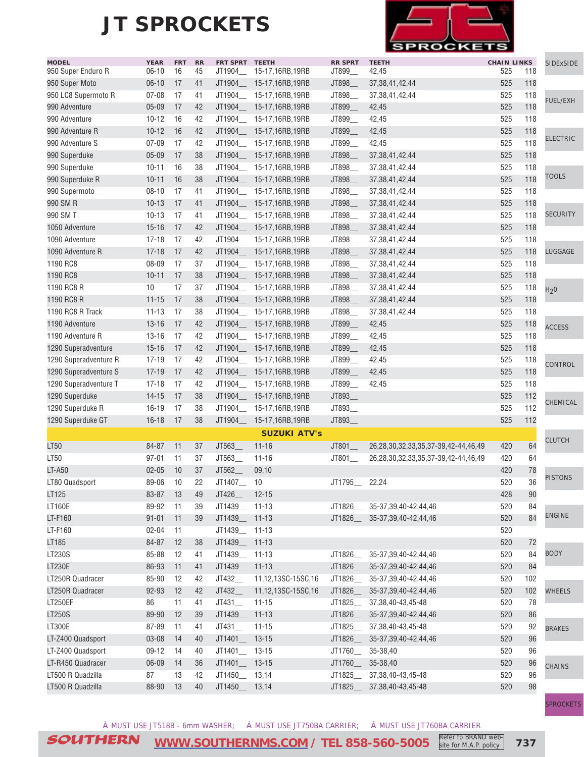

| <b>MODEL</b>          | <b>YEAR</b> | <b>FRT</b> | RR | FRT SPRT TEETH        |                         | <b>RR SPRT</b> | <b>TEETH</b>                        | <b>CHAIN LINKS</b> |     | <b>SIDExSIDE</b> |
|-----------------------|-------------|------------|----|-----------------------|-------------------------|----------------|-------------------------------------|--------------------|-----|------------------|
| 950 Super Enduro R    | $06-10$     | 16         | 45 | JT1904__              | 15-17,16RB,19RB         | JT899_         | 42,45                               | 525                | 118 |                  |
| 950 Super Moto        | $06-10$     | 17         | 41 | JT1904_               | 15-17,16RB,19RB         | JT898_         | 37, 38, 41, 42, 44                  | 525                | 118 |                  |
| 950 LC8 Supermoto R   | $07 - 08$   | 17         | 41 | JT1904_               | 15-17,16RB,19RB         | JT898          | 37, 38, 41, 42, 44                  | 525                | 118 | <b>FUEL/EXH</b>  |
| 990 Adventure         | $05 - 09$   | 17         | 42 | JT1904_               | 15-17,16RB,19RB         | JT899_         | 42,45                               | 525                | 118 |                  |
| 990 Adventure         | $10 - 12$   | 16         | 42 | JT1904_               | 15-17,16RB,19RB         | JT899_         | 42,45                               | 525                | 118 |                  |
| 990 Adventure R       | $10 - 12$   | 16         | 42 | JT1904_               | 15-17,16RB,19RB         | JT899          | 42,45                               | 525                | 118 | <b>ELECTRIC</b>  |
| 990 Adventure S       | $07 - 09$   | 17         | 42 | JT1904_               | 15-17,16RB,19RB         | JT899_         | 42,45                               | 525                | 118 |                  |
| 990 Superduke         | $05 - 09$   | 17         | 38 | JT1904_               | 15-17,16RB,19RB         | JT898_         | 37, 38, 41, 42, 44                  | 525                | 118 |                  |
| 990 Superduke         | $10 - 11$   | 16         | 38 | JT1904_               | 15-17,16RB,19RB         | JT898_         | 37, 38, 41, 42, 44                  | 525                | 118 | <b>TOOLS</b>     |
| 990 Superduke R       | $10 - 11$   | 16         | 38 | JT1904_               | 15-17,16RB,19RB         | JT898_         | 37, 38, 41, 42, 44                  | 525                | 118 |                  |
| 990 Supermoto         | $08 - 10$   | 17         | 41 |                       | JT1904_ 15-17,16RB,19RB | JT898_         | 37, 38, 41, 42, 44                  | 525                | 118 |                  |
| 990 SM R              | $10 - 13$   | 17         | 41 |                       | JT1904_ 15-17,16RB,19RB | JT898_         | 37, 38, 41, 42, 44                  | 525                | 118 |                  |
| 990 SM T              | $10 - 13$   | 17         | 41 | JT1904_               | 15-17,16RB,19RB         | JT898_         | 37, 38, 41, 42, 44                  | 525                | 118 | <b>SECURITY</b>  |
| 1050 Adventure        | $15 - 16$   | 17         | 42 | JT1904_               | 15-17,16RB,19RB         | JT898_         | 37, 38, 41, 42, 44                  | 525                | 118 |                  |
| 1090 Adventure        | $17 - 18$   | 17         | 42 | JT1904_               | 15-17,16RB,19RB         | JT898_         | 37, 38, 41, 42, 44                  | 525                | 118 |                  |
| 1090 Adventure R      | $17 - 18$   | 17         | 42 | JT1904                | 15-17,16RB,19RB         | JT898          | 37, 38, 41, 42, 44                  | 525                | 118 | LUGGAGE          |
| 1190 RC8              | 08-09       | 17         | 37 | JT1904_               | 15-17,16RB,19RB         | JT898_         | 37, 38, 41, 42, 44                  | 525                | 118 |                  |
| 1190 RC8              | $10 - 11$   | 17         | 38 | JT1904_               | 15-17,16RB,19RB         | JT898_         | 37, 38, 41, 42, 44                  | 525                | 118 |                  |
| 1190 RC8 R            | 10          | 17         | 37 | JT1904                | 15-17,16RB,19RB         | JT898_         | 37, 38, 41, 42, 44                  | 525                | 118 | H <sub>2</sub> 0 |
| 1190 RC8 R            | $11 - 15$   | 17         | 38 | JT1904                | 15-17,16RB,19RB         | JT898_         | 37, 38, 41, 42, 44                  | 525                | 118 |                  |
| 1190 RC8 R Track      | $11 - 13$   | 17         | 38 | JT1904                | 15-17,16RB,19RB         | JT898_         | 37, 38, 41, 42, 44                  | 525                | 118 |                  |
| 1190 Adventure        | $13 - 16$   | 17         | 42 | JT1904_               | 15-17,16RB,19RB         | JT899_         | 42,45                               | 525                | 118 | <b>ACCESS</b>    |
| 1190 Adventure R      | $13 - 16$   | 17         | 42 |                       | JT1904_ 15-17,16RB,19RB | JT899_         | 42,45                               | 525                | 118 |                  |
| 1290 Superadventure   | $15 - 16$   | 17         | 42 | JT1904_               | 15-17,16RB,19RB         | JT899_         | 42,45                               | 525                | 118 |                  |
| 1290 Superadventure R | $17 - 19$   | 17         | 42 |                       | JT1904_ 15-17,16RB,19RB | JT899_         | 42,45                               | 525                | 118 | CONTROL          |
| 1290 Superadventure S | $17 - 19$   | 17         | 42 | JT1904_               | 15-17,16RB,19RB         | JT899_         | 42,45                               | 525                | 118 |                  |
| 1290 Superadventure T | $17 - 18$   | 17         | 42 | JT1904_               | 15-17,16RB,19RB         | JT899_         | 42,45                               | 525                | 118 |                  |
| 1290 Superduke        | $14 - 15$   | 17         | 38 | JT1904_               | 15-17,16RB,19RB         | JT893_         |                                     | 525                | 112 | CHEMICAL         |
| 1290 Superduke R      | $16 - 19$   | 17         | 38 | JT1904_               | 15-17,16RB,19RB         | JT893_         |                                     | 525                | 112 |                  |
| 1290 Superduke GT     | $16 - 18$   | 17         | 38 | JT1904_               | 15-17,16RB,19RB         | JT893_         |                                     | 525                | 112 |                  |
|                       |             |            |    |                       | <b>SUZUKI ATV's</b>     |                |                                     |                    |     |                  |
| LT50                  | 84-87       | 11         | 37 | JT563_                | $11 - 16$               | JT801_         | 26,28,30,32,33,35,37-39,42-44,46,49 | 420                | 64  | <b>CLUTCH</b>    |
| LT50                  | $97 - 01$   | 11         | 37 | JT563_                | $11 - 16$               | JT801_         | 26,28,30,32,33,35,37-39,42-44,46,49 | 420                | 64  |                  |
| <b>LT-A50</b>         | $02 - 05$   | 10         | 37 | JT562_                | 09,10                   |                |                                     | 420                | 78  |                  |
| LT80 Quadsport        | 89-06       | 10         | 22 | JT1407_               | 10                      | JT1795         | 22,24                               | 520                | 36  | <b>PISTONS</b>   |
| LT125                 | 83-87       | 13         | 49 | JT426_                | $12 - 15$               |                |                                     | 428                | 90  |                  |
| LT160E                | 89-92       | 11         | 39 | JT1439_               | $11 - 13$               | JT1826__       | 35-37, 39, 40-42, 44, 46            | 520                | 84  |                  |
| LT-F160               | $91 - 01$   | 11         | 39 | JT1439_               | $11 - 13$               | JT1826         | 35-37, 39, 40-42, 44, 46            | 520                | 84  | <b>ENGINE</b>    |
| LT-F160               | $02 - 04$   | 11         |    | JT1439_ 11-13         |                         |                |                                     | 520                |     |                  |
| LT185                 | 84-87       | 12         | 38 | JT1439_               | $11 - 13$               |                |                                     | 520                | 72  |                  |
| LT230S                | 85-88       | 12         | 41 | JT1439_               | $11 - 13$               | JT1826_        | 35-37, 39, 40-42, 44, 46            | 520                | 84  | <b>BODY</b>      |
| <b>LT230E</b>         | 86-93       | 11         | 41 | JT1439_               | $11 - 13$               | JT1826_        | 35-37, 39, 40-42, 44, 46            | 520                | 84  |                  |
| LT250R Quadracer      | 85-90       | 12         | 42 | JT432_                | 11,12,13SC-15SC,16      | JT1826_        | 35-37,39,40-42,44,46                | 520                | 102 |                  |
| LT250R Quadracer      | 92-93       | 12         | 42 | JT432_                | 11,12,13SC-15SC,16      | JT1826_        | 35-37, 39, 40-42, 44, 46            | 520                | 102 | <b>WHEELS</b>    |
| LT250EF               | 86          | 11         | 41 | JT431                 | $11 - 15$               |                | JT1825___ 37,38,40-43,45-48         | 520                | 78  |                  |
| <b>LT250S</b>         | 89-90       | 12         | 39 | JT1439_               | $11 - 13$               | JT1826_        | 35-37, 39, 40-42, 44, 46            | 520                | 86  |                  |
| LT300E                | 87-89       | 11         | 41 | JT431                 | $11 - 15$               |                | JT1825____ 37,38,40-43,45-48        | 520                | 92  | <b>BRAKES</b>    |
| LT-Z400 Quadsport     | 03-08       | 14         | 40 | JT1401_               | $13 - 15$               | JT1826_        | 35-37, 39, 40-42, 44, 46            | 520                | 96  |                  |
| LT-Z400 Quadsport     | 09-12       | 14         | 40 | JT1401_               | $13 - 15$               | JT1760_        | 35-38,40                            | 520                | 96  |                  |
| LT-R450 Quadracer     | 06-09       | 14         | 36 | $JT1401$ <sub>—</sub> | $13 - 15$               | JT1760_        | 35-38,40                            | 520                | 96  |                  |
| LT500 R Quadzilla     | 87          | 13         | 42 | JT1450_               | 13,14                   | JT1825         | 37, 38, 40 - 43, 45 - 48            | 520                | 96  | <b>CHAINS</b>    |
|                       |             |            | 40 |                       |                         |                |                                     |                    |     |                  |
| LT500 R Quadzilla     | 88-90       | 13         |    | JT1450_               | 13,14                   | JT1825         | 37, 38, 40 - 43, 45 - 48            | 520                | 98  |                  |

[SPROCKETS](http://www.southernms.com/wp-content/uploads/2015/08/18_sprockets.pdf)

À MUST USE JT518B - 6mm WASHER; Á MUST USE JT750BA CARRIER; Â MUST USE JT760BA CARRIER

SOUTHERN **[WWW.SOUTHERNMS.COM](http://m.southernms.com) / TEL 858-560-5005 737** Refer to BRAND website for M.A.P. policy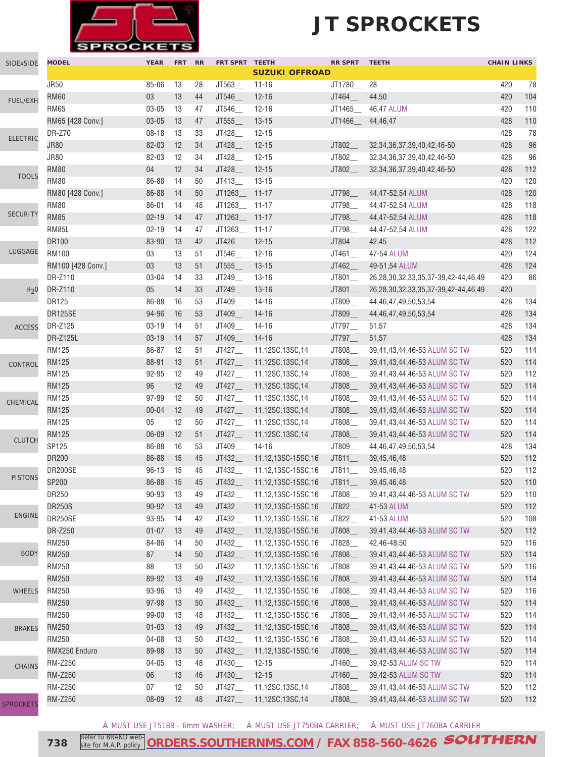

| SIDExSIDE        | <b>MODEL</b>      | <b>YEAR</b> | <b>FRT</b> | <b>RR</b> | FRT SPRT TEETH       | <b>SUZUKI OFFROAD</b> | RR SPRT TEETH        |                                              | <b>CHAIN LINKS</b> |     |
|------------------|-------------------|-------------|------------|-----------|----------------------|-----------------------|----------------------|----------------------------------------------|--------------------|-----|
|                  | <b>JR50</b>       | 85-06       | 13         | 28        | JT563                | $11 - 16$             | JT1780               | 28                                           | 420                | 78  |
|                  | <b>RM60</b>       | 03          | 13         | 44        | JT546_               | $12 - 16$             | JT464_               | 44,50                                        | 420                | 104 |
| FUEL/EXH         | <b>RM65</b>       | $03 - 05$   | 13         | 47        | JT546                | $12 - 16$             | JT1465               | 46,47 ALUM                                   | 420                | 110 |
|                  | RM65 [428 Conv.]  | 03-05       | 13         | 47        | JT555                | $13 - 15$             | JT1466_              | 44,46,47                                     | 428                | 110 |
|                  | <b>DR-Z70</b>     | $08 - 18$   | 13         | 33        | JT428_               | $12 - 15$             |                      |                                              | 428                | 78  |
| <b>ELECTRIC</b>  | <b>JR80</b>       | 82-03       | 12         | 34        | JT428_               | $12 - 15$             | JT802_               | 32, 34, 36, 37, 39, 40, 42, 46-50            | 428                | 96  |
|                  | <b>JR80</b>       | 82-03       | 12         | 34        | JT428_               | $12 - 15$             | JT802_               | 32, 34, 36, 37, 39, 40, 42, 46-50            | 428                | 96  |
|                  | <b>RM80</b>       | 04          | 12         | 34        | JT428_               | $12 - 15$             | JT802_               | 32, 34, 36, 37, 39, 40, 42, 46-50            | 428                | 112 |
| <b>TOOLS</b>     | <b>RM80</b>       | 86-88       | 14         | 50        | JT413_               | $13 - 15$             |                      |                                              | 420                | 120 |
|                  | RM80 [428 Conv.]  | 86-88       | 14         | 50        | JT1263_              | $11 - 17$             | JT798_               | 44,47-52,54 ALUM                             | 428                | 120 |
|                  | <b>RM80</b>       | 86-01       | 14         | 48        | JT1263_              | $11 - 17$             | JT798                | 44,47-52,54 ALUM                             | 428                | 118 |
| <b>SECURITY</b>  | <b>RM85</b>       | $02 - 19$   | 14         | 47        | JT1263_              | $11 - 17$             | JT798_               | 44,47-52,54 ALUM                             | 428                | 118 |
|                  | RM85L             | $02 - 19$   | 14         | 47        | JT1263_              | $11 - 17$             | JT798                | 44,47-52,54 ALUM                             | 428                | 122 |
|                  | <b>DR100</b>      | 83-90       | 13         | 42        | JT426_               | $12 - 15$             | JT804_               | 42,45                                        | 428                | 112 |
| LUGGAGE          | <b>RM100</b>      | 03          | 13         | 51        | JT546_               | $12 - 16$             | $JT461$ <sub>—</sub> | 47-54 ALUM                                   | 420                | 124 |
|                  |                   |             |            |           |                      |                       |                      |                                              |                    | 124 |
|                  | RM100 [428 Conv.] | 03          | 13         | 51        | JT555                | $13 - 15$             | JT462_               | 49-51,54 ALUM                                | 428                |     |
|                  | DR-Z110           | 03-04       | 14         | 33        | JT249                | $13 - 16$             | $JT801$ <sub>—</sub> | 26,28,30,32,33,35,37-39,42-44,46,49          | 420                | 86  |
| H <sub>2</sub> 0 | DR-Z110           | 05          | 14         | 33        | JT249_               | $13 - 16$             | JT801_               | 26, 28, 30, 32, 33, 35, 37-39, 42-44, 46, 49 | 420                |     |
|                  | <b>DR125</b>      | 86-88       | 16         | 53        | JT409_               | $14 - 16$             | JT809_               | 44,46,47,49,50,53,54                         | 428                | 134 |
|                  | DR125SE           | 94-96       | 16         | 53        | JT409_               | $14 - 16$             | JT809_               | 44, 46, 47, 49, 50, 53, 54                   | 428                | 134 |
| <b>ACCESS</b>    | DR-Z125           | $03 - 19$   | 14         | 51        | JT409_               | $14 - 16$             | JT797_               | 51,57                                        | 428                | 134 |
|                  | DR-Z125L          | $03 - 19$   | 14         | 57        | JT409_               | $14 - 16$             | JT797_               | 51,57                                        | 428                | 134 |
|                  | <b>RM125</b>      | 86-87       | 12         | 51        | JT427_               | 11,12SC,13SC,14       | JT808_               | 39,41,43,44,46-53 ALUM SC TW                 | 520                | 114 |
| CONTROL          | <b>RM125</b>      | 88-91       | 13         | 51        | JT427                | 11,12SC,13SC,14       | JT808_               | 39,41,43,44,46-53 ALUM SC TW                 | 520                | 114 |
|                  | <b>RM125</b>      | 92-95       | 12         | 49        | JT427                | 11,12SC,13SC,14       | JT808_               | 39,41,43,44,46-53 ALUM SC TW                 | 520                | 112 |
|                  | <b>RM125</b>      | 96          | 12         | 49        | JT427_               | 11,12SC,13SC,14       | JT808_               | 39,41,43,44,46-53 ALUM SC TW                 | 520                | 114 |
| CHEMICAL         | <b>RM125</b>      | 97-99       | 12         | 50        | JT427                | 11,12SC,13SC,14       | JT808                | 39,41,43,44,46-53 ALUM SC TW                 | 520                | 114 |
|                  | <b>RM125</b>      | $00 - 04$   | 12         | 49        | JT427                | 11,12SC,13SC,14       | JT808_               | 39,41,43,44,46-53 ALUM SC TW                 | 520                | 114 |
|                  | <b>RM125</b>      | 05          | 12         | 50        | JT427                | 11,12SC,13SC,14       | JT808_               | 39,41,43,44,46-53 ALUM SC TW                 | 520                | 114 |
| <b>CLUTCH</b>    | <b>RM125</b>      | 06-09       | 12         | 51        | JT427                | 11,12SC,13SC,14       | JT808_               | 39,41,43,44,46-53 ALUM SC TW                 | 520                | 114 |
|                  | SP125             | 86-88       | 16         | 53        | JT409_               | $14 - 16$             | JT809_               | 44, 46, 47, 49, 50, 53, 54                   | 428                | 134 |
|                  | <b>DR200</b>      | 86-88       | 15         | 45        | JT432_               | 11,12,13SC-15SC,16    | $JT811$ <sub>—</sub> | 39,45,46,48                                  | 520                | 112 |
| <b>PISTONS</b>   | DR200SE           | $96 - 13$   | 15         | 45        | JT432_               | 11,12,13SC-15SC,16    | JT811                | 39,45,46,48                                  | 520                | 112 |
|                  | SP200             | 86-88       | 15         | 45        | JT432                | 11,12,13SC-15SC,16    | JT811                | 39,45,46,48                                  | 520                | 110 |
|                  | DR250             | $90 - 93$   | 13         | 49        | JT432_               | 11,12,13SC-15SC,16    | JT808_               | 39,41,43,44,46-53 ALUM SC TW                 | 520                | 110 |
|                  | <b>DR250S</b>     | $90 - 92$   | 13         | 49        | JT432_               | 11,12,13SC-15SC,16    | JT822_               | 41-53 ALUM                                   | 520                | 112 |
| <b>ENGINE</b>    | DR250SE           | 93-95       | 14         | 42        | JT432_               | 11,12,13SC-15SC,16    | JT822_               | 41-53 ALUM                                   | 520                | 108 |
|                  | DR-Z250           | $01 - 07$   | 13         | 49        | JT432_               | 11,12,13SC-15SC,16    | JT808_               | 39,41,43,44,46-53 ALUM SC TW                 | 520                | 112 |
|                  | RM250             | 84-86       | 14         | 50        | JT432_               | 11,12,13SC-15SC,16    | JT828_               | 42,46-48,50                                  | 520                | 116 |
| <b>BODY</b>      | RM250             | 87          | 14         | 50        | JT432_               | 11,12,13SC-15SC,16    | JT808_               | 39,41,43,44,46-53 ALUM SC TW                 | 520                | 114 |
|                  | RM250             | 88          | 13         | 50        | JT432_               | 11,12,13SC-15SC,16    | JT808_               | 39,41,43,44,46-53 ALUM SC TW                 | 520                | 116 |
|                  | RM250             | 89-92       | 13         | 49        | JT432_               | 11,12,13SC-15SC,16    | JT808_               | 39,41,43,44,46-53 ALUM SC TW                 | 520                | 114 |
| <b>WHEELS</b>    | RM250             | 93-96       | 13         | 49        | JT432_               | 11,12,13SC-15SC,16    | JT808_               | 39,41,43,44,46-53 ALUM SC TW                 | 520                | 116 |
|                  | <b>RM250</b>      | $97 - 98$   | 13         | 50        | JT432_               | 11,12,13SC-15SC,16    | JT808_               | 39,41,43,44,46-53 ALUM SC TW                 | 520                | 114 |
|                  | RM250             | 99-00       | 13         | 48        | JT432_               | 11,12,13SC-15SC,16    | $JT808$ <sub>—</sub> | 39,41,43,44,46-53 ALUM SC TW                 | 520                | 114 |
| <b>BRAKES</b>    | RM250             | $01 - 03$   | 13         | 49        | JT432_               | 11,12,13SC-15SC,16    | JT808_               | 39,41,43,44,46-53 ALUM SC TW                 | 520                | 114 |
|                  | RM250             | 04-08       | 13         | 50        | JT432_               | 11,12,13SC-15SC,16    | JT808_               | 39,41,43,44,46-53 ALUM SC TW                 | 520                | 114 |
|                  | RMX250 Enduro     | 89-98       | 13         | 50        | JT432_               | 11,12,13SC-15SC,16    | JT808_               | 39,41,43,44,46-53 ALUM SC TW                 | 520                | 114 |
| <b>CHAINS</b>    | <b>RM-Z250</b>    | 04-05       | 13         | 48        | JT430_               | $12 - 15$             | JT460_               | 39,42-53 ALUM SC TW                          | 520                | 114 |
|                  | RM-Z250           | 06          | 13         | 46        | JT430_               | $12 - 15$             | JT460_               | 39,42-53 ALUM SC TW                          | 520                | 114 |
|                  | RM-Z250           | 07          | 12         | 50        | JT427_               | 11,12SC,13SC,14       | JT808_               | 39,41,43,44,46-53 ALUM SC TW                 | 520                | 112 |
|                  | RM-Z250           | 08-09       | 12         | 48        | $JT427$ <sub>—</sub> | 11,12SC,13SC,14       | JT808_               | 39,41,43,44,46-53 ALUM SC TW                 | 520                | 112 |
| <b>SPROCKETS</b> |                   |             |            |           |                      |                       |                      |                                              |                    |     |

À MUST USE JT518B - 6mm WASHER; Á MUST USE JT750BA CARRIER; Â MUST USE JT760BA CARRIER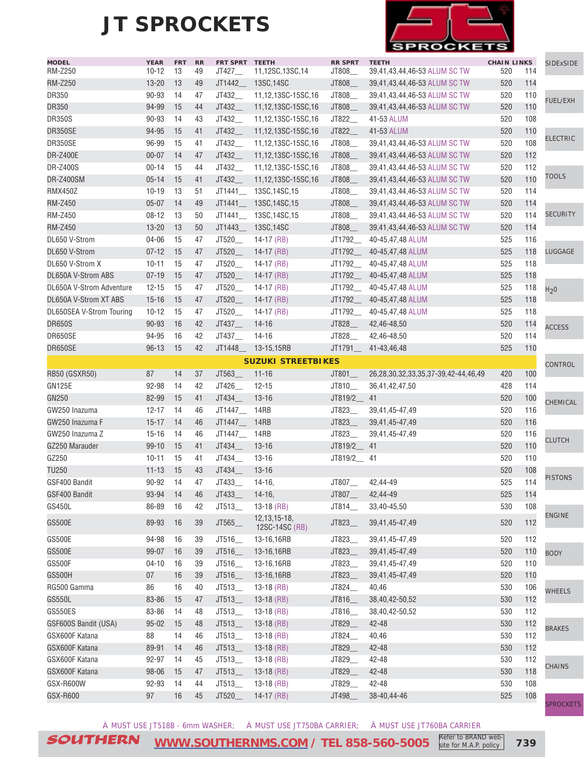

| <b>MODEL</b><br><b>RM-Z250</b> | <b>YEAR</b><br>$10 - 12$ | <b>FRT</b><br>13 | <b>RR</b><br>49 | FRT SPRT TEETH<br>JT427__ | 11,12SC,13SC,14                  | <b>RR SPRT</b><br>JT808 | <b>TEETH</b><br>39,41,43,44,46-53 ALUM SC TW | <b>CHAIN LINKS</b><br>520 | 114 | <b>SIDExSIDE</b> |
|--------------------------------|--------------------------|------------------|-----------------|---------------------------|----------------------------------|-------------------------|----------------------------------------------|---------------------------|-----|------------------|
| <b>RM-Z250</b>                 | $13 - 20$                | 13               | 49              | JT1442                    | 13SC, 14SC                       | JT808_                  | 39,41,43,44,46-53 ALUM SC TW                 | 520                       | 114 |                  |
| DR350                          | 90-93                    | 14               | 47              | JT432_                    | 11,12,13SC-15SC,16               | JT808_                  | 39,41,43,44,46-53 ALUM SC TW                 | 520                       | 110 |                  |
| <b>DR350</b>                   | 94-99                    | 15               | 44              | JT432_                    | 11,12,13SC-15SC,16               | JT808_                  | 39,41,43,44,46-53 ALUM SC TW                 | 520                       | 110 | <b>FUEL/EXH</b>  |
| <b>DR350S</b>                  | 90-93                    | 14               | 43              | JT432                     | 11.12.13SC-15SC.16               | JT822                   | 41-53 ALUM                                   | 520                       | 108 |                  |
| <b>DR350SE</b>                 | 94-95                    | 15               | 41              | JT432_                    | 11,12,13SC-15SC,16               | JT822_                  | 41-53 ALUM                                   | 520                       | 110 |                  |
| DR350SE                        | 96-99                    | 15               | 41              | JT432_                    | 11,12,13SC-15SC,16               | JT808_                  | 39,41,43,44,46-53 ALUM SC TW                 | 520                       | 108 | <b>ELECTRIC</b>  |
| <b>DR-Z400E</b>                | $00 - 07$                | 14               | 47              |                           |                                  |                         |                                              | 520                       | 112 |                  |
| <b>DR-Z400S</b>                | $00 - 14$                | 15               | 44              | JT432_<br>JT432           | 11,12,13SC-15SC,16               | JT808_                  | 39,41,43,44,46-53 ALUM SC TW                 | 520                       | 112 |                  |
| <b>DR-Z400SM</b>               |                          |                  |                 |                           | 11,12,13SC-15SC,16               | JT808_                  | 39,41,43,44,46-53 ALUM SC TW                 |                           |     | TOOLS            |
| <b>RMX450Z</b>                 | $05 - 14$                | 15               | 41              | JT432                     | 11,12,13SC-15SC,16               | JT808_<br>JT808_        | 39,41,43,44,46-53 ALUM SC TW                 | 520                       | 110 |                  |
|                                | $10 - 19$                | 13               | 51              | JT1441                    | 13SC, 14SC, 15                   |                         | 39,41,43,44,46-53 ALUM SC TW                 | 520                       | 114 |                  |
| <b>RM-Z450</b>                 | $05 - 07$                | 14               | 49              | JT1441                    | 13SC, 14SC, 15                   | JT808_                  | 39,41,43,44,46-53 ALUM SC TW                 | 520                       | 114 | <b>SECURITY</b>  |
| RM-Z450                        | $08 - 12$                | 13               | 50              |                           | JT1441___ 13SC,14SC,15           | JT808_                  | 39,41,43,44,46-53 ALUM SC TW                 | 520                       | 114 |                  |
| <b>RM-Z450</b>                 | $13 - 20$                | 13               | 50              | JT1443_                   | 13SC, 14SC                       | JT808_                  | 39,41,43,44,46-53 ALUM SC TW                 | 520                       | 114 |                  |
| DL650 V-Strom                  | 04-06                    | 15               | 47              | JT520_                    | 14-17 $(RB)$                     | JT1792_                 | 40-45,47,48 ALUM                             | 525                       | 116 |                  |
| DL650 V-Strom                  | $07 - 12$                | 15               | 47              | JT520_                    | $14-17$ (RB)                     | JT1792_                 | 40-45,47,48 ALUM                             | 525                       | 118 | <b>LUGGAGE</b>   |
| DL650 V-Strom X                | $10 - 11$                | 15               | 47              | JT520_                    | $14-17$ (RB)                     | JT1792_                 | 40-45,47,48 ALUM                             | 525                       | 118 |                  |
| DL650A V-Strom ABS             | $07 - 19$                | 15               | 47              | JT520_                    | $14-17$ (RB)                     | JT1792_                 | 40-45,47,48 ALUM                             | 525                       | 118 |                  |
| DL650A V-Strom Adventure       | $12 - 15$                | 15               | 47              | JT520_                    | $14-17$ (RB)                     | JT1792_                 | 40-45,47,48 ALUM                             | 525                       | 118 | H <sub>2</sub> 0 |
| DL650A V-Strom XT ABS          | $15 - 16$                | 15               | 47              | JT520_                    | $14-17$ (RB)                     | JT1792_                 | 40-45,47,48 ALUM                             | 525                       | 118 |                  |
| DL650SEA V-Strom Touring       | $10 - 12$                | 15               | 47              | JT520                     | 14-17 $(RB)$                     | JT1792_                 | 40-45,47,48 ALUM                             | 525                       | 118 |                  |
| <b>DR650S</b>                  | 90-93                    | 16               | 42              | JT437                     | $14 - 16$                        | JT828                   | 42,46-48,50                                  | 520                       | 114 | <b>ACCESS</b>    |
| DR650SE                        | 94-95                    | 16               | 42              | JT437_                    | 14-16                            | JT828_                  | 42,46-48,50                                  | 520                       | 114 |                  |
| DR650SE                        | $96 - 13$                | 15               | 42              | JT1448                    | 13-15,15RB                       | JT1791_                 | 41-43,46,48                                  | 525                       | 110 |                  |
|                                |                          |                  |                 |                           | <b>SUZUKI STREETBIKES</b>        |                         |                                              |                           |     | <b>CONTROL</b>   |
| <b>RB50 (GSXR50)</b>           | 87                       | 14               | 37              | JT563_                    | $11 - 16$                        | JT801                   | 26,28,30,32,33,35,37-39,42-44,46,49          | 420                       | 100 |                  |
| <b>GN125E</b>                  | 92-98                    | 14               | 42              | JT426                     | $12 - 15$                        | JT810_                  | 36,41,42,47,50                               | 428                       | 114 |                  |
| GN250                          | 82-99                    | 15               | 41              | JT434_                    | $13 - 16$                        | JT819/2_                | 41                                           | 520                       | 100 | CHEMICAL         |
| GW250 Inazuma                  | $12 - 17$                | 14               | 46              | JT1447_                   | 14RB                             | JT823_                  | 39,41,45-47,49                               | 520                       | 116 |                  |
| GW250 Inazuma F                | $15 - 17$                | 14               | 46              | JT1447_                   | 14RB                             | JT823_                  | 39,41,45-47,49                               | 520                       | 116 |                  |
| GW250 Inazuma Z                | $15 - 16$                | 14               | 46              | JT1447_                   | 14RB                             | JT823_                  | 39,41,45-47,49                               | 520                       | 116 | <b>CLUTCH</b>    |
| GZ250 Marauder                 | $99 - 10$                | 15               | 41              | JT434_                    | $13 - 16$                        | JT819/2_                | 41                                           | 520                       | 110 |                  |
| GZ250                          | $10 - 11$                | 15               | 41              | JT434_                    | $13 - 16$                        | JT819/2_ 41             |                                              | 520                       | 110 |                  |
| <b>TU250</b>                   | $11 - 13$                | 15               | 43              | JT434                     | $13 - 16$                        |                         |                                              | 520                       | 108 | <b>PISTONS</b>   |
| GSF400 Bandit                  | 90-92                    | 14               | 47              | JT433                     | $14-16,$                         | JT807_                  | 42,44-49                                     | 525                       | 114 |                  |
| GSF400 Bandit                  | 93-94 14                 |                  | 46              | JT433_                    | $14-16,$                         | JT807_                  | 42,44-49                                     | 525                       | 114 |                  |
| GS450L                         | 86-89                    | 16               | 42              | JT513_                    | $13-18$ (RB)                     | JT814_                  | 33,40-45,50                                  | 530                       | 108 |                  |
| <b>GS500E</b>                  | 89-93                    | 16               | 39              | JT565_                    | 12, 13, 15-18,<br>12SC-14SC (RB) | JT823_                  | 39,41,45-47,49                               | 520                       | 112 | <b>ENGINE</b>    |
| <b>GS500E</b>                  | 94-98                    | 16               | 39              | JT516                     | 13-16,16RB                       | JT823_                  | 39,41,45-47,49                               | 520                       | 112 |                  |
| <b>GS500E</b>                  | 99-07                    | 16               | 39              | JT516_                    | 13-16,16RB                       | JT823_                  | 39,41,45-47,49                               | 520                       | 110 | <b>BODY</b>      |
| <b>GS500F</b>                  | $04 - 10$                | 16               | 39              | JT516_                    | 13-16,16RB                       | JT823_                  | 39,41,45-47,49                               | 520                       | 110 |                  |
| GS500H                         | 07                       | 16               | 39              | JT516_                    | 13-16,16RB                       | JT823_                  | 39,41,45-47,49                               | 520                       | 110 |                  |
| RG500 Gamma                    | 86                       | 16               | 40              | JT513_                    | $13-18$ (RB)                     | JT824_                  | 40,46                                        | 530                       | 106 | <b>WHEELS</b>    |
| GS550L                         | 83-86                    | 15               | 47              | JT513_                    | $13-18$ (RB)                     | JT816_                  | 38,40,42-50,52                               | 530                       | 112 |                  |
| <b>GS550ES</b>                 | 83-86                    | 14               | 48              | JT513_                    | $13-18$ (RB)                     | JT816_                  | 38,40,42-50,52                               | 530                       | 112 |                  |
| GSF600S Bandit (USA)           | $95 - 02$                | 15               | 48              | JT513                     | 13-18 (RB)                       | JT829_                  | 42-48                                        | 530                       | 112 |                  |
| GSX600F Katana                 | 88                       | 14               | 46              | JT513                     | $13-18$ (RB)                     | JT824_                  | 40,46                                        | 530                       | 112 | <b>BRAKES</b>    |
| GSX600F Katana                 | 89-91                    | 14               | 46              | JT513_                    | $13-18$ (RB)                     | JT829_                  | 42-48                                        | 530                       | 112 |                  |
| GSX600F Katana                 | 92-97                    | 14               | 45              | JT513_                    | $13-18$ (RB)                     | JT829_                  | 42-48                                        | 530                       | 112 |                  |
| GSX600F Katana                 | 98-06                    | 15               | 47              | JT513_                    | $13-18$ (RB)                     | JT829_                  | 42-48                                        | 530                       | 118 | <b>CHAINS</b>    |
| GSX-R600W                      | 92-93                    | 14               | 44              | JT513_                    | $13-18$ (RB)                     | JT829_                  | 42-48                                        | 530                       | 108 |                  |
| GSX-R600                       | 97                       | 16               | 45              | JT520_                    | $14-17$ (RB)                     | JT498_                  | 38-40,44-46                                  | 525                       | 108 |                  |
|                                |                          |                  |                 |                           |                                  |                         |                                              |                           |     |                  |

**PROCKETS** 

À MUST USE JT518B - 6mm WASHER; Á MUST USE JT750BA CARRIER; Â MUST USE JT760BA CARRIER

SOUTHERN **[WWW.SOUTHERNMS.COM](http://m.southernms.com) / TEL 858-560-5005 739** Refer to BRAND website for M.A.P. policy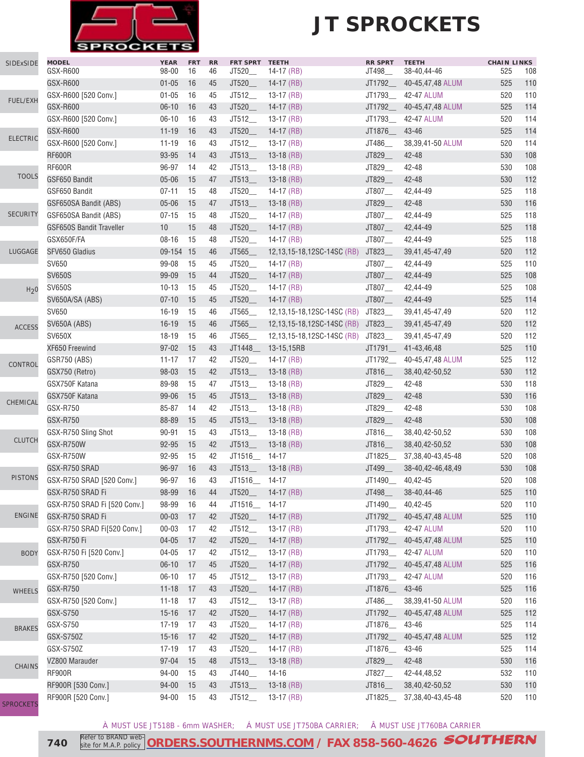

### **JT SPROCKETS**

| <b>SIDExSIDE</b> | <b>MODEL</b>                    | <b>YEAR</b> | <b>FRT</b> | RR | FRT SPRT TEETH         |                              | <b>RR SPRT</b>     | <b>TEETH</b>             | <b>CHAIN LINKS</b> |     |
|------------------|---------------------------------|-------------|------------|----|------------------------|------------------------------|--------------------|--------------------------|--------------------|-----|
|                  | GSX-R600                        | $98 - 00$   | 16         | 46 | JT520_                 | $14-17$ (RB)                 | JT498_             | 38-40,44-46              | 525                | 108 |
|                  | GSX-R600                        | $01 - 05$   | 16         | 45 | JT520_                 | $14-17$ (RB)                 | JT1792__           | 40-45,47,48 ALUM         | 525                | 110 |
|                  | GSX-R600 [520 Conv.]            | $01 - 05$   | 16         | 45 | JT512_                 | $13-17$ (RB)                 | JT1793_            | 42-47 ALUM               | 520                | 110 |
| FUEL/EXH         | GSX-R600                        | $06-10$     | 16         | 43 | JT520_                 | 14-17 $(RB)$                 | JT1792_            | 40-45,47,48 ALUM         | 525                | 114 |
|                  | GSX-R600 [520 Conv.]            | $06 - 10$   | 16         | 43 | JT512_                 | $13-17$ (RB)                 | JT1793_            | 42-47 ALUM               | 520                | 114 |
|                  | GSX-R600                        | $11 - 19$   | 16         | 43 | JT520                  | $14-17$ (RB)                 | JT1876             | 43-46                    | 525                | 114 |
| <b>ELECTRIC</b>  | GSX-R600 [520 Conv.]            | $11 - 19$   | 16         | 43 | JT512_                 | $13-17$ (RB)                 | JT486_             | 38,39,41-50 ALUM         | 520                | 114 |
|                  | <b>RF600R</b>                   | 93-95       | 14         | 43 | JT513                  | $13-18$ (RB)                 | JT829_             | 42-48                    | 530                | 108 |
|                  | <b>RF600R</b>                   | 96-97       | 14         | 42 | JT513                  | $13-18$ (RB)                 | JT829_             | 42-48                    | 530                | 108 |
| <b>TOOLS</b>     | GSF650 Bandit                   | $05 - 06$   | 15         | 47 | JT513                  | $13-18$ (RB)                 | JT829_             | 42-48                    | 530                | 112 |
|                  | GSF650 Bandit                   | $07 - 11$   | 15         | 48 | JT520                  | 14-17 $(RB)$                 | JT807_             | 42,44-49                 | 525                | 118 |
|                  | GSF650SA Bandit (ABS)           | $05 - 06$   | 15         | 47 | JT513                  | $13-18$ (RB)                 | JT829_             | 42-48                    | 530                | 116 |
| <b>SECURITY</b>  | GSF650SA Bandit (ABS)           | $07 - 15$   | 15         | 48 | JT520__                | 14-17 $(RB)$                 | JT807_             | 42,44-49                 | 525                | 118 |
|                  | <b>GSF650S Bandit Traveller</b> | 10          | 15         | 48 | JT520                  | $14-17$ (RB)                 | JT807_             | 42,44-49                 | 525                | 118 |
|                  | GSX650F/FA                      | $08 - 16$   | 15         | 48 | JT520_                 | 14-17 $(RB)$                 | JT807_             | 42,44-49                 | 525                | 118 |
| LUGGAGE          | SFV650 Gladius                  | 09-154 15   |            | 46 | JT565_                 | 12,13,15-18,12SC-14SC (RB)   | JT823_             | 39,41,45-47,49           | 520                | 112 |
|                  | SV650                           | 99-08       | 15         | 45 | JT520_                 |                              | JT807_             | 42,44-49                 | 525                | 110 |
|                  |                                 |             | 15         |    |                        | 14-17 (RB)                   |                    |                          | 525                | 108 |
|                  | <b>SV650S</b>                   | 99-09       |            | 44 | JT520_                 | $14-17$ (RB)                 | JT807_             | 42,44-49                 |                    |     |
| H <sub>2</sub> 0 | <b>SV650S</b>                   | $10 - 13$   | 15         | 45 | JT520                  | $14-17$ (RB)                 | JT807_             | 42,44-49                 | 525                | 108 |
|                  | SV650A/SA (ABS)                 | $07 - 10$   | 15         | 45 | JT520_                 | $14-17$ (RB)                 | JT807_             | 42,44-49                 | 525                | 114 |
|                  | SV650                           | $16 - 19$   | 15         | 46 | JT565                  | 12,13,15-18,12SC-14SC (RB)   | JT823_             | 39,41,45-47,49           | 520                | 112 |
| <b>ACCESS</b>    | <b>SV650A (ABS)</b>             | $16 - 19$   | 15         | 46 | JT565                  | 12,13,15-18,12SC-14SC (RB)   | JT823              | 39,41,45-47,49           | 520                | 112 |
|                  | <b>SV650X</b>                   | $18 - 19$   | 15         | 46 | JT565                  | 12,13,15-18,12SC-14SC (RB)   | JT823__            | 39,41,45-47,49           | 520                | 112 |
|                  | XF650 Freewind                  | $97 - 02$   | 15         | 43 | JT1448                 | 13-15,15RB                   | JT1791_            | 41-43,46,48              | 525                | 110 |
| CONTROL          | GSR750 (ABS)                    | $11 - 17$   | 17         | 42 | JT520_                 | 14-17 $(RB)$                 | JT1792_            | 40-45,47,48 ALUM         | 525                | 112 |
|                  | GSX750 (Retro)                  | 98-03       | 15         | 42 | JT513                  | $13-18$ (RB)                 | JT816_             | 38,40,42-50,52           | 530                | 112 |
|                  | GSX750F Katana                  | 89-98       | 15         | 47 | JT513                  | $13-18$ (RB)                 | JT829_             | 42-48                    | 530                | 118 |
| CHEMICAL         | GSX750F Katana                  | 99-06       | 15         | 45 | $JT513$ <sub>___</sub> | $13-18$ (RB)                 | JT829_             | 42-48                    | 530                | 116 |
|                  | GSX-R750                        | 85-87       | 14         | 42 | $JT513$ <sub>___</sub> | $13-18$ (RB)                 | JT829_             | 42-48                    | 530                | 108 |
|                  | GSX-R750                        | 88-89       | 15         | 45 | $JT513$ <sub>__</sub>  | $13-18$ (RB)                 | JT829_             | 42-48                    | 530                | 108 |
|                  | GSX-R750 Sling Shot             | 90-91       | 15         | 43 | JT513                  | $13-18$ (RB)                 | JT816_             | 38,40,42-50,52           | 530                | 108 |
| <b>CLUTCH</b>    | GSX-R750W                       | 92-95       | 15         | 42 | JT513                  | $13-18$ (RB)                 | JT816_             | 38,40,42-50,52           | 530                | 108 |
|                  | GSX-R750W                       | 92-95       | 15         | 42 | JT1516_                | $14 - 17$                    | JT1825             | 37, 38, 40 - 43, 45 - 48 | 520                | 108 |
|                  | GSX-R750 SRAD                   | 96-97       | 16         | 43 | JT513_                 | $13-18$ (RB)                 | JT499_             | 38-40,42-46,48,49        | 530                | 108 |
| <b>PISTONS</b>   | GSX-R750 SRAD [520 Conv.]       | 96-97       | 16         | 43 | JT1516_ 14-17          |                              | JT1490___ 40,42-45 |                          | 520                | 108 |
|                  | GSX-R750 SRAD Fi                | 98-99       | 16         | 44 | JT520_                 | $14-17$ (RB)                 | JT498_             | 38-40,44-46              | 525                | 110 |
|                  | GSX-R750 SRAD Fi [520 Conv.]    | 98-99       | 16         | 44 | JT1516_                | $14 - 17$                    | JT1490_            | 40,42-45                 | 520                | 110 |
| <b>ENGINE</b>    | GSX-R750 SRAD Fi                | $00 - 03$   | 17         | 42 | JT520                  | $14-17$ (RB)                 | JT1792_            | 40-45,47,48 ALUM         | 525                | 110 |
|                  | GSX-R750 SRAD Fi[520 Conv.]     | $00 - 03$   | 17         | 42 | $JT512$ <sub>___</sub> | $13-17$ (RB)                 |                    | JT1793___ 42-47 ALUM     | 520                | 110 |
|                  | GSX-R750 Fi                     | $04 - 05$   | 17         | 42 | JT520_                 | $14-17$ (RB)                 | JT1792_            | 40-45,47,48 ALUM         | 525                | 110 |
| <b>BODY</b>      | GSX-R750 Fi [520 Conv.]         | 04-05       | 17         | 42 | $JT512$ <sub>—</sub>   | 13-17 (RB)                   | JT1793_            | 42-47 ALUM               | 520                | 110 |
|                  | <b>GSX-R750</b>                 | $06 - 10$   | 17         | 45 | JT520_                 | $14-17$ (RB)                 | JT1792__           | 40-45,47,48 ALUM         | 525                | 116 |
|                  | GSX-R750 [520 Conv.]            | $06 - 10$   | 17         | 45 | JT512_                 | 13-17 (RB)                   | JT1793_            | 42-47 ALUM               | 520                | 116 |
| <b>WHEELS</b>    | GSX-R750                        | $11 - 18$   | 17         | 43 | JT520_                 | $14-17$ (RB)                 | JT1876_            | 43-46                    | 525                | 116 |
|                  | GSX-R750 [520 Conv.]            | $11 - 18$   | 17         | 43 | JT512_                 | 13-17 (RB)                   | JT486_             | 38,39,41-50 ALUM         | 520                | 116 |
|                  | GSX-S750                        | $15 - 16$   | 17         | 42 | JT520_                 | $14-17$ (RB)                 | JT1792_            | 40-45,47,48 ALUM         | 525                | 112 |
|                  | GSX-S750                        | $17 - 19$   | 17         | 43 | JT520_                 | 14-17 (RB)                   | JT1876_            | 43-46                    | 525                | 114 |
| <b>BRAKES</b>    | GSX-S750Z                       | $15 - 16$   | 17         | 42 | JT520_                 |                              | JT1792_            | 40-45,47,48 ALUM         | 525                | 112 |
|                  | GSX-S750Z                       | $17 - 19$   | 17         | 43 | JT520_                 | $14-17$ (RB)<br>14-17 $(RB)$ | JT1876_            | 43-46                    | 525                | 114 |
|                  |                                 |             |            |    |                        |                              |                    |                          |                    | 116 |
| <b>CHAINS</b>    | VZ800 Marauder                  | $97 - 04$   | 15         | 48 | JT513                  | $13-18$ (RB)                 | JT829_             | 42-48                    | 530                |     |
|                  | <b>RF900R</b>                   | 94-00       | 15         | 43 | JT440_                 | $14 - 16$                    | JT827_             | 42-44,48,52              | 532                | 110 |
|                  | RF900R [530 Conv.]              | $94 - 00$   | 15         | 43 | $JT513$ <sub>___</sub> | $13-18$ (RB)                 | JT816              | 38,40,42-50,52           | 530                | 110 |
| <b>SPROCKETS</b> | RF900R [520 Conv.]              | 94-00       | 15         | 43 | $JT512$ <sub>___</sub> | 13-17 (RB)                   | JT1825__           | 37, 38, 40 - 43, 45 - 48 | 520                | 110 |

À MUST USE JT518B - 6mm WASHER; Á MUST USE JT750BA CARRIER; Â MUST USE JT760BA CARRIER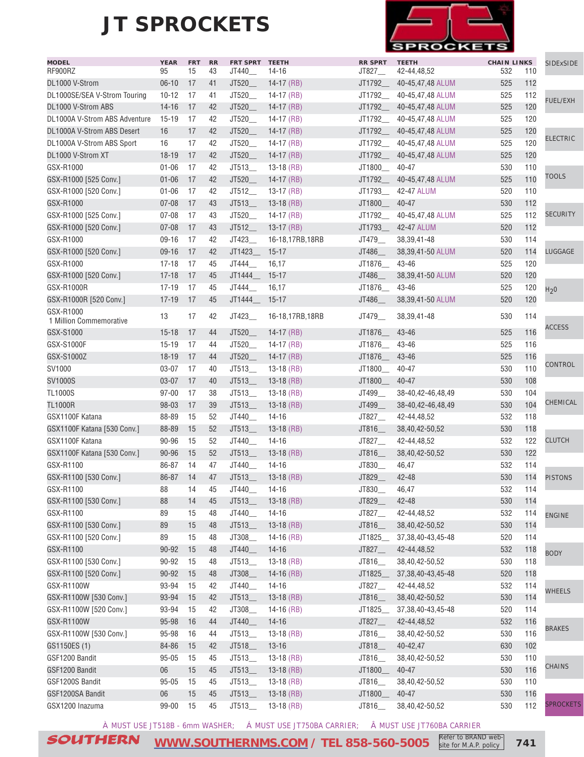

| <b>MODEL</b>                         | <b>YEAR</b> | <b>FRT</b> | <b>RR</b> | FRT SPRT TEETH |                 | <b>RR SPRT</b> | <b>TEETH</b>                  | <b>CHAIN LINKS</b> |     | SIDExSIDE        |
|--------------------------------------|-------------|------------|-----------|----------------|-----------------|----------------|-------------------------------|--------------------|-----|------------------|
| RF900RZ                              | 95          | 15         | 43        | JT440_         | 14-16           | JT827_         | 42-44,48,52                   | 532                | 110 |                  |
| DL1000 V-Strom                       | $06 - 10$   | 17         | 41        | JT520_         | $14-17$ (RB)    | JT1792_        | 40-45,47,48 ALUM              | 525                | 112 |                  |
| DL1000SE/SEA V-Strom Touring         | $10 - 12$   | 17         | 41        | JT520_         | $14-17$ (RB)    | JT1792_        | 40-45,47,48 ALUM              | 525                | 112 | <b>FUEL/EXH</b>  |
| DL1000 V-Strom ABS                   | $14 - 16$   | 17         | 42        | JT520_         | $14-17$ (RB)    | JT1792_        | 40-45,47,48 ALUM              | 525                | 120 |                  |
| DL1000A V-Strom ABS Adventure        | $15 - 19$   | 17         | 42        | JT520          | $14-17$ (RB)    | JT1792         | 40-45,47,48 ALUM              | 525                | 120 |                  |
| DL1000A V-Strom ABS Desert           | 16          | 17         | 42        | JT520_         | $14-17$ (RB)    | JT1792_        | 40-45,47,48 ALUM              | 525                | 120 | <b>ELECTRIC</b>  |
| DL1000A V-Strom ABS Sport            | 16          | 17         | 42        | JT520          | 14-17 (RB)      | JT1792         | 40-45,47,48 ALUM              | 525                | 120 |                  |
| DL1000 V-Strom XT                    | $18 - 19$   | 17         | 42        | JT520          | $14-17$ (RB)    | JT1792_        | 40-45,47,48 ALUM              | 525                | 120 |                  |
| GSX-R1000                            | $01 - 06$   | 17         | 42        | JT513          | $13-18$ (RB)    | JT1800         | 40-47                         | 530                | 110 | <b>TOOLS</b>     |
| GSX-R1000 [525 Conv.]                | $01 - 06$   | 17         | 42        | JT520          | $14-17$ (RB)    |                | JT1792___ 40-45,47,48 ALUM    | 525                | 110 |                  |
| GSX-R1000 [520 Conv.]                | $01 - 06$   | 17         | 42        | JT512          | $13-17$ (RB)    | JT1793_        | 42-47 ALUM                    | 520                | 110 |                  |
| GSX-R1000                            | $07 - 08$   | 17         | 43        | JT513          | $13-18$ (RB)    | JT1800_        | $40 - 47$                     | 530                | 112 |                  |
| GSX-R1000 [525 Conv.]                | $07 - 08$   | 17         | 43        | JT520_         | 14-17 $(RB)$    | JT1792_        | 40-45,47,48 ALUM              | 525                | 112 | <b>SECURITY</b>  |
| GSX-R1000 [520 Conv.]                | $07 - 08$   | 17         | 43        | JT512_         | $13-17$ (RB)    | JT1793_        | 42-47 ALUM                    | 520                | 112 |                  |
| GSX-R1000                            | $09 - 16$   | 17         | 42        | JT423_         | 16-18,17RB,18RB | JT479_         | 38, 39, 41-48                 | 530                | 114 |                  |
| GSX-R1000 [520 Conv.]                | $09-16$     | 17         | 42        | JT1423         | $15 - 17$       | JT486          | 38,39,41-50 ALUM              | 520                | 114 | <b>LUGGAGE</b>   |
| GSX-R1000                            | $17 - 18$   | 17         | 45        | JT444_         | 16,17           | JT1876         | 43-46                         | 525                | 120 |                  |
| GSX-R1000 [520 Conv.]                | $17 - 18$   | 17         | 45        | JT1444         | $15 - 17$       | JT486_         | 38,39,41-50 ALUM              | 520                | 120 |                  |
| GSX-R1000R                           | $17 - 19$   | 17         | 45        | JT444          | 16,17           | JT1876_        | 43-46                         | 525                | 120 | H <sub>2</sub> 0 |
| GSX-R1000R [520 Conv.]               | $17 - 19$   | 17         | 45        | JT1444         | $15 - 17$       | JT486_         | 38,39,41-50 ALUM              | 520                | 120 |                  |
| GSX-R1000<br>1 Million Commemorative | 13          | 17         | 42        | JT423_         | 16-18,17RB,18RB | JT479___       | 38,39,41-48                   | 530                | 114 |                  |
| GSX-S1000                            | $15 - 18$   | 17         | 44        | JT520          | $14-17$ (RB)    | JT1876         | 43-46                         | 525                | 116 | <b>ACCESS</b>    |
| GSX-S1000F                           | $15 - 19$   | 17         | 44        | JT520_         | 14-17 $(RB)$    | JT1876         | 43-46                         | 525                | 116 |                  |
| GSX-S1000Z                           | $18 - 19$   | 17         | 44        | JT520_         | $14-17$ (RB)    | JT1876         | 43-46                         | 525                | 116 |                  |
| SV1000                               | $03 - 07$   | 17         | 40        | JT513          | $13-18$ (RB)    | JT1800         | 40-47                         | 530                | 110 | CONTROL          |
| <b>SV1000S</b>                       | $03 - 07$   | 17         | 40        | JT513_         | $13-18$ (RB)    | JT1800         | 40-47                         | 530                | 108 |                  |
| <b>TL1000S</b>                       | $97 - 00$   | 17         | 38        | JT513          | $13-18$ (RB)    | JT499          | 38-40,42-46,48,49             | 530                | 104 |                  |
| <b>TL1000R</b>                       | 98-03       | 17         | 39        | JT513          | $13-18$ (RB)    | JT499          | 38-40,42-46,48,49             | 530                | 104 | CHEMICAL         |
| GSX1100F Katana                      | 88-89       | 15         | 52        | JT440_         | $14 - 16$       | JT827__        | 42-44,48,52                   | 532                | 118 |                  |
| GSX1100F Katana [530 Conv.]          | 88-89       | 15         | 52        | JT513          | $13-18$ (RB)    | JT816_         | 38,40,42-50,52                | 530                | 118 |                  |
| GSX1100F Katana                      | 90-96       |            | 52        |                | $14 - 16$       |                |                               | 532                | 122 | <b>CLUTCH</b>    |
|                                      |             | 15         | 52        | JT440_         |                 | JT827__        | 42-44,48,52<br>38,40,42-50,52 | 530                | 122 |                  |
| GSX1100F Katana [530 Conv.]          | 90-96       | 15         |           | JT513_         | $13-18$ (RB)    | JT816_         |                               |                    |     |                  |
| GSX-R1100                            | 86-87       | 14         | 47        | JT440_         | $14 - 16$       | JT830_         | 46,47                         | 532                | 114 |                  |
| GSX-R1100 [530 Conv.]                | 86-87       | 14         | 47        | JT513_         | $13-18$ (RB)    | JT829_         | 42-48                         | 530                | 114 | <b>PISTONS</b>   |
| GSX-R1100                            | 88          | 14         | 45        | JT440          | 14-16           | JT830          | 46,47                         | 532                | 114 |                  |
| GSX-R1100 [530 Conv.]                | 88          | 14         | 45        | JT513_         | $13-18$ (RB)    | JT829_         | 42-48                         | 530                | 114 |                  |
| GSX-R1100                            | 89          | 15         | 48        | JT440_         | $14 - 16$       | JT827_         | 42-44,48,52                   | 532                | 114 | <b>ENGINE</b>    |
| GSX-R1100 [530 Conv.]                | 89          | 15         | 48        | JT513_         | $13-18$ (RB)    | JT816_         | 38,40,42-50,52                | 530                | 114 |                  |
| GSX-R1100 [520 Conv.]                | 89          | 15         | 48        | JT308_         | $14-16$ (RB)    | JT1825         | 37, 38, 40 - 43, 45 - 48      | 520                | 114 |                  |
| GSX-R1100                            | 90-92       | 15         | 48        | JT440_         | $14 - 16$       | JT827_         | 42-44,48,52                   | 532                | 118 | <b>BODY</b>      |
| GSX-R1100 [530 Conv.]                | 90-92       | 15         | 48        | JT513_         | $13-18$ (RB)    | JT816_         | 38,40,42-50,52                | 530                | 118 |                  |
| GSX-R1100 [520 Conv.]                | 90-92       | 15         | 48        | JT308_         | $14-16$ (RB)    | JT1825         | 37, 38, 40 - 43, 45 - 48      | 520                | 118 |                  |
| GSX-R1100W                           | 93-94       | 15         | 42        | JT440_         | $14 - 16$       | JT827_         | 42-44,48,52                   | 532                | 114 | <b>WHEELS</b>    |
| GSX-R1100W [530 Conv.]               | 93-94       | 15         | 42        | JT513_         | $13-18$ (RB)    | JT816_         | 38,40,42-50,52                | 530                | 114 |                  |
| GSX-R1100W [520 Conv.]               | 93-94       | 15         | 42        | JT308_         | $14-16$ (RB)    | JT1825         | 37, 38, 40-43, 45-48          | 520                | 114 |                  |
| GSX-R1100W                           | 95-98       | 16         | 44        | JT440_         | $14 - 16$       | JT827_         | 42-44,48,52                   | 532                | 116 |                  |
| GSX-R1100W [530 Conv.]               | 95-98       | 16         | 44        | JT513_         | $13-18$ (RB)    | JT816_         | 38,40,42-50,52                | 530                | 116 | <b>BRAKES</b>    |
| GS1150ES (1)                         | 84-86       | 15         | 42        | JT518_         | $13 - 16$       | JT818_         | 40-42,47                      | 630                | 102 |                  |
| GSF1200 Bandit                       | $95 - 05$   | 15         | 45        | JT513_         | $13-18$ (RB)    | JT816_         | 38,40,42-50,52                | 530                | 110 |                  |
| GSF1200 Bandit                       | $06\,$      | 15         | 45        | JT513_         | $13-18$ (RB)    | JT1800_        | $40 - 47$                     | 530                | 116 | CHAINS           |
| GSF1200S Bandit                      | $95 - 05$   | 15         | 45        | JT513_         | $13-18$ (RB)    | JT816_         | 38,40,42-50,52                | 530                | 110 |                  |
| GSF1200SA Bandit                     | $06\,$      | 15         | 45        | JT513_         | $13-18$ (RB)    | JT1800_        | $40 - 47$                     | 530                | 116 |                  |
| GSX1200 Inazuma                      | 99-00       | 15         | 45        | JT513_         | $13-18$ (RB)    | JT816_         | 38,40,42-50,52                | 530                | 112 | <b>SPROCKETS</b> |
|                                      |             |            |           |                |                 |                |                               |                    |     |                  |

À MUST USE JT518B - 6mm WASHER; Á MUST USE JT750BA CARRIER; Â MUST USE JT760BA CARRIER

SOUTHERN **[WWW.SOUTHERNMS.COM](http://m.southernms.com) / TEL 858-560-5005 741** Refer to BRAND web-

site for M.A.P. policy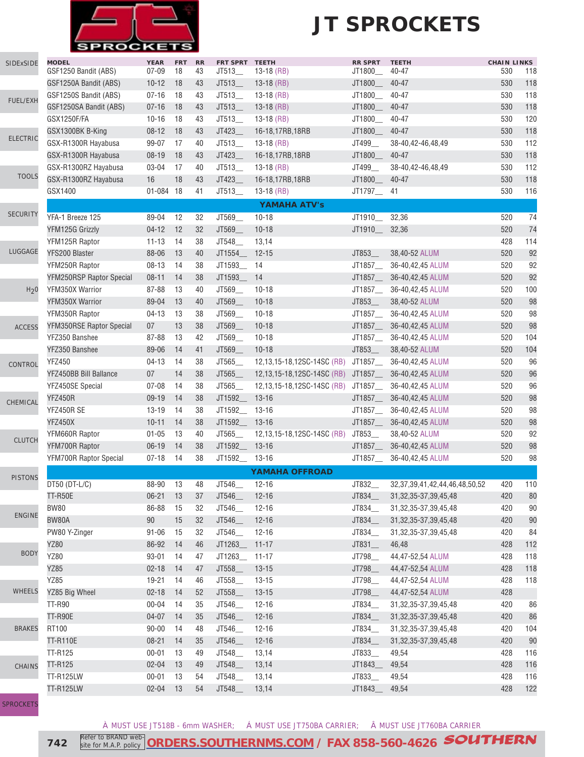

| <b>SIDExSIDE</b> | <b>MODEL</b><br>GSF1250 Bandit (ABS) | <b>YEAR</b><br>$07 - 09$ | <b>FRT</b><br>18 | <b>RR</b><br>43 | FRT SPRT TEETH<br>JT513 | $13-18$ (RB)               | <b>RR SPRT</b><br>JT1800_ | <b>TEETH</b><br>40-47                  | <b>CHAIN LINKS</b><br>530 | 118    |
|------------------|--------------------------------------|--------------------------|------------------|-----------------|-------------------------|----------------------------|---------------------------|----------------------------------------|---------------------------|--------|
|                  | GSF1250A Bandit (ABS)                | $10 - 12$                | 18               | 43              | JT513                   | $13-18$ (RB)               | JT1800_                   | 40-47                                  | 530                       | 118    |
|                  | GSF1250S Bandit (ABS)                | $07 - 16$                | 18               | 43              | JT513_                  | $13-18$ (RB)               | JT1800_                   | 40-47                                  | 530                       | 118    |
| FUEL/EXH         | GSF1250SA Bandit (ABS)               | $07 - 16$                | 18               | 43              | JT513                   | $13-18$ (RB)               | JT1800_                   | 40-47                                  | 530                       | 118    |
|                  | GSX1250F/FA                          | $10 - 16$                | 18               | 43              | JT513_                  | $13-18$ (RB)               | JT1800_                   | 40-47                                  | 530                       | 120    |
|                  | GSX1300BK B-King                     | $08 - 12$                | 18               | 43              | JT423                   | 16-18,17RB,18RB            | JT1800_                   | 40-47                                  | 530                       | 118    |
| <b>ELECTRIC</b>  | GSX-R1300R Hayabusa                  | 99-07                    | 17               | 40              | JT513                   | $13-18$ (RB)               | JT499_                    | 38-40,42-46,48,49                      | 530                       | 112    |
|                  | GSX-R1300R Hayabusa                  | $08-19$                  | 18               | 43              | JT423                   | 16-18,17RB,18RB            | JT1800_                   | $40 - 47$                              | 530                       | 118    |
|                  | GSX-R1300RZ Hayabusa                 | 03-04                    | 17               | 40              | JT513                   | $13-18$ (RB)               | JT499__                   | 38-40,42-46,48,49                      | 530                       | 112    |
| <b>TOOLS</b>     | GSX-R1300RZ Hayabusa                 | 16                       | 18               | 43              | JT423                   | 16-18,17RB,18RB            | JT1800_                   | 40-47                                  | 530                       | 118    |
|                  | GSX1400                              | 01-084 18                |                  | 41              | JT513                   | $13-18$ (RB)               | JT1797__ 41               |                                        | 530                       | 116    |
|                  |                                      |                          |                  |                 |                         | <b>YAMAHA ATV's</b>        |                           |                                        |                           |        |
| <b>SECURITY</b>  | YFA-1 Breeze 125                     | 89-04                    | 12               | 32              | JT569_                  | $10 - 18$                  | JT1910                    | 32,36                                  | 520                       | 74     |
|                  | YFM125G Grizzly                      | $04 - 12$                | 12               | 32              | JT569                   | $10 - 18$                  | JT1910_                   | 32,36                                  | 520                       | 74     |
|                  | YFM125R Raptor                       | $11 - 13$                | 14               | 38              | JT548                   | 13,14                      |                           |                                        | 428                       | 114    |
| LUGGAGE          | YFS200 Blaster                       | 88-06                    | 13               | 40              | JT1554_                 | $12 - 15$                  | JT853_                    | 38,40-52 ALUM                          | 520                       | 92     |
|                  | YFM250R Raptor                       | $08 - 13$                | 14               | 38              | JT1593_                 | 14                         | JT1857_                   | 36-40,42,45 ALUM                       | 520                       | 92     |
|                  | <b>YFM250RSP Raptor Special</b>      | $08 - 11$                | 14               | 38              | JT1593_                 | 14                         | JT1857_                   | 36-40,42,45 ALUM                       | 520                       | 92     |
| H <sub>2</sub> 0 | YFM350X Warrior                      | 87-88                    | 13               | 40              | JT569_                  | $10 - 18$                  | JT1857                    | 36-40,42,45 ALUM                       | 520                       | 100    |
|                  | YFM350X Warrior                      | 89-04                    | 13               | 40              | JT569_                  | $10 - 18$                  | JT853_                    | 38,40-52 ALUM                          | 520                       | 98     |
|                  | YFM350R Raptor                       | $04-13$                  | 13               | 38              | JT569_                  | $10 - 18$                  | JT1857_                   | 36-40,42,45 ALUM                       | 520                       | 98     |
|                  | YFM350RSE Raptor Special             | 07                       | 13               | 38              | JT569_                  | $10 - 18$                  | JT1857_                   | 36-40,42,45 ALUM                       | 520                       | 98     |
| <b>ACCESS</b>    | YFZ350 Banshee                       | 87-88                    | 13               | 42              | JT569_                  | $10 - 18$                  | JT1857_                   | 36-40,42,45 ALUM                       | 520                       | 104    |
|                  | YFZ350 Banshee                       | 89-06                    | 14               | 41              | JT569                   | $10 - 18$                  | JT853_                    | 38,40-52 ALUM                          | 520                       | 104    |
|                  | <b>YFZ450</b>                        | $04-13$                  | 14               | 38              | JT565                   | 12,13,15-18,12SC-14SC (RB) | JT1857_                   | 36-40,42,45 ALUM                       | 520                       | 96     |
| CONTROL          | YFZ450BB Bill Ballance               | 07                       | 14               | 38              | JT565                   | 12,13,15-18,12SC-14SC (RB) | JT1857_                   | 36-40,42,45 ALUM                       | 520                       | 96     |
|                  | YFZ450SE Special                     | $07 - 08$                | 14               | 38              | JT565                   | 12,13,15-18,12SC-14SC (RB) | JT1857_                   | 36-40,42,45 ALUM                       | 520                       | 96     |
|                  | YFZ450R                              | 09-19                    | 14               | 38              | JT1592__                | $13 - 16$                  | JT1857_                   | 36-40,42,45 ALUM                       | 520                       | 98     |
| CHEMICAL         | YFZ450R SE                           | $13 - 19$                | 14               | 38              | JT1592_                 | $13 - 16$                  | JT1857_                   | 36-40,42,45 ALUM                       | 520                       | 98     |
|                  | <b>YFZ450X</b>                       | $10 - 11$                | 14               | 38              | JT1592 13-16            |                            | JT1857_                   | 36-40,42,45 ALUM                       | 520                       | 98     |
|                  | YFM660R Raptor                       | $01 - 05$                | 13               | 40              | JT565                   | 12,13,15-18,12SC-14SC (RB) | JT853__                   | 38,40-52 ALUM                          | 520                       | 92     |
| <b>CLUTCH</b>    | YFM700R Raptor                       | $06-19$                  | 14               | 38              | JT1592_ 13-16           |                            | JT1857_                   | 36-40,42,45 ALUM                       | 520                       | 98     |
|                  | <b>YFM700R Raptor Special</b>        | $07 - 18$                | 14               | 38              | JT1592__                | 13-16                      | JT1857_                   | 36-40,42,45 ALUM                       | 520                       | 98     |
|                  |                                      |                          |                  |                 |                         | <b>YAMAHA OFFROAD</b>      |                           |                                        |                           |        |
| <b>PISTONS</b>   | DT50 (DT-L/C)                        | 88-90                    | 13               | 48              | JT546                   | $12 - 16$                  | JT832                     | 32, 37, 39, 41, 42, 44, 46, 48, 50, 52 | 420                       | 110    |
|                  | <b>TT-R50E</b>                       | $06 - 21$                | 13               | 37              | JT546                   | $12 - 16$                  | JT834_                    | 31, 32, 35-37, 39, 45, 48              | 420                       | 80     |
|                  | <b>BW80</b>                          | 86-88                    | 15               | 32              | JT546_                  | $12 - 16$                  | JT834_                    | 31, 32, 35-37, 39, 45, 48              | 420                       | $90\,$ |
| <b>ENGINE</b>    | <b>BW80A</b>                         | $90\,$                   | 15               | 32              | JT546                   | $12 - 16$                  | JT834_                    | 31, 32, 35-37, 39, 45, 48              | 420                       | 90     |
|                  | PW80 Y-Zinger                        | $91 - 06$                | 15               | 32              | JT546__                 | $12 - 16$                  | JT834                     | 31, 32, 35-37, 39, 45, 48              | 420                       | 84     |
|                  | <b>YZ80</b>                          | 86-92                    | 14               | 46              | JT1263_                 | $11 - 17$                  | $JT831$ <sub>--</sub>     | 46,48                                  | 428                       | 112    |
| <b>BODY</b>      | YZ80                                 | $93 - 01$                | 14               | 47              | JT1263                  | $11 - 17$                  | JT798_                    | 44,47-52,54 ALUM                       | 428                       | 118    |
|                  | YZ85                                 | $02 - 18$                | 14               | 47              | JT558_                  | $13 - 15$                  | JT798_                    | 44,47-52,54 ALUM                       | 428                       | 118    |
|                  | <b>YZ85</b>                          | 19-21                    | 14               | 46              | JT558                   | $13 - 15$                  | JT798_                    | 44,47-52,54 ALUM                       | 428                       | 118    |
| <b>WHEELS</b>    | YZ85 Big Wheel                       | $02 - 18$                | 14               | 52              | JT558_                  | $13 - 15$                  | JT798_                    | 44,47-52,54 ALUM                       | 428                       |        |
|                  | <b>TT-R90</b>                        | $00 - 04$                | 14               | 35              | JT546_                  | $12 - 16$                  | JT834_                    | 31, 32, 35-37, 39, 45, 48              | 420                       | 86     |
|                  | <b>TT-R90E</b>                       | $04 - 07$                | 14               | 35              | JT546_                  | $12 - 16$                  | JT834_                    | 31, 32, 35-37, 39, 45, 48              | 420                       | 86     |
| <b>BRAKES</b>    | RT100                                | $90 - 00$                | 14               | 48              | JT546_                  | $12 - 16$                  | JT834__                   | 31, 32, 35-37, 39, 45, 48              | 420                       | 104    |
|                  | <b>TT-R110E</b>                      | $08 - 21$                | 14               | 35              | JT546_                  | $12 - 16$                  | JT834_                    | 31, 32, 35-37, 39, 45, 48              | 420                       | 90     |
|                  | <b>TT-R125</b>                       | $00 - 01$                | 13               | 49              | JT548_                  | 13,14                      | JT833_                    | 49,54                                  | 428                       | 116    |
| CHAINS           | <b>TT-R125</b>                       | $02 - 04$                | 13               | 49              | JT548_                  | 13,14                      | JT1843_                   | 49,54                                  | 428                       | 116    |
|                  | <b>TT-R125LW</b>                     | $00 - 01$                | 13               | 54              | JT548_                  | 13,14                      | JT833_                    | 49,54                                  | 428                       | 116    |
|                  | <b>TT-R125LW</b>                     | $02 - 04$                | 13               | 54              | JT548                   | 13,14                      | JT1843__ 49,54            |                                        | 428                       | 122    |
|                  |                                      |                          |                  |                 |                         |                            |                           |                                        |                           |        |

**SPROCKET** 

À MUST USE JT518B - 6mm WASHER; Á MUST USE JT750BA CARRIER; Â MUST USE JT760BA CARRIER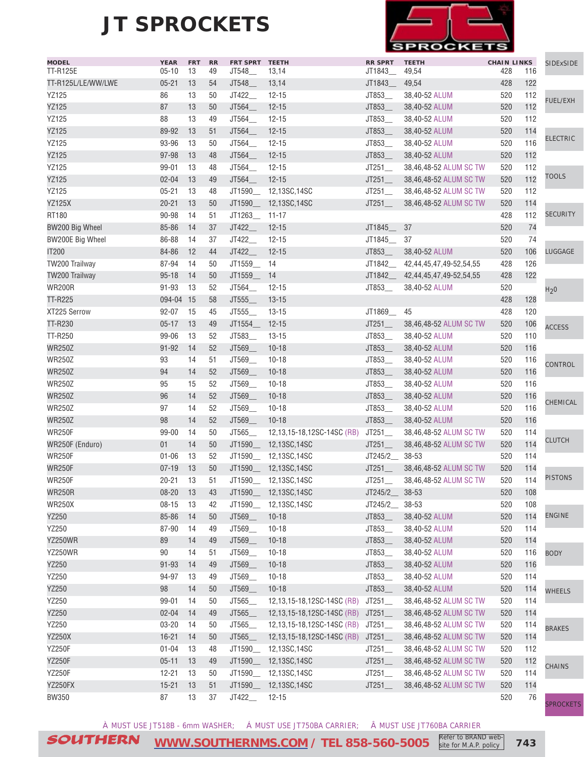

| <b>MODEL</b>            | <b>YEAR</b> | <b>FRT</b> | RR | FRT SPRT TEETH |                            | <b>RR SPRT</b>        | <b>TEETH</b>            | <b>CHAIN LINKS</b> |     | SIDExSIDE        |
|-------------------------|-------------|------------|----|----------------|----------------------------|-----------------------|-------------------------|--------------------|-----|------------------|
| <b>TT-R125E</b>         | $05 - 10$   | 13         | 49 | JT548          | 13,14                      | JT1843__              | 49,54                   | 428                | 116 |                  |
| TT-R125L/LE/WW/LWE      | $05 - 21$   | 13         | 54 | JT548_         | 13,14                      | JT1843                | 49,54                   | 428                | 122 |                  |
| <b>YZ125</b>            | 86          | 13         | 50 | JT422_         | $12 - 15$                  | JT853                 | 38,40-52 ALUM           | 520                | 112 | <b>FUEL/EXH</b>  |
| <b>YZ125</b>            | 87          | 13         | 50 | JT564_         | $12 - 15$                  | JT853_                | 38,40-52 ALUM           | 520                | 112 |                  |
| YZ125                   | 88          | 13         | 49 | JT564_         | $12 - 15$                  | JT853                 | 38,40-52 ALUM           | 520                | 112 |                  |
| <b>YZ125</b>            | 89-92       | 13         | 51 | JT564          | $12 - 15$                  | JT853_                | 38,40-52 ALUM           | 520                | 114 | <b>ELECTRIC</b>  |
| YZ125                   | 93-96       | 13         | 50 | JT564          | $12 - 15$                  | JT853                 | 38,40-52 ALUM           | 520                | 116 |                  |
| <b>YZ125</b>            | 97-98       | 13         | 48 | JT564          | $12 - 15$                  | JT853_                | 38,40-52 ALUM           | 520                | 112 |                  |
| YZ125                   | 99-01       | 13         | 48 | JT564_         | $12 - 15$                  | JT251                 | 38,46,48-52 ALUM SC TW  | 520                | 112 | <b>TOOLS</b>     |
| <b>YZ125</b>            | $02 - 04$   | 13         | 49 | JT564          | $12 - 15$                  | JT251                 | 38,46,48-52 ALUM SC TW  | 520                | 112 |                  |
| <b>YZ125</b>            | $05 - 21$   | 13         | 48 |                | JT1590___ 12,13SC,14SC     | JT251                 | 38,46,48-52 ALUM SC TW  | 520                | 112 |                  |
| <b>YZ125X</b>           | $20 - 21$   | 13         | 50 |                | JT1590___ 12,13SC,14SC     | JT251                 | 38,46,48-52 ALUM SC TW  | 520                | 114 |                  |
| RT180                   | 90-98       | 14         | 51 | JT1263_ 11-17  |                            |                       |                         | 428                | 112 | <b>SECURITY</b>  |
| BW200 Big Wheel         | 85-86       | 14         | 37 | JT422_         | $12 - 15$                  | JT1845                | 37                      | 520                | 74  |                  |
| <b>BW200E Big Wheel</b> | 86-88       | 14         | 37 | JT422          | $12 - 15$                  | JT1845                | 37                      | 520                | 74  |                  |
| IT200                   | 84-86       | 12         | 44 | JT422_         | $12 - 15$                  | JT853                 | 38,40-52 ALUM           | 520                | 106 | LUGGAGE          |
| TW200 Trailway          | 87-94       | 14         | 50 | JT1559_        | -14                        | JT1842                | 42,44,45,47,49-52,54,55 | 428                | 126 |                  |
| TW200 Trailway          | $95 - 18$   | 14         | 50 | JT1559_        | 14                         | JT1842                | 42,44,45,47,49-52,54,55 | 428                | 122 |                  |
| <b>WR200R</b>           | $91 - 93$   | 13         | 52 | JT564          | $12 - 15$                  | JT853                 | 38,40-52 ALUM           | 520                |     | H <sub>2</sub> 0 |
| <b>TT-R225</b>          | 094-04 15   |            | 58 | JT555          | $13 - 15$                  |                       |                         | 428                | 128 |                  |
| XT225 Serrow            | $92 - 07$   | 15         | 45 | JT555_         | $13 - 15$                  | JT1869_               | 45                      | 428                | 120 |                  |
| TT-R230                 | $05 - 17$   | 13         | 49 | JT1554_        | $12 - 15$                  | JT251                 | 38,46,48-52 ALUM SC TW  | 520                | 106 | <b>ACCESS</b>    |
| TT-R250                 | 99-06       | 13         | 52 | JT583_         | $13 - 15$                  | JT853_                | 38,40-52 ALUM           | 520                | 110 |                  |
| <b>WR250Z</b>           | $91 - 92$   | 14         | 52 | JT569_         | $10 - 18$                  | JT853_                | 38,40-52 ALUM           | 520                | 116 |                  |
| <b>WR250Z</b>           | 93          | 14         | 51 | JT569_         | $10 - 18$                  | JT853_                | 38,40-52 ALUM           | 520                | 116 | CONTROL          |
| <b>WR250Z</b>           | 94          | 14         | 52 | JT569_         | $10 - 18$                  | JT853_                | 38,40-52 ALUM           | 520                | 116 |                  |
| <b>WR250Z</b>           | 95          | 15         | 52 | JT569_         | $10 - 18$                  | JT853_                | 38,40-52 ALUM           | 520                | 116 |                  |
| <b>WR250Z</b>           | 96          | 14         | 52 | JT569_         | $10 - 18$                  | JT853_                | 38,40-52 ALUM           | 520                | 116 |                  |
| <b>WR250Z</b>           | 97          | 14         | 52 | JT569_         | $10 - 18$                  | JT853_                | 38,40-52 ALUM           | 520                | 116 | CHEMICAL         |
| <b>WR250Z</b>           | 98          | 14         | 52 | JT569_         | $10 - 18$                  | JT853_                | 38,40-52 ALUM           | 520                | 116 |                  |
| <b>WR250F</b>           | 99-00       | 14         | 50 | JT565          | 12,13,15-18,12SC-14SC (RB) | JT251                 | 38,46,48-52 ALUM SC TW  | 520                | 114 |                  |
| WR250F (Enduro)         | 01          | 14         | 50 |                | JT1590___ 12,13SC,14SC     | JT251                 | 38,46,48-52 ALUM SC TW  | 520                | 114 | <b>CLUTCH</b>    |
| <b>WR250F</b>           | $01 - 06$   | 13         | 52 | JT1590         | 12,13SC,14SC               | JT245/2_              | 38-53                   | 520                | 114 |                  |
| <b>WR250F</b>           | $07 - 19$   | 13         | 50 |                | JT1590___ 12,13SC,14SC     | JT251                 | 38,46,48-52 ALUM SC TW  | 520                | 114 |                  |
| <b>WR250F</b>           | $20 - 21$   | 13         | 51 |                | JT1590__ 12,13SC,14SC      | JT251                 | 38,46,48-52 ALUM SC TW  | 520                | 114 | <b>PISTONS</b>   |
| <b>WR250R</b>           | 08-20 13    |            | 43 | JT1590_        | 12,13SC,14SC               | JT245/2__ 38-53       |                         | 520                | 108 |                  |
| <b>WR250X</b>           | $08 - 15$   | 13         | 42 | JT1590_        | 12,13SC,14SC               | $JT245/2$ 38-53       |                         | 520                | 108 |                  |
| YZ250                   | 85-86       | 14         | 50 | JT569_         | $10 - 18$                  | JT853_                | 38,40-52 ALUM           | 520                | 114 | <b>ENGINE</b>    |
| YZ250                   | 87-90       | 14         | 49 | JT569_         | $10 - 18$                  | JT853_                | 38,40-52 ALUM           | 520                | 114 |                  |
| YZ250WR                 | 89          | 14         | 49 | JT569_         | $10 - 18$                  | JT853_                | 38,40-52 ALUM           | 520                | 114 |                  |
| YZ250WR                 | 90          | 14         | 51 | JT569_         | $10 - 18$                  | JT853_                | 38,40-52 ALUM           | 520                | 116 | <b>BODY</b>      |
| YZ250                   | $91 - 93$   | 14         | 49 | JT569_         | $10 - 18$                  | JT853_                | 38,40-52 ALUM           | 520                | 116 |                  |
| YZ250                   | 94-97       | 13         | 49 | JT569_         | $10 - 18$                  | JT853_                | 38,40-52 ALUM           | 520                | 114 |                  |
| YZ250                   | $98\,$      | 14         | 50 | JT569_         | $10 - 18$                  | JT853_                | 38,40-52 ALUM           | 520                | 114 |                  |
| YZ250                   | 99-01       | 14         | 50 | JT565_         | 12,13,15-18,12SC-14SC (RB) | $JT251$ <sub>—</sub>  | 38,46,48-52 ALUM SC TW  | 520                | 114 | <b>WHEELS</b>    |
| YZ250                   | $02 - 04$   | 14         | 49 | JT565_         | 12,13,15-18,12SC-14SC (RB) | $JT251$ <sub>—</sub>  | 38,46,48-52 ALUM SC TW  | 520                | 114 |                  |
| YZ250                   | $03 - 20$   | 14         | 50 | JT565_         | 12,13,15-18,12SC-14SC (RB) | JT251                 | 38,46,48-52 ALUM SC TW  | 520                | 114 |                  |
| <b>YZ250X</b>           | $16 - 21$   | 14         | 50 | JT565_         | 12,13,15-18,12SC-14SC (RB) |                       | 38,46,48-52 ALUM SC TW  | 520                | 114 | <b>BRAKES</b>    |
| <b>YZ250F</b>           | $01 - 04$   | 13         | 48 |                | JT1590__ 12,13SC,14SC      | $JT251$ <sub>—</sub>  | 38,46,48-52 ALUM SC TW  | 520                | 112 |                  |
|                         |             |            |    |                |                            | $JT251$ <sub>—</sub>  |                         |                    | 112 |                  |
| <b>YZ250F</b>           | $05 - 11$   | 13         | 49 |                | JT1590__ 12,13SC,14SC      | $JT251$ <sub>__</sub> | 38,46,48-52 ALUM SC TW  | 520                |     | <b>CHAINS</b>    |
| <b>YZ250F</b>           | $12 - 21$   | 13         | 50 |                | JT1590__ 12,13SC,14SC      | JT251                 | 38,46,48-52 ALUM SC TW  | 520                | 114 |                  |
| YZ250FX                 | $15 - 21$   | 13         | 51 | JT1590_        | 12,13SC,14SC               | JT251                 | 38,46,48-52 ALUM SC TW  | 520                | 114 |                  |
| <b>BW350</b>            | 87          | 13         | 37 | JT422_         | $12 - 15$                  |                       |                         | 520                | 76  | <b>SPROCKETS</b> |

À MUST USE JT518B - 6mm WASHER; Á MUST USE JT750BA CARRIER; Â MUST USE JT760BA CARRIER

SOUTHERN **[WWW.SOUTHERNMS.COM](http://m.southernms.com) / TEL 858-560-5005 743** Refer to BRAND website for M.A.P. policy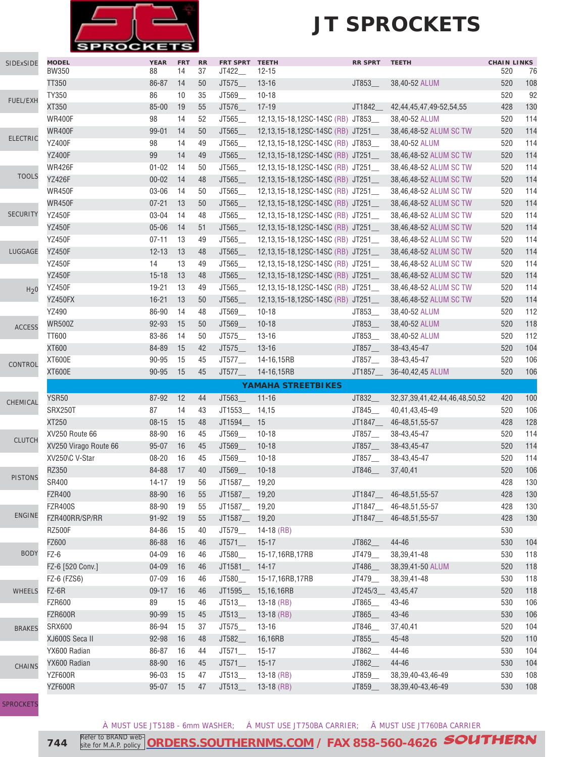

| SIDExSIDE        | <b>MODEL</b><br><b>BW350</b> | <b>YEAR</b><br>88  | <b>FRT</b><br>14 | RR<br>37 | FRT SPRT TEETH<br>JT422_       | $12 - 15$                         | <b>RR SPRT</b>   | <b>TEETH</b>                                         | <b>CHAIN LINKS</b><br>520 | 76         |
|------------------|------------------------------|--------------------|------------------|----------|--------------------------------|-----------------------------------|------------------|------------------------------------------------------|---------------------------|------------|
|                  | TT350                        | 86-87              | 14               | 50       | JT575_                         | $13 - 16$                         | JT853_           | 38,40-52 ALUM                                        | 520                       | 108        |
|                  | TY350                        | 86                 | 10               | 35       | JT569_                         | $10 - 18$                         |                  |                                                      | 520                       | 92         |
| <b>FUEL/EXH</b>  | XT350                        | 85-00              | 19               | 55       | JT576_                         | $17 - 19$                         | JT1842           | 42,44,45,47,49-52,54,55                              | 428                       | 130        |
|                  | <b>WR400F</b>                | 98                 | 14               | 52       | JT565                          | 12,13,15-18,12SC-14SC (RB) JT853  |                  | 38,40-52 ALUM                                        | 520                       | 114        |
|                  | <b>WR400F</b>                | 99-01              | 14               | 50       | JT565                          | 12,13,15-18,12SC-14SC (RB) JT251_ |                  | 38,46,48-52 ALUM SC TW                               | 520                       | 114        |
| <b>ELECTRIC</b>  | <b>YZ400F</b>                | 98                 | 14               | 49       | JT565                          | 12,13,15-18,12SC-14SC (RB) JT853_ |                  | 38,40-52 ALUM                                        | 520                       | 114        |
|                  | <b>YZ400F</b>                | 99                 | 14               | 49       | JT565                          | 12,13,15-18,12SC-14SC (RB) JT251_ |                  | 38,46,48-52 ALUM SC TW                               | 520                       | 114        |
|                  | <b>WR426F</b>                | $01 - 02$          | 14               | 50       | JT565                          | 12,13,15-18,12SC-14SC (RB) JT251_ |                  | 38,46,48-52 ALUM SC TW                               | 520                       | 114        |
| <b>TOOLS</b>     | <b>YZ426F</b>                | $00 - 02$          | 14               | 48       | JT565                          | 12,13,15-18,12SC-14SC (RB) JT251_ |                  | 38,46,48-52 ALUM SC TW                               | 520                       | 114        |
|                  | <b>WR450F</b>                | 03-06              | 14               | 50       | JT565                          | 12,13,15-18,12SC-14SC (RB) JT251_ |                  | 38,46,48-52 ALUM SC TW                               | 520                       | 114        |
|                  | <b>WR450F</b>                | $07 - 21$          | 13               | 50       | JT565_                         | 12,13,15-18,12SC-14SC (RB) JT251_ |                  | 38,46,48-52 ALUM SC TW                               | 520                       | 114        |
| <b>SECURITY</b>  | <b>YZ450F</b>                | 03-04              | 14               | 48       | JT565_                         | 12,13,15-18,12SC-14SC (RB) JT251_ |                  | 38,46,48-52 ALUM SC TW                               | 520                       | 114        |
|                  | <b>YZ450F</b>                | $05 - 06$          | 14               | 51       | JT565_                         | 12,13,15-18,12SC-14SC (RB) JT251_ |                  | 38,46,48-52 ALUM SC TW                               | 520                       | 114        |
|                  | <b>YZ450F</b>                | $07 - 11$          | 13               | 49       | JT565_                         | 12,13,15-18,12SC-14SC (RB) JT251_ |                  | 38,46,48-52 ALUM SC TW                               | 520                       | 114        |
| LUGGAGE          | <b>YZ450F</b>                | $12 - 13$          | 13               | 48       | JT565_                         | 12,13,15-18,12SC-14SC (RB) JT251_ |                  | 38,46,48-52 ALUM SC TW                               | 520                       | 114        |
|                  | <b>YZ450F</b>                | 14                 | 13               | 49       | JT565                          | 12,13,15-18,12SC-14SC (RB) JT251  |                  | 38,46,48-52 ALUM SC TW                               | 520                       | 114        |
|                  | <b>YZ450F</b>                | $15 - 18$          | 13               | 48       | JT565_                         | 12,13,15-18,12SC-14SC (RB) JT251  |                  | 38,46,48-52 ALUM SC TW                               | 520                       | 114        |
| H <sub>2</sub> 0 | <b>YZ450F</b>                | 19-21              | 13               | 49       | JT565                          | 12,13,15-18,12SC-14SC (RB) JT251_ |                  | 38,46,48-52 ALUM SC TW                               | 520                       | 114        |
|                  | YZ450FX                      | $16 - 21$          | 13               | 50       | JT565_                         | 12,13,15-18,12SC-14SC (RB) JT251_ |                  | 38,46,48-52 ALUM SC TW                               | 520                       | 114        |
|                  | YZ490                        | 86-90              | 14               | 48       | JT569                          | $10 - 18$                         | JT853            | 38,40-52 ALUM                                        | 520                       | 112        |
|                  | <b>WR500Z</b>                | 92-93              | 15               | 50       | JT569                          | $10 - 18$                         | JT853_           | 38,40-52 ALUM                                        | 520                       | 118        |
| <b>ACCESS</b>    | <b>TT600</b>                 | 83-86              | 14               | 50       | JT575                          | $13 - 16$                         | JT853_           | 38,40-52 ALUM                                        | 520                       | 112        |
|                  | XT600                        | 84-89              | 15               | 42       | JT575                          | $13 - 16$                         | JT857_           | 38-43,45-47                                          | 520                       | 104        |
|                  | <b>XT600E</b>                | 90-95              | 15               | 45       | JT577                          | 14-16,15RB                        | JT857_           | 38-43,45-47                                          | 520                       | 106        |
| CONTROL          | <b>XT600E</b>                | 90-95              | 15               | 45       | JT577                          | 14-16,15RB                        | JT1857_          | 36-40,42,45 ALUM                                     | 520                       | 106        |
|                  |                              |                    |                  |          |                                | <b>YAMAHA STREETBIKES</b>         |                  |                                                      |                           |            |
|                  | <b>YSR50</b>                 | 87-92              | 12               | 44       | JT563_                         | $11 - 16$                         | JT832_           | 32, 37, 39, 41, 42, 44, 46, 48, 50, 52               | 420                       | 100        |
| CHEMICAL         | SRX250T                      | 87                 | 14               | 43       | JT1553                         | 14,15                             | JT845            | 40,41,43,45-49                                       | 520                       | 106        |
|                  | XT250                        | $08 - 15$          | 15               | 48       | JT1594_                        | 15                                | JT1847           | 46-48,51,55-57                                       | 428                       | 128        |
|                  | XV250 Route 66               | 88-90              | 16               | 45       | JT569                          | $10 - 18$                         | JT857_           | 38-43,45-47                                          | 520                       | 114        |
| <b>CLUTCH</b>    | XV250 Virago Route 66        | $95 - 07$          | 16               | 45       | JT569                          | $10 - 18$                         | JT857_           | 38-43,45-47                                          | 520                       | 114        |
|                  | XV250\C V-Star               | $08 - 20$          | 16               | 45       | JT569_                         | $10 - 18$                         | JT857            | 38-43,45-47                                          | 520                       | 114        |
|                  | RZ350                        | 84-88              | 17               | 40       | JT569_                         | $10 - 18$                         | JT846_           | 37,40,41                                             | 520                       | 106        |
| <b>PISTONS</b>   | SR400                        | 14-17              | 19               | 56       | JT1587_                        | 19,20                             |                  |                                                      | 428                       | 130        |
|                  | <b>FZR400</b>                | 88-90              | 16               | 55       | JT1587__ 19,20                 |                                   | JT1847_          | 46-48,51,55-57                                       | 428                       | 130        |
|                  | <b>FZR400S</b>               | 88-90              | 19               | 55       | JT1587__ 19,20                 |                                   | JT1847_          | 46-48,51,55-57                                       | 428                       | 130        |
| <b>ENGINE</b>    | FZR400RR/SP/RR               | $91 - 92$          | 19               | 55       | JT1587__ 19,20                 |                                   | JT1847_          | 46-48, 51, 55-57                                     | 428                       | 130        |
|                  | <b>RZ500F</b>                | 84-86              | 15               | 40       | JT579_                         | 14-18 (RB)                        |                  |                                                      | 530                       |            |
|                  | FZ600                        | 86-88              | 16               | 46       | JT571                          | $15 - 17$                         | JT862_           | 44-46                                                | 530                       | 104        |
| <b>BODY</b>      | FZ-6                         | 04-09              | 16               | 46       | JT580_                         | 15-17,16RB,17RB                   | JT479_           | 38, 39, 41 - 48                                      | 530                       | 118        |
|                  | FZ-6 [520 Conv.]             | $04 - 09$          |                  | 46       | JT1581_                        | $14-17$                           | JT486_           |                                                      | 520                       | 118        |
|                  |                              | $07 - 09$          | 16<br>16         | 46       | JT580_                         | 15-17,16RB,17RB                   | JT479_           | 38,39,41-50 ALUM<br>38, 39, 41 - 48                  | 530                       | 118        |
|                  | FZ-6 (FZS6)<br>FZ-6R         | $09 - 17$          | 16               | 46       | JT1595_                        |                                   | JT245/3          |                                                      | 520                       | 118        |
| <b>WHEELS</b>    | <b>FZR600</b>                | 89                 | 15               | 46       | JT513                          | 15,16,16RB<br>$13-18$ (RB)        | JT865_           | 43,45,47<br>43-46                                    | 530                       | 106        |
|                  |                              |                    |                  |          |                                |                                   |                  |                                                      | 530                       | 106        |
|                  | <b>FZR600R</b>               | 90-99              | 15               | 45       | $JT513$ <sub>___</sub>         | $13-18$ (RB)                      | JT865_           | 43-46                                                |                           |            |
| <b>BRAKES</b>    | <b>SRX600</b>                | 86-94              | 15               | 37       | JT575_                         | $13 - 16$                         | JT846_           | 37,40,41                                             | 520                       | 104        |
|                  | XJ600S Seca II               | 92-98              | 16               | 48       | JT582_                         | 16,16RB                           | JT855_           | 45-48                                                | 520                       | 110        |
|                  | YX600 Radian                 | 86-87              | 16               | 44       | JT571                          | $15-17$                           | JT862_           | 44-46                                                | 530                       | 104        |
|                  |                              |                    |                  |          |                                |                                   |                  |                                                      |                           |            |
| <b>CHAINS</b>    | YX600 Radian                 | 88-90              | 16               | 45       | JT571                          | $15 - 17$                         | JT862_           | 44-46                                                | 530                       | 104        |
|                  | YZF600R<br>YZF600R           | 96-03<br>$95 - 07$ | 15<br>15         | 47<br>47 | JT513_<br>$JT513$ <sub>-</sub> | $13-18$ (RB)<br>$13-18$ (RB)      | JT859_<br>JT859_ | 38, 39, 40 - 43, 46 - 49<br>38, 39, 40 - 43, 46 - 49 | 530<br>530                | 108<br>108 |

[SPROCKETS](http://www.southernms.com/wp-content/uploads/2015/08/18_sprockets.pdf)

À MUST USE JT518B - 6mm WASHER; Á MUST USE JT750BA CARRIER; Â MUST USE JT760BA CARRIER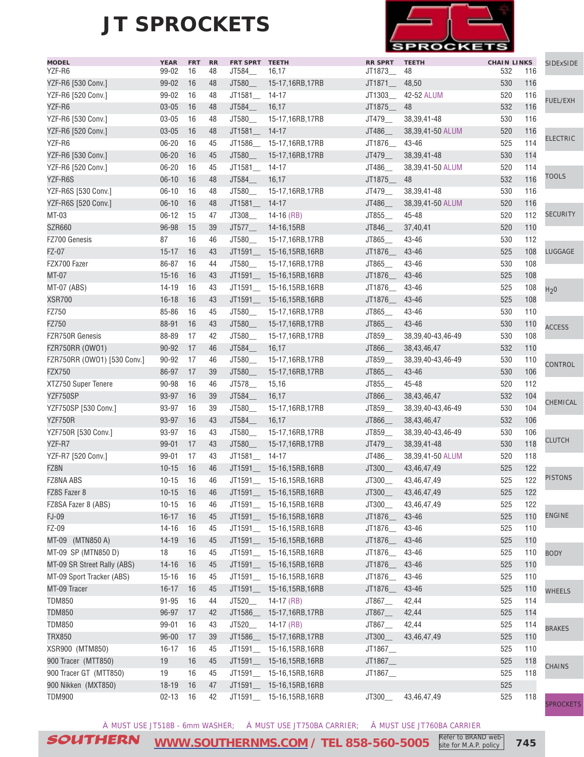

| <b>MODEL</b>                | <b>YEAR</b>    | <b>FRT</b> | <b>RR</b> | FRT SPRT TEETH |                           | <b>RR SPRT</b>       | <b>TEETH</b>                      | <b>CHAIN LINKS</b> |            | SIDExSIDE        |
|-----------------------------|----------------|------------|-----------|----------------|---------------------------|----------------------|-----------------------------------|--------------------|------------|------------------|
| YZF-R6                      | 99-02          | 16         | 48        | JT584_         | 16,17                     | JT1873_              | 48                                | 532                | 116        |                  |
| YZF-R6 [530 Conv.]          | 99-02          | 16         | 48        | JT580_         | 15-17,16RB,17RB           | JT1871__             | 48,50                             | 530                | 116        |                  |
| YZF-R6 [520 Conv.]          | 99-02          | 16         | 48        | JT1581_        | 14-17                     | JT1303_              | 42-52 ALUM                        | 520                | 116        | <b>FUEL/EXH</b>  |
| YZF-R6                      | $03 - 05$      | 16         | 48        | JT584_         | 16,17                     | JT1875_              | 48                                | 532                | 116        |                  |
| YZF-R6 [530 Conv.]          | $03 - 05$      | 16         | 48        | JT580          | 15-17,16RB,17RB           | JT479_               | 38, 39, 41 - 48                   | 530                | 116        |                  |
| YZF-R6 [520 Conv.]          | $03 - 05$      | 16         | 48        | JT1581_        | $14 - 17$                 | JT486_               | 38,39,41-50 ALUM                  | 520                | 116        | <b>ELECTRIC</b>  |
| YZF-R6                      | $06 - 20$      | 16         | 45        |                | JT1586_ 15-17,16RB,17RB   | JT1876_              | 43-46                             | 525                | 114        |                  |
| YZF-R6 [530 Conv.]          | $06 - 20$      | 16         | 45        | JT580          | 15-17,16RB,17RB           | JT479_               | 38, 39, 41 - 48                   | 530                | 114        |                  |
| YZF-R6 [520 Conv.]          | $06 - 20$      | 16         | 45        | JT1581_        | $14 - 17$                 | JT486_               | 38,39,41-50 ALUM                  | 520                | 114        |                  |
| YZF-R6S                     | $06 - 10$      | 16         | 48        | JT584_         | 16,17                     | JT1875_              | 48                                | 532                | 116        | <b>TOOLS</b>     |
| YZF-R6S [530 Conv.]         | $06 - 10$      | 16         | 48        | JT580_         | 15-17,16RB,17RB           | JT479_               | 38,39,41-48                       | 530                | 116        |                  |
| YZF-R6S [520 Conv.]         | $06 - 10$      | 16         | 48        | JT1581_        | $14 - 17$                 | JT486_               | 38,39,41-50 ALUM                  | 520                | 116        |                  |
| MT-03                       | $06 - 12$      | 15         | 47        | JT308_         | 14-16 $(RB)$              | JT855_               | 45-48                             | 520                | 112        | <b>SECURITY</b>  |
| SZR660                      | 96-98          | 15         | 39        | JT577          | 14-16,15RB                | JT846_               | 37,40,41                          | 520                | 110        |                  |
| FZ700 Genesis               | 87             | 16         | 46        | JT580_         | 15-17,16RB,17RB           | JT865_               | 43-46                             | 530                | 112        |                  |
| FZ-07                       | $15 - 17$      | 16         | 43        | JT1591         | 15-16,15RB,16RB           | JT1876_              | 43-46                             | 525                | 108        | LUGGAGE          |
| FZX700 Fazer                | 86-87          | 16         | 44        | JT580          | 15-17,16RB,17RB           | JT865_               | 43-46                             | 530                | 108        |                  |
| MT-07                       | $15 - 16$      | 16         | 43        | JT1591_        | 15-16,15RB,16RB           | JT1876_              | 43-46                             | 525                | 108        |                  |
| MT-07 (ABS)                 | $14 - 19$      | 16         | 43        |                | JT1591_ 15-16,15RB,16RB   | JT1876_              | 43-46                             | 525                | 108        | H <sub>2</sub> 0 |
| <b>XSR700</b>               | $16 - 18$      | 16         | 43        |                | JT1591_ 15-16,15RB,16RB   | JT1876_              | 43-46                             | 525                | 108        |                  |
| FZ750                       | 85-86          | 16         | 45        | JT580          | 15-17,16RB,17RB           | JT865_               | 43-46                             | 530                | 110        |                  |
| FZ750                       | 88-91          | 16         | 43        | JT580          | 15-17,16RB,17RB           | JT865_               | 43-46                             | 530                | 110        |                  |
| FZR750R Genesis             | 88-89          | 17         | 42        | JT580          | 15-17,16RB,17RB           | JT859_               | 38, 39, 40 - 43, 46 - 49          | 530                | 108        | <b>ACCESS</b>    |
| FZR750RR (OW01)             | 90-92          | 17         | 46        | JT584_         | 16,17                     | JT866_               | 38,43,46,47                       | 532                | 110        |                  |
|                             |                |            |           | JT580_         |                           |                      |                                   |                    |            |                  |
| FZR750RR (OWO1) [530 Conv.] | 90-92<br>86-97 | 17<br>17   | 46<br>39  |                | 15-17,16RB,17RB           | JT859_               | 38, 39, 40 - 43, 46 - 49<br>43-46 | 530<br>530         | 110<br>106 | CONTROL          |
| <b>FZX750</b>               |                |            |           | JT580_         | 15-17,16RB,17RB           | JT865                |                                   |                    |            |                  |
| XTZ750 Super Tenere         | 90-98          | 16         | 46        | JT578_         | 15,16                     | JT855_               | 45-48                             | 520                | 112        |                  |
| YZF750SP                    | 93-97          | 16         | 39        | JT584_         | 16,17                     | JT866_               | 38,43,46,47                       | 532                | 104        | CHEMICAL         |
| YZF750SP [530 Conv.]        | 93-97          | 16         | 39        | JT580_         | 15-17,16RB,17RB           | JT859_               | 38, 39, 40 - 43, 46 - 49          | 530                | 104        |                  |
| YZF750R                     | 93-97          | 16         | 43        | JT584_         | 16,17                     | JT866_               | 38,43,46,47                       | 532                | 106        |                  |
| YZF750R [530 Conv.]         | 93-97          | 16         | 43        | JT580          | 15-17,16RB,17RB           | JT859_               | 38, 39, 40 - 43, 46 - 49          | 530                | 106        | <b>CLUTCH</b>    |
| YZF-R7                      | 99-01          | 17         | 43        | JT580_         | 15-17,16RB,17RB           | JT479_               | 38, 39, 41 - 48                   | 530                | 118        |                  |
| YZF-R7 [520 Conv.]          | 99-01          | 17         | 43        | JT1581         | 14-17                     | JT486_               | 38,39,41-50 ALUM                  | 520                | 118        |                  |
| FZ8N                        | $10 - 15$      | 16         | 46        |                | JT1591_ 15-16,15RB,16RB   | JT300_               | 43,46,47,49                       | 525                | 122        |                  |
| FZ8NA ABS                   | $10 - 15$      | 16         | 46        |                | JT1591_ 15-16,15RB,16RB   | JT300_               | 43,46,47,49                       | 525                | 122        | <b>PISTONS</b>   |
| FZ8S Fazer 8                | $10-15$ 16     |            | 46        |                | JT1591__ 15-16,15RB,16RB  | JT300_               | 43,46,47,49                       | 525                | 122        |                  |
| FZ8SA Fazer 8 (ABS)         | $10 - 15$      | - 16       | 46        |                | JT1591___ 15-16,15RB,16RB | JT300_               | 43,46,47,49                       | 525                | 122        |                  |
| <b>FJ-09</b>                | $16 - 17$      | 16         | 45        |                | JT1591__ 15-16,15RB,16RB  | JT1876__             | 43-46                             | 525                | 110        | <b>ENGINE</b>    |
| FZ-09                       | $14 - 16$      | 16         | 45        |                | JT1591_ 15-16,15RB,16RB   | JT1876__             | 43-46                             | 525                | 110        |                  |
| MT-09<br>(MTN850 A)         | $14-19$        | 16         | 45        |                | JT1591___ 15-16,15RB,16RB | JT1876___ 43-46      |                                   | 525                | 110        |                  |
| MT-09 SP (MTN850 D)         | 18             | 16         | 45        |                | JT1591__ 15-16,15RB,16RB  | JT1876__             | 43-46                             | 525                | 110        | <b>BODY</b>      |
| MT-09 SR Street Rally (ABS) | $14 - 16$      | 16         | 45        |                | JT1591___ 15-16,15RB,16RB | JT1876___ 43-46      |                                   | 525                | 110        |                  |
| MT-09 Sport Tracker (ABS)   | $15 - 16$      | 16         | 45        |                | JT1591__ 15-16,15RB,16RB  | JT1876__             | 43-46                             | 525                | 110        |                  |
| MT-09 Tracer                | $16 - 17$      | 16         | 45        | JT1591_        | 15-16,15RB,16RB           | JT1876_              | 43-46                             | 525                | 110        | <b>WHEELS</b>    |
| <b>TDM850</b>               | $91 - 95$      | 16         | 44        | JT520_         | $14-17$ (RB)              | JT867_               | 42,44                             | 525                | 114        |                  |
| <b>TDM850</b>               | 96-97          | 17         | 42        | JT1586_        | 15-17,16RB,17RB           | JT867                | 42,44                             | 525                | 114        |                  |
| <b>TDM850</b>               | 99-01          | 16         | 43        | JT520_         | $14-17$ (RB)              | $JT867$ <sub>—</sub> | 42,44                             | 525                | 114        |                  |
| <b>TRX850</b>               | $96 - 00$      | 17         | 39        | JT1586_        | 15-17,16RB,17RB           | JT300                | 43,46,47,49                       | 525                | 110        | <b>BRAKES</b>    |
| XSR900 (MTM850)             | $16 - 17$      | 16         | 45        | JT1591_        | 15-16,15RB,16RB           | JT1867_              |                                   | 525                | 110        |                  |
| 900 Tracer (MTT850)         | 19             | 16         | 45        |                | JT1591_ 15-16,15RB,16RB   | JT1867_              |                                   | 525                | 118        |                  |
| 900 Tracer GT (MTT850)      | 19             | 16         | 45        |                | JT1591___ 15-16,15RB,16RB | JT1867_              |                                   | 525                | 118        | <b>CHAINS</b>    |
| 900 Nikken (MXT850)         | $18 - 19$      | 16         | 47        |                | JT1591___ 15-16,15RB,16RB |                      |                                   | 525                |            |                  |
|                             |                |            |           |                |                           |                      |                                   |                    |            |                  |
| <b>TDM900</b>               | $02 - 13$      | 16         | 42        |                | JT1591_ 15-16,15RB,16RB   | JT300_               | 43,46,47,49                       | 525                | 118        | SPROCKETS        |

À MUST USE JT518B - 6mm WASHER; Á MUST USE JT750BA CARRIER; Â MUST USE JT760BA CARRIER

SOUTHERN **[WWW.SOUTHERNMS.COM](http://m.southernms.com) / TEL 858-560-5005 745** Refer to BRAND website for M.A.P. policy